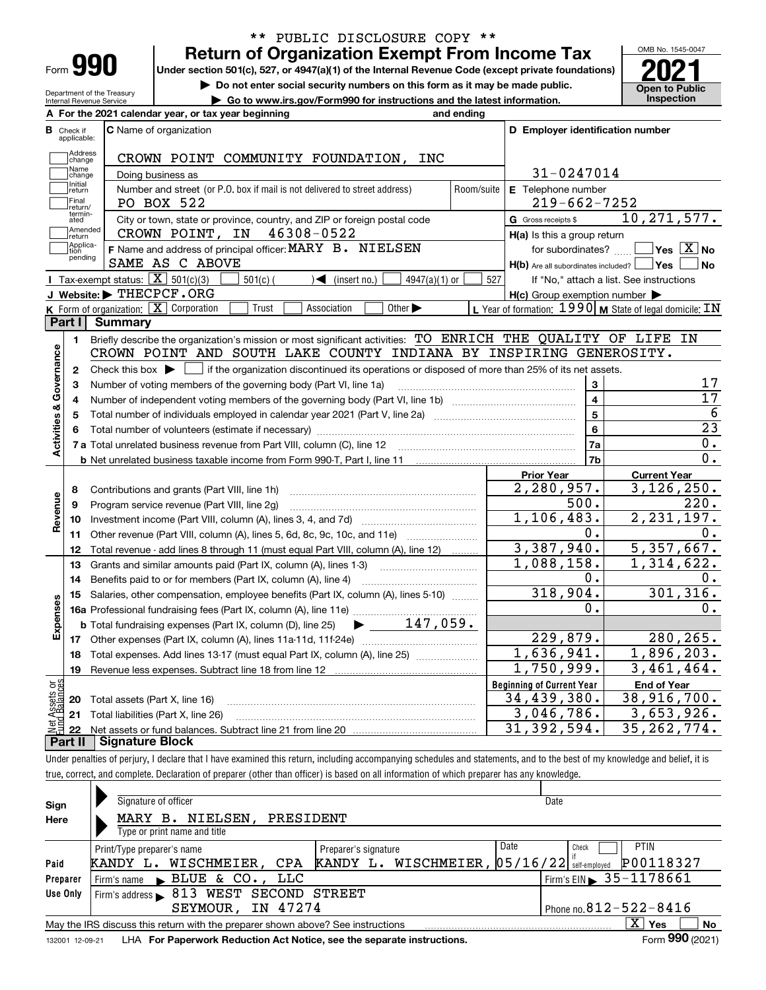| Form |  |
|------|--|

Department of the Treasury Internal Revenue Service

### **Return of Organization Exempt From Income Tax** \*\* PUBLIC DISCLOSURE COPY \*\*

Under section 501(c), 527, or 4947(a)(1) of the Internal Revenue Code (except private foundations) **2021** 

**| Do not enter social security numbers on this form as it may be made public.**

**| Go to www.irs.gov/Form990 for instructions and the latest information. Inspection**

OMB No. 1545-0047 **Open to Public** 

|                         |                             | A For the 2021 calendar year, or tax year beginning                                                                                                 | and ending |                                                         |                                                             |
|-------------------------|-----------------------------|-----------------------------------------------------------------------------------------------------------------------------------------------------|------------|---------------------------------------------------------|-------------------------------------------------------------|
| В                       | Check if<br>applicable:     | <b>C</b> Name of organization                                                                                                                       |            | D Employer identification number                        |                                                             |
|                         | Address<br>change           | CROWN POINT COMMUNITY FOUNDATION, INC                                                                                                               |            |                                                         |                                                             |
|                         | Name<br>change              | Doing business as                                                                                                                                   |            | 31-0247014                                              |                                                             |
|                         | Initial<br>return           | Number and street (or P.O. box if mail is not delivered to street address)                                                                          | Room/suite | E Telephone number                                      |                                                             |
|                         | Final<br>return/            | PO BOX 522                                                                                                                                          |            | $219 - 662 - 7252$                                      |                                                             |
|                         | termin-<br>ated             | City or town, state or province, country, and ZIP or foreign postal code                                                                            |            | G Gross receipts \$                                     | 10, 271, 577.                                               |
|                         | Amended<br>return           | CROWN POINT, IN 46308-0522                                                                                                                          |            | $H(a)$ is this a group return                           |                                                             |
|                         | Applica-<br>tion<br>pending | F Name and address of principal officer: MARY B. NIELSEN<br>SAME AS C ABOVE                                                                         |            | $H(b)$ Are all subordinates included? $\Box$ Yes $\Box$ | for subordinates? $\Box$ Yes $\boxed{\textbf{X}}$ No<br>∣No |
|                         |                             | Tax-exempt status: $\boxed{\mathbf{X}}$ 501(c)(3)<br>$\sqrt{\phantom{a}}$ (insert no.)<br>$501(c)$ (<br>$4947(a)(1)$ or                             | 527        |                                                         | If "No," attach a list. See instructions                    |
|                         |                             | J Website: FHECPCF.ORG                                                                                                                              |            | $H(c)$ Group exemption number $\blacktriangleright$     |                                                             |
|                         |                             | K Form of organization: X Corporation<br>Other $\blacktriangleright$<br>Trust<br>Association                                                        |            |                                                         | L Year of formation: $1990$ M State of legal domicile: IN   |
|                         | Part I                      | <b>Summary</b>                                                                                                                                      |            |                                                         |                                                             |
|                         | 1.                          | Briefly describe the organization's mission or most significant activities: TO ENRICH THE QUALITY OF LIFE IN                                        |            |                                                         |                                                             |
|                         |                             | CROWN POINT AND SOUTH LAKE COUNTY INDIANA BY INSPIRING GENEROSITY.                                                                                  |            |                                                         |                                                             |
| Activities & Governance | $\mathbf{2}$                | Check this box $\blacktriangleright$ $\blacksquare$ if the organization discontinued its operations or disposed of more than 25% of its net assets. |            |                                                         |                                                             |
|                         | 3                           | Number of voting members of the governing body (Part VI, line 1a)                                                                                   |            | 3                                                       | 17                                                          |
|                         | 4                           |                                                                                                                                                     |            | $\overline{\mathbf{4}}$                                 | 17                                                          |
|                         | 5                           |                                                                                                                                                     |            | 5                                                       | 6                                                           |
|                         |                             |                                                                                                                                                     |            | 6                                                       | 23                                                          |
|                         |                             |                                                                                                                                                     |            | 7a                                                      | 0.                                                          |
|                         |                             |                                                                                                                                                     |            | 7b                                                      | 0.                                                          |
|                         |                             |                                                                                                                                                     |            | <b>Prior Year</b>                                       | <b>Current Year</b>                                         |
|                         | 8                           | Contributions and grants (Part VIII, line 1h)                                                                                                       |            | 2,280,957.                                              | 3,126,250.                                                  |
| Revenue                 | 9                           | Program service revenue (Part VIII, line 2g)                                                                                                        |            | 500.                                                    | 220.                                                        |
|                         | 10                          |                                                                                                                                                     |            | 1,106,483.                                              | 2, 231, 197.                                                |
|                         | 11                          | Other revenue (Part VIII, column (A), lines 5, 6d, 8c, 9c, 10c, and 11e)                                                                            |            | 0.                                                      | $0$ .                                                       |
|                         | 12                          | Total revenue - add lines 8 through 11 (must equal Part VIII, column (A), line 12)                                                                  |            | 3,387,940.                                              | 5,357,667.                                                  |
|                         | 13                          | Grants and similar amounts paid (Part IX, column (A), lines 1-3)                                                                                    |            | 1,088,158.                                              | 1,314,622.                                                  |
|                         | 14                          | Benefits paid to or for members (Part IX, column (A), line 4)                                                                                       |            | о.                                                      | 0.                                                          |
|                         | 15                          | Salaries, other compensation, employee benefits (Part IX, column (A), lines 5-10)                                                                   |            | 318,904.                                                | 301, 316.                                                   |
|                         |                             |                                                                                                                                                     |            | 0.                                                      | 0.                                                          |
| Expenses                |                             | $\blacktriangleright$ 147,059.<br><b>b</b> Total fundraising expenses (Part IX, column (D), line 25)                                                |            |                                                         |                                                             |
|                         |                             |                                                                                                                                                     |            | 229,879.                                                | 280,265.                                                    |
|                         | 18                          | Total expenses. Add lines 13-17 (must equal Part IX, column (A), line 25) <i></i>                                                                   |            | 1,636,941.                                              | 1,896,203.                                                  |
|                         | 19                          |                                                                                                                                                     |            | 1,750,999.                                              | 3,461,464.                                                  |
| Ξğ                      |                             |                                                                                                                                                     |            | <b>Beginning of Current Year</b>                        | <b>End of Year</b>                                          |
| sets                    |                             | 20 Total assets (Part X, line 16)                                                                                                                   |            | 34,439,380.                                             | 38,916,700.                                                 |
|                         |                             | 21 Total liabilities (Part X, line 26)                                                                                                              |            | 3,046,786.                                              | 3,653,926.                                                  |
|                         | 22<br>Part II               | <b>Signature Block</b>                                                                                                                              |            | 31, 392, 594.                                           | 35, 262, 774.                                               |
|                         |                             |                                                                                                                                                     |            |                                                         |                                                             |

Under penalties of perjury, I declare that I have examined this return, including accompanying schedules and statements, and to the best of my knowledge and belief, it is true, correct, and complete. Declaration of preparer (other than officer) is based on all information of which preparer has any knowledge.

| Sign            | Signature of officer                                                                               |                                                 | Date                                   |  |  |  |  |  |
|-----------------|----------------------------------------------------------------------------------------------------|-------------------------------------------------|----------------------------------------|--|--|--|--|--|
| Here            | NIELSEN,<br>PRESIDENT<br>в.<br>MARY                                                                |                                                 |                                        |  |  |  |  |  |
|                 | Type or print name and title                                                                       |                                                 |                                        |  |  |  |  |  |
|                 | Print/Type preparer's name                                                                         | Preparer's signature                            | Date<br><b>PTIN</b><br>Check           |  |  |  |  |  |
| Paid            | WISCHMEIER.<br>CPA<br>KANDY L.                                                                     | KANDY L. WISCHMEIER, $ 05/16/22 $ self-employed | P00118327                              |  |  |  |  |  |
| Preparer        | Firm's name BLUE & CO., LLC                                                                        |                                                 | Firm's EIN $\triangleright$ 35-1178661 |  |  |  |  |  |
| Use Only        | 813 WEST SECOND STREET<br>Firm's address $\blacktriangleright$                                     |                                                 |                                        |  |  |  |  |  |
|                 | IN 47274<br>SEYMOUR.                                                                               |                                                 | Phone no. $812 - 522 - 8416$           |  |  |  |  |  |
|                 | X.<br>No<br>Yes<br>May the IRS discuss this return with the preparer shown above? See instructions |                                                 |                                        |  |  |  |  |  |
| 132001 12-09-21 | LHA For Paperwork Reduction Act Notice, see the separate instructions.                             |                                                 | Form 990 (2021)                        |  |  |  |  |  |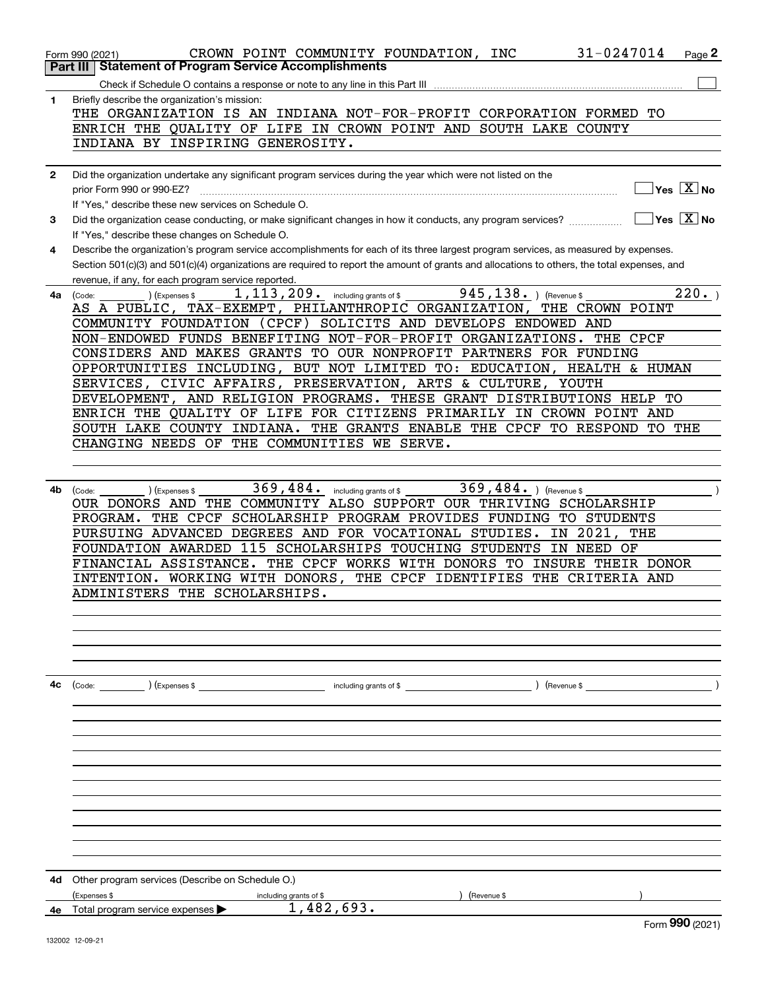|              | 31-0247014<br>CROWN POINT COMMUNITY FOUNDATION, INC<br>Form 990 (2021)                                                                       |     | Page 2              |
|--------------|----------------------------------------------------------------------------------------------------------------------------------------------|-----|---------------------|
|              | <b>Statement of Program Service Accomplishments</b><br>Part III                                                                              |     |                     |
|              |                                                                                                                                              |     |                     |
| 1            | Briefly describe the organization's mission:                                                                                                 |     |                     |
|              | THE ORGANIZATION IS AN INDIANA NOT-FOR-PROFIT CORPORATION FORMED TO                                                                          |     |                     |
|              | ENRICH THE QUALITY OF LIFE IN CROWN POINT AND SOUTH LAKE COUNTY                                                                              |     |                     |
|              | INDIANA BY INSPIRING GENEROSITY.                                                                                                             |     |                     |
|              |                                                                                                                                              |     |                     |
| $\mathbf{2}$ | Did the organization undertake any significant program services during the year which were not listed on the                                 |     |                     |
|              | prior Form 990 or 990-EZ?                                                                                                                    |     | $Yes$ $X$ No        |
|              | If "Yes," describe these new services on Schedule O.                                                                                         |     |                     |
| 3            | Did the organization cease conducting, or make significant changes in how it conducts, any program services?                                 |     | $ Yes  \times  No $ |
|              | If "Yes," describe these changes on Schedule O.                                                                                              |     |                     |
| 4            | Describe the organization's program service accomplishments for each of its three largest program services, as measured by expenses.         |     |                     |
|              | Section 501(c)(3) and 501(c)(4) organizations are required to report the amount of grants and allocations to others, the total expenses, and |     |                     |
|              | revenue, if any, for each program service reported.                                                                                          |     |                     |
| 4a           | $945, 138.$ ) (Revenue \$<br>1, 113, 209. including grants of \$<br>(Code:<br>(Expenses \$                                                   |     | $\overline{2}20.$   |
|              | AS A PUBLIC, TAX-EXEMPT, PHILANTHROPIC ORGANIZATION, THE CROWN POINT                                                                         |     |                     |
|              | COMMUNITY FOUNDATION (CPCF) SOLICITS AND DEVELOPS ENDOWED AND                                                                                |     |                     |
|              | NON-ENDOWED FUNDS BENEFITING NOT-FOR-PROFIT ORGANIZATIONS. THE CPCF                                                                          |     |                     |
|              | CONSIDERS AND MAKES GRANTS TO OUR NONPROFIT PARTNERS FOR FUNDING                                                                             |     |                     |
|              | OPPORTUNITIES INCLUDING, BUT NOT LIMITED TO: EDUCATION, HEALTH & HUMAN                                                                       |     |                     |
|              | SERVICES, CIVIC AFFAIRS, PRESERVATION, ARTS & CULTURE, YOUTH                                                                                 |     |                     |
|              | DEVELOPMENT, AND RELIGION PROGRAMS. THESE GRANT DISTRIBUTIONS HELP TO                                                                        |     |                     |
|              | ENRICH THE QUALITY OF LIFE FOR CITIZENS PRIMARILY IN CROWN POINT AND                                                                         |     |                     |
|              | SOUTH LAKE COUNTY INDIANA. THE GRANTS ENABLE THE CPCF TO RESPOND TO THE                                                                      |     |                     |
|              | CHANGING NEEDS OF THE COMMUNITIES WE SERVE.                                                                                                  |     |                     |
|              |                                                                                                                                              |     |                     |
|              |                                                                                                                                              |     |                     |
| 4b           | 369,484.<br>369, 484. ) (Revenue \$<br>including grants of \$<br>(Code:<br>(Expenses \$                                                      |     |                     |
|              | OUR DONORS AND THE COMMUNITY ALSO SUPPORT OUR THRIVING SCHOLARSHIP                                                                           |     |                     |
|              | THE CPCF SCHOLARSHIP PROGRAM PROVIDES FUNDING TO STUDENTS<br>PROGRAM.                                                                        |     |                     |
|              | PURSUING ADVANCED DEGREES AND FOR VOCATIONAL STUDIES.<br>IN 2021,                                                                            | THE |                     |
|              | FOUNDATION AWARDED 115 SCHOLARSHIPS TOUCHING STUDENTS<br>IN NEED OF                                                                          |     |                     |
|              | FINANCIAL ASSISTANCE. THE CPCF WORKS WITH DONORS TO<br>INSURE THEIR DONOR                                                                    |     |                     |
|              | INTENTION. WORKING WITH DONORS,<br>THE CPCF IDENTIFIES<br>THE<br>CRITERIA AND                                                                |     |                     |
|              | ADMINISTERS THE SCHOLARSHIPS.                                                                                                                |     |                     |
|              |                                                                                                                                              |     |                     |
|              |                                                                                                                                              |     |                     |
|              |                                                                                                                                              |     |                     |
|              |                                                                                                                                              |     |                     |
|              |                                                                                                                                              |     |                     |
| 4с           | $\left($ Revenue \$<br>(Code: ) (Expenses \$ contracts are not including grants of \$ code:                                                  |     |                     |
|              |                                                                                                                                              |     |                     |
|              |                                                                                                                                              |     |                     |
|              |                                                                                                                                              |     |                     |
|              |                                                                                                                                              |     |                     |
|              |                                                                                                                                              |     |                     |
|              |                                                                                                                                              |     |                     |
|              |                                                                                                                                              |     |                     |
|              |                                                                                                                                              |     |                     |
|              |                                                                                                                                              |     |                     |
|              |                                                                                                                                              |     |                     |
|              |                                                                                                                                              |     |                     |
|              |                                                                                                                                              |     |                     |
| 4d           | Other program services (Describe on Schedule O.)                                                                                             |     |                     |
|              | (Expenses \$<br>Revenue \$<br>including grants of \$                                                                                         |     |                     |
|              | 1,482,693.<br>4e Total program service expenses                                                                                              |     | Form 990 (2021)     |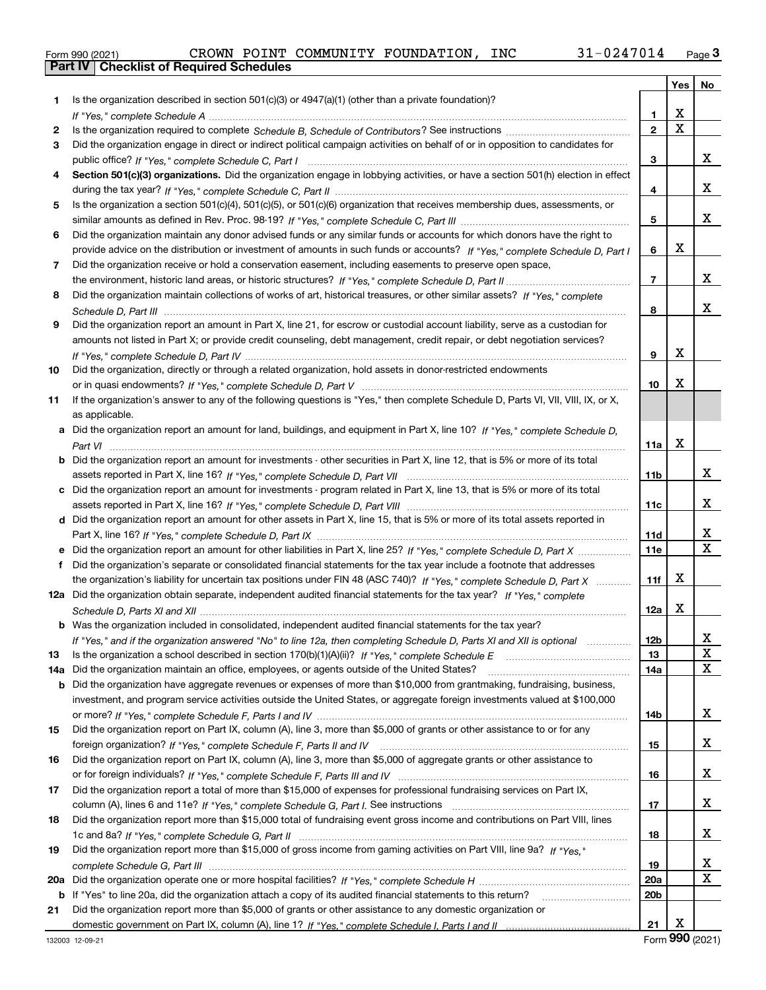|  | Form 990 (2021) |
|--|-----------------|

|     |                                                                                                                                               |                 | Yes                     | No                           |
|-----|-----------------------------------------------------------------------------------------------------------------------------------------------|-----------------|-------------------------|------------------------------|
| 1   | Is the organization described in section 501(c)(3) or 4947(a)(1) (other than a private foundation)?                                           |                 |                         |                              |
|     |                                                                                                                                               | 1               | X                       |                              |
| 2   |                                                                                                                                               | $\mathbf{2}$    | $\overline{\mathbf{x}}$ |                              |
| 3   | Did the organization engage in direct or indirect political campaign activities on behalf of or in opposition to candidates for               |                 |                         |                              |
|     |                                                                                                                                               | 3               |                         | X.                           |
| 4   | Section 501(c)(3) organizations. Did the organization engage in lobbying activities, or have a section 501(h) election in effect              |                 |                         |                              |
|     |                                                                                                                                               | 4               |                         | X.                           |
| 5   | Is the organization a section 501(c)(4), 501(c)(5), or 501(c)(6) organization that receives membership dues, assessments, or                  |                 |                         |                              |
|     |                                                                                                                                               | 5               |                         | x                            |
| 6   | Did the organization maintain any donor advised funds or any similar funds or accounts for which donors have the right to                     |                 |                         |                              |
|     | provide advice on the distribution or investment of amounts in such funds or accounts? If "Yes," complete Schedule D, Part I                  | 6               | x                       |                              |
| 7   | Did the organization receive or hold a conservation easement, including easements to preserve open space,                                     |                 |                         |                              |
|     |                                                                                                                                               | $\overline{7}$  |                         | X.                           |
| 8   | Did the organization maintain collections of works of art, historical treasures, or other similar assets? If "Yes," complete                  |                 |                         |                              |
|     |                                                                                                                                               | 8               |                         | x                            |
| 9   | Did the organization report an amount in Part X, line 21, for escrow or custodial account liability, serve as a custodian for                 |                 |                         |                              |
|     | amounts not listed in Part X; or provide credit counseling, debt management, credit repair, or debt negotiation services?                     |                 |                         |                              |
|     |                                                                                                                                               | 9               | X                       |                              |
| 10  | Did the organization, directly or through a related organization, hold assets in donor-restricted endowments                                  |                 | х                       |                              |
|     |                                                                                                                                               | 10              |                         |                              |
| 11  | If the organization's answer to any of the following questions is "Yes," then complete Schedule D, Parts VI, VII, VIII, IX, or X,             |                 |                         |                              |
|     | as applicable.<br>Did the organization report an amount for land, buildings, and equipment in Part X, line 10? If "Yes," complete Schedule D, |                 |                         |                              |
| a   |                                                                                                                                               | 11a             | х                       |                              |
| b   | Did the organization report an amount for investments - other securities in Part X, line 12, that is 5% or more of its total                  |                 |                         |                              |
|     |                                                                                                                                               | 11b             |                         | X.                           |
| с   | Did the organization report an amount for investments - program related in Part X, line 13, that is 5% or more of its total                   |                 |                         |                              |
|     |                                                                                                                                               | 11c             |                         | X.                           |
|     | d Did the organization report an amount for other assets in Part X, line 15, that is 5% or more of its total assets reported in               |                 |                         |                              |
|     |                                                                                                                                               | 11d             |                         | X                            |
| е   | Did the organization report an amount for other liabilities in Part X, line 25? If "Yes," complete Schedule D, Part X                         | <b>11e</b>      |                         | $\overline{\mathbf{x}}$      |
| f   | Did the organization's separate or consolidated financial statements for the tax year include a footnote that addresses                       |                 |                         |                              |
|     | the organization's liability for uncertain tax positions under FIN 48 (ASC 740)? If "Yes," complete Schedule D, Part X                        | 11f             | x                       |                              |
|     | 12a Did the organization obtain separate, independent audited financial statements for the tax year? If "Yes," complete                       |                 |                         |                              |
|     |                                                                                                                                               | 12a             | x                       |                              |
|     | <b>b</b> Was the organization included in consolidated, independent audited financial statements for the tax year?                            |                 |                         |                              |
|     | If "Yes," and if the organization answered "No" to line 12a, then completing Schedule D, Parts XI and XII is optional                         | 12 <sub>b</sub> |                         | X                            |
| 13  |                                                                                                                                               | 13              |                         | X                            |
| 14a | Did the organization maintain an office, employees, or agents outside of the United States?                                                   | 14a             |                         | X                            |
| b   | Did the organization have aggregate revenues or expenses of more than \$10,000 from grantmaking, fundraising, business,                       |                 |                         |                              |
|     | investment, and program service activities outside the United States, or aggregate foreign investments valued at \$100,000                    |                 |                         |                              |
|     |                                                                                                                                               | 14b             |                         | X.                           |
| 15  | Did the organization report on Part IX, column (A), line 3, more than \$5,000 of grants or other assistance to or for any                     |                 |                         |                              |
|     |                                                                                                                                               | 15              |                         | X.                           |
| 16  | Did the organization report on Part IX, column (A), line 3, more than \$5,000 of aggregate grants or other assistance to                      |                 |                         |                              |
|     |                                                                                                                                               | 16              |                         | X.                           |
| 17  | Did the organization report a total of more than \$15,000 of expenses for professional fundraising services on Part IX,                       |                 |                         |                              |
|     |                                                                                                                                               | 17              |                         | X.                           |
| 18  | Did the organization report more than \$15,000 total of fundraising event gross income and contributions on Part VIII, lines                  |                 |                         |                              |
|     |                                                                                                                                               | 18              |                         | X.                           |
| 19  | Did the organization report more than \$15,000 of gross income from gaming activities on Part VIII, line 9a? If "Yes."                        |                 |                         |                              |
|     |                                                                                                                                               | 19              |                         | X<br>$\overline{\mathbf{X}}$ |
| 20a |                                                                                                                                               | 20a             |                         |                              |
| b   | If "Yes" to line 20a, did the organization attach a copy of its audited financial statements to this return?                                  | 20 <sub>b</sub> |                         |                              |
| 21  | Did the organization report more than \$5,000 of grants or other assistance to any domestic organization or                                   | 21              | X                       |                              |
|     |                                                                                                                                               |                 |                         |                              |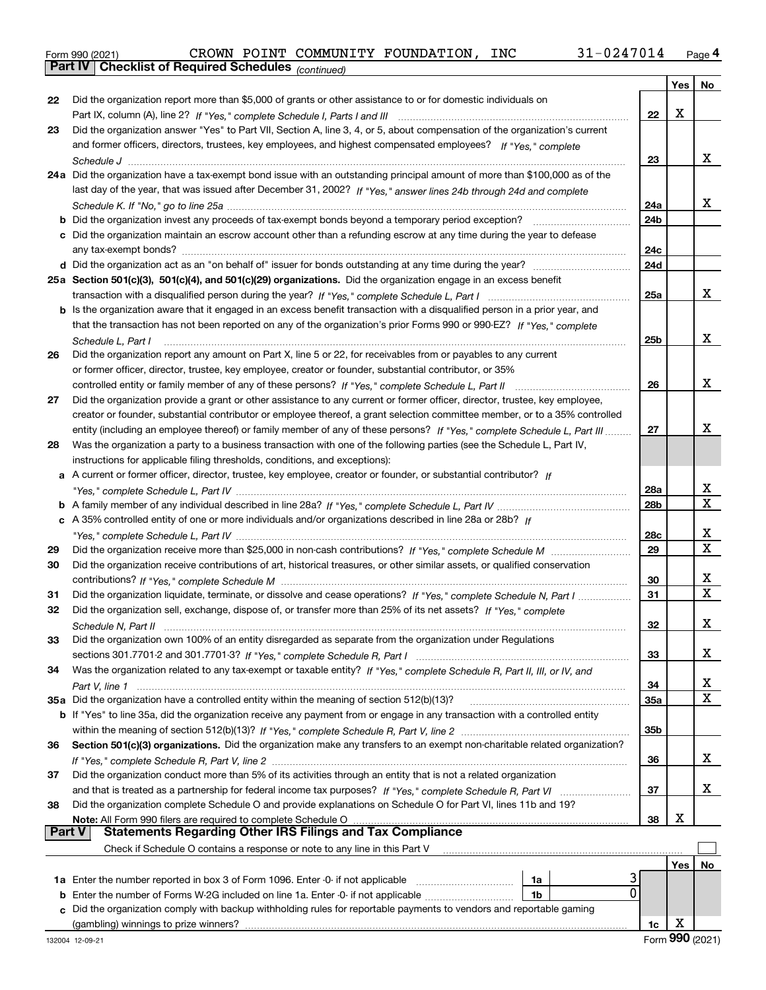|  | Form 990 (2021) |
|--|-----------------|
|  |                 |

*(continued)*

|               |                                                                                                                              |                 | Yes | No           |
|---------------|------------------------------------------------------------------------------------------------------------------------------|-----------------|-----|--------------|
| 22            | Did the organization report more than \$5,000 of grants or other assistance to or for domestic individuals on                |                 |     |              |
|               |                                                                                                                              | 22              | х   |              |
| 23            | Did the organization answer "Yes" to Part VII, Section A, line 3, 4, or 5, about compensation of the organization's current  |                 |     |              |
|               | and former officers, directors, trustees, key employees, and highest compensated employees? If "Yes." complete               |                 |     |              |
|               |                                                                                                                              | 23              |     | x            |
|               | 24a Did the organization have a tax-exempt bond issue with an outstanding principal amount of more than \$100,000 as of the  |                 |     |              |
|               | last day of the year, that was issued after December 31, 2002? If "Yes," answer lines 24b through 24d and complete           |                 |     |              |
|               |                                                                                                                              | 24a             |     | x            |
|               |                                                                                                                              | 24 <sub>b</sub> |     |              |
|               | c Did the organization maintain an escrow account other than a refunding escrow at any time during the year to defease       | 24c             |     |              |
|               |                                                                                                                              | 24d             |     |              |
|               | 25a Section 501(c)(3), 501(c)(4), and 501(c)(29) organizations. Did the organization engage in an excess benefit             |                 |     |              |
|               |                                                                                                                              | 25a             |     | x            |
|               | b Is the organization aware that it engaged in an excess benefit transaction with a disqualified person in a prior year, and |                 |     |              |
|               | that the transaction has not been reported on any of the organization's prior Forms 990 or 990-EZ? If "Yes." complete        |                 |     |              |
|               | Schedule L, Part I                                                                                                           | 25b             |     | х            |
| 26            | Did the organization report any amount on Part X, line 5 or 22, for receivables from or payables to any current              |                 |     |              |
|               | or former officer, director, trustee, key employee, creator or founder, substantial contributor, or 35%                      |                 |     |              |
|               | controlled entity or family member of any of these persons? If "Yes," complete Schedule L, Part II                           | 26              |     | x            |
| 27            | Did the organization provide a grant or other assistance to any current or former officer, director, trustee, key employee,  |                 |     |              |
|               | creator or founder, substantial contributor or employee thereof, a grant selection committee member, or to a 35% controlled  |                 |     |              |
|               | entity (including an employee thereof) or family member of any of these persons? If "Yes," complete Schedule L, Part III     | 27              |     | x            |
| 28            | Was the organization a party to a business transaction with one of the following parties (see the Schedule L, Part IV,       |                 |     |              |
|               | instructions for applicable filing thresholds, conditions, and exceptions):                                                  |                 |     |              |
|               | a A current or former officer, director, trustee, key employee, creator or founder, or substantial contributor? If           |                 |     |              |
|               |                                                                                                                              | 28a             |     | x            |
|               |                                                                                                                              | 28 <sub>b</sub> |     | $\mathbf{x}$ |
|               | c A 35% controlled entity of one or more individuals and/or organizations described in line 28a or 28b? If                   |                 |     |              |
|               |                                                                                                                              | 28c             |     | x            |
| 29            |                                                                                                                              | 29              |     | $\mathbf x$  |
| 30            | Did the organization receive contributions of art, historical treasures, or other similar assets, or qualified conservation  |                 |     |              |
|               |                                                                                                                              | 30              |     | x            |
| 31            | Did the organization liquidate, terminate, or dissolve and cease operations? If "Yes," complete Schedule N, Part I           | 31              |     | X            |
| 32            | Did the organization sell, exchange, dispose of, or transfer more than 25% of its net assets? If "Yes," complete             |                 |     |              |
|               |                                                                                                                              | 32              |     | x            |
| 33            | Did the organization own 100% of an entity disregarded as separate from the organization under Regulations                   |                 |     |              |
|               |                                                                                                                              | 33              |     | x            |
| 34            | Was the organization related to any tax-exempt or taxable entity? If "Yes," complete Schedule R, Part II, III, or IV, and    |                 |     | x            |
|               | 35a Did the organization have a controlled entity within the meaning of section 512(b)(13)?                                  | 34<br>35a       |     | X            |
|               | b If "Yes" to line 35a, did the organization receive any payment from or engage in any transaction with a controlled entity  |                 |     |              |
|               |                                                                                                                              | 35b             |     |              |
| 36            | Section 501(c)(3) organizations. Did the organization make any transfers to an exempt non-charitable related organization?   |                 |     |              |
|               |                                                                                                                              | 36              |     | X.           |
| 37            | Did the organization conduct more than 5% of its activities through an entity that is not a related organization             |                 |     |              |
|               |                                                                                                                              | 37              |     | X.           |
| 38            | Did the organization complete Schedule O and provide explanations on Schedule O for Part VI, lines 11b and 19?               |                 |     |              |
|               | Note: All Form 990 filers are required to complete Schedule O                                                                | 38              | х   |              |
| <b>Part V</b> | <b>Statements Regarding Other IRS Filings and Tax Compliance</b>                                                             |                 |     |              |
|               | Check if Schedule O contains a response or note to any line in this Part V                                                   |                 |     |              |
|               |                                                                                                                              |                 | Yes | No           |
|               | 1a Enter the number reported in box 3 of Form 1096. Enter -0- if not applicable<br>1a                                        |                 |     |              |
|               | 0<br><b>b</b> Enter the number of Forms W-2G included on line 1a. Enter -0- if not applicable<br>1b                          |                 |     |              |
| c             | Did the organization comply with backup withholding rules for reportable payments to vendors and reportable gaming           |                 |     |              |
|               | (gambling) winnings to prize winners?                                                                                        | 1c              | х   |              |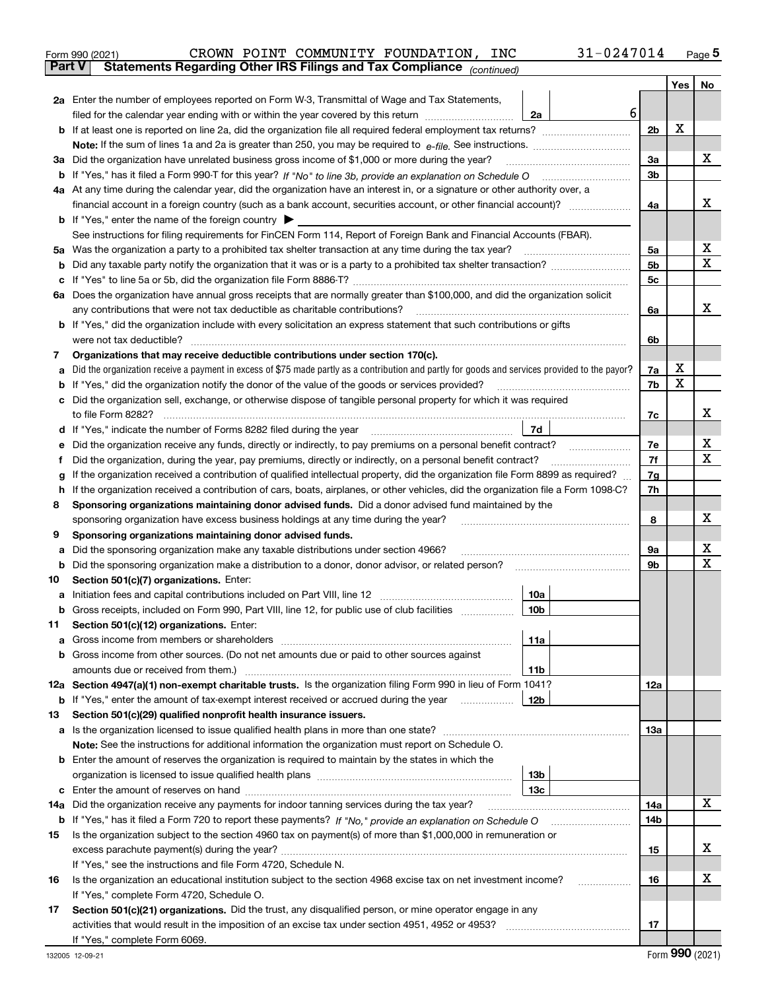|        | 31-0247014<br>CROWN POINT COMMUNITY FOUNDATION, INC<br>Form 990 (2021)                                                                                                                                                                         |                |     | $_{\text{Page}}$ 5 |
|--------|------------------------------------------------------------------------------------------------------------------------------------------------------------------------------------------------------------------------------------------------|----------------|-----|--------------------|
| Part V | Statements Regarding Other IRS Filings and Tax Compliance (continued)                                                                                                                                                                          |                |     |                    |
|        |                                                                                                                                                                                                                                                |                | Yes | No                 |
|        | 2a Enter the number of employees reported on Form W-3, Transmittal of Wage and Tax Statements,                                                                                                                                                 |                |     |                    |
|        | filed for the calendar year ending with or within the year covered by this return <i>manumumumum</i><br>2a                                                                                                                                     | 6              |     |                    |
| b      |                                                                                                                                                                                                                                                | 2 <sub>b</sub> | X   |                    |
|        |                                                                                                                                                                                                                                                |                |     |                    |
|        | 3a Did the organization have unrelated business gross income of \$1,000 or more during the year?                                                                                                                                               | 3a             |     | х                  |
|        |                                                                                                                                                                                                                                                | 3 <sub>b</sub> |     |                    |
|        |                                                                                                                                                                                                                                                |                |     |                    |
|        | 4a At any time during the calendar year, did the organization have an interest in, or a signature or other authority over, a                                                                                                                   |                |     | х                  |
|        | financial account in a foreign country (such as a bank account, securities account, or other financial account)?                                                                                                                               | 4a             |     |                    |
|        | <b>b</b> If "Yes," enter the name of the foreign country $\blacktriangleright$                                                                                                                                                                 |                |     |                    |
|        | See instructions for filing requirements for FinCEN Form 114, Report of Foreign Bank and Financial Accounts (FBAR).                                                                                                                            |                |     |                    |
|        | 5a Was the organization a party to a prohibited tax shelter transaction at any time during the tax year?                                                                                                                                       | 5а             |     | х<br>X             |
| b      |                                                                                                                                                                                                                                                | 5b             |     |                    |
| c      |                                                                                                                                                                                                                                                | 5c             |     |                    |
|        | 6a Does the organization have annual gross receipts that are normally greater than \$100,000, and did the organization solicit                                                                                                                 |                |     |                    |
|        | any contributions that were not tax deductible as charitable contributions?                                                                                                                                                                    | 6a             |     | х                  |
|        | <b>b</b> If "Yes," did the organization include with every solicitation an express statement that such contributions or gifts                                                                                                                  |                |     |                    |
|        | were not tax deductible?                                                                                                                                                                                                                       | 6b             |     |                    |
| 7      | Organizations that may receive deductible contributions under section 170(c).                                                                                                                                                                  |                |     |                    |
| а      | Did the organization receive a payment in excess of \$75 made partly as a contribution and partly for goods and services provided to the payor?                                                                                                | 7a             | х   |                    |
| b      | If "Yes," did the organization notify the donor of the value of the goods or services provided?                                                                                                                                                | 7b             | X   |                    |
| с      | Did the organization sell, exchange, or otherwise dispose of tangible personal property for which it was required                                                                                                                              |                |     |                    |
|        |                                                                                                                                                                                                                                                | 7c             |     | х                  |
|        | 7d<br>d If "Yes," indicate the number of Forms 8282 filed during the year [11] [11] The System manuscription of Forms 8282 filed during the year [11] [12] The System manuscription of the Wales of the Wales of the Wales of the Wa           |                |     |                    |
| е      |                                                                                                                                                                                                                                                | 7e             |     | х                  |
| f      | Did the organization, during the year, pay premiums, directly or indirectly, on a personal benefit contract?                                                                                                                                   | 7f             |     | X                  |
| g      | If the organization received a contribution of qualified intellectual property, did the organization file Form 8899 as required?                                                                                                               | 7g             |     |                    |
| h.     | If the organization received a contribution of cars, boats, airplanes, or other vehicles, did the organization file a Form 1098-C?                                                                                                             | 7h             |     |                    |
| 8      | Sponsoring organizations maintaining donor advised funds. Did a donor advised fund maintained by the                                                                                                                                           |                |     |                    |
|        | sponsoring organization have excess business holdings at any time during the year?                                                                                                                                                             | 8              |     | х                  |
| 9      | Sponsoring organizations maintaining donor advised funds.                                                                                                                                                                                      |                |     |                    |
| а      | Did the sponsoring organization make any taxable distributions under section 4966?                                                                                                                                                             | 9а             |     | х                  |
| b      | Did the sponsoring organization make a distribution to a donor, donor advisor, or related person?                                                                                                                                              | 9b             |     | х                  |
| 10     | Section 501(c)(7) organizations. Enter:                                                                                                                                                                                                        |                |     |                    |
|        | 10a                                                                                                                                                                                                                                            |                |     |                    |
|        | 10 <sub>b</sub><br>Gross receipts, included on Form 990, Part VIII, line 12, for public use of club facilities                                                                                                                                 |                |     |                    |
|        |                                                                                                                                                                                                                                                |                |     |                    |
| 11     | Section 501(c)(12) organizations. Enter:                                                                                                                                                                                                       |                |     |                    |
| a      | Gross income from members or shareholders<br>11a                                                                                                                                                                                               |                |     |                    |
| b      | Gross income from other sources. (Do not net amounts due or paid to other sources against                                                                                                                                                      |                |     |                    |
|        | 11b                                                                                                                                                                                                                                            |                |     |                    |
|        | 12a Section 4947(a)(1) non-exempt charitable trusts. Is the organization filing Form 990 in lieu of Form 1041?                                                                                                                                 | 12a            |     |                    |
|        | 12b<br><b>b</b> If "Yes," enter the amount of tax-exempt interest received or accrued during the year <i>manument</i> of the set of the set of the set of the set of the set of the set of the set of the set of the set of the set of the set |                |     |                    |
| 13     | Section 501(c)(29) qualified nonprofit health insurance issuers.                                                                                                                                                                               |                |     |                    |
|        | a Is the organization licensed to issue qualified health plans in more than one state?                                                                                                                                                         | 13a            |     |                    |
|        | Note: See the instructions for additional information the organization must report on Schedule O.                                                                                                                                              |                |     |                    |
| b      | Enter the amount of reserves the organization is required to maintain by the states in which the                                                                                                                                               |                |     |                    |
|        | 13 <sub>b</sub>                                                                                                                                                                                                                                |                |     |                    |
| c      | 13c                                                                                                                                                                                                                                            |                |     |                    |
| 14a    | Did the organization receive any payments for indoor tanning services during the tax year?                                                                                                                                                     | 14a            |     | X                  |
|        | <b>b</b> If "Yes," has it filed a Form 720 to report these payments? If "No," provide an explanation on Schedule O                                                                                                                             | 14b            |     |                    |
| 15     | Is the organization subject to the section 4960 tax on payment(s) of more than \$1,000,000 in remuneration or                                                                                                                                  |                |     |                    |
|        | excess parachute payment(s) during the year?                                                                                                                                                                                                   | 15             |     | x                  |
|        | If "Yes," see the instructions and file Form 4720, Schedule N.                                                                                                                                                                                 |                |     |                    |
| 16     | Is the organization an educational institution subject to the section 4968 excise tax on net investment income?                                                                                                                                | 16             |     | х                  |
|        | If "Yes," complete Form 4720, Schedule O.                                                                                                                                                                                                      |                |     |                    |
| 17     | Section 501(c)(21) organizations. Did the trust, any disqualified person, or mine operator engage in any                                                                                                                                       |                |     |                    |
|        | activities that would result in the imposition of an excise tax under section 4951, 4952 or 4953?                                                                                                                                              | 17             |     |                    |
|        | If "Yes," complete Form 6069.                                                                                                                                                                                                                  |                |     |                    |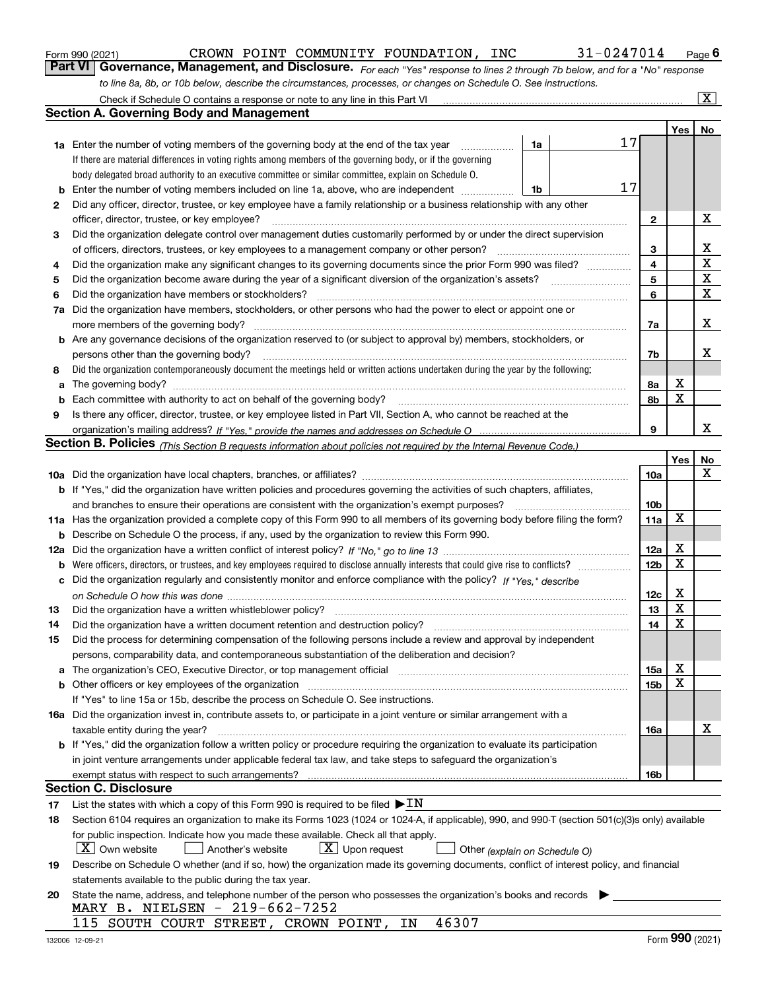|  | Form 990 (2021) |  |
|--|-----------------|--|
|  |                 |  |

| Form 990 (2021) |                                                                                                                              |  | CROWN POINT COMMUNITY FOUNDATION, | INC | 31-0247014 | $P_{\text{aqe}}$ 6 |
|-----------------|------------------------------------------------------------------------------------------------------------------------------|--|-----------------------------------|-----|------------|--------------------|
|                 | Part VI Governance, Management, and Disclosure. For each "Yes" response to lines 2 through 7b below, and for a "No" response |  |                                   |     |            |                    |
|                 | to line 8a, 8b, or 10b below, describe the circumstances, processes, or changes on Schedule O. See instructions.             |  |                                   |     |            |                    |

|     | Check if Schedule O contains a response or note to any line in this Part VI                                                                                           |                               |    |                 |     | $\overline{\mathbf{x}}$ |
|-----|-----------------------------------------------------------------------------------------------------------------------------------------------------------------------|-------------------------------|----|-----------------|-----|-------------------------|
|     | Section A. Governing Body and Management                                                                                                                              |                               |    |                 |     |                         |
|     |                                                                                                                                                                       |                               |    |                 | Yes | No                      |
|     | <b>1a</b> Enter the number of voting members of the governing body at the end of the tax year<br>.                                                                    | 1a                            | 17 |                 |     |                         |
|     | If there are material differences in voting rights among members of the governing body, or if the governing                                                           |                               |    |                 |     |                         |
|     | body delegated broad authority to an executive committee or similar committee, explain on Schedule O.                                                                 |                               |    |                 |     |                         |
| b   | Enter the number of voting members included on line 1a, above, who are independent                                                                                    | 1b                            | 17 |                 |     |                         |
| 2   | Did any officer, director, trustee, or key employee have a family relationship or a business relationship with any other                                              |                               |    |                 |     |                         |
|     | officer, director, trustee, or key employee?                                                                                                                          |                               |    | $\mathbf{2}$    |     | X                       |
| 3   | Did the organization delegate control over management duties customarily performed by or under the direct supervision                                                 |                               |    |                 |     |                         |
|     | of officers, directors, trustees, or key employees to a management company or other person?                                                                           |                               |    | 3               |     | x                       |
| 4   | Did the organization make any significant changes to its governing documents since the prior Form 990 was filed?                                                      |                               |    | 4               |     | $\mathbf X$             |
| 5   | Did the organization become aware during the year of a significant diversion of the organization's assets?                                                            |                               |    | 5               |     | X                       |
| 6   | Did the organization have members or stockholders?                                                                                                                    |                               |    | 6               |     | X                       |
| 7a  | Did the organization have members, stockholders, or other persons who had the power to elect or appoint one or                                                        |                               |    |                 |     |                         |
|     | more members of the governing body?                                                                                                                                   |                               |    | 7a              |     | х                       |
|     | <b>b</b> Are any governance decisions of the organization reserved to (or subject to approval by) members, stockholders, or                                           |                               |    |                 |     |                         |
|     | persons other than the governing body?                                                                                                                                |                               |    | 7b              |     | x                       |
| 8   | Did the organization contemporaneously document the meetings held or written actions undertaken during the year by the following:                                     |                               |    |                 |     |                         |
| a   |                                                                                                                                                                       |                               |    | 8a              | X   |                         |
| b   | Each committee with authority to act on behalf of the governing body?                                                                                                 |                               |    | 8b              | X   |                         |
| 9   | Is there any officer, director, trustee, or key employee listed in Part VII, Section A, who cannot be reached at the                                                  |                               |    |                 |     |                         |
|     |                                                                                                                                                                       |                               |    | 9               |     | x                       |
|     | Section B. Policies <sub>(This Section B requests information about policies not required by the Internal Revenue Code.)</sub>                                        |                               |    |                 |     |                         |
|     |                                                                                                                                                                       |                               |    |                 | Yes | No                      |
|     |                                                                                                                                                                       |                               |    | 10a             |     | x                       |
|     | <b>b</b> If "Yes," did the organization have written policies and procedures governing the activities of such chapters, affiliates,                                   |                               |    |                 |     |                         |
|     | and branches to ensure their operations are consistent with the organization's exempt purposes?                                                                       |                               |    | 10b             |     |                         |
|     | 11a Has the organization provided a complete copy of this Form 990 to all members of its governing body before filing the form?                                       |                               |    | 11a             | X   |                         |
| b   | Describe on Schedule O the process, if any, used by the organization to review this Form 990.                                                                         |                               |    |                 |     |                         |
| 12a |                                                                                                                                                                       |                               |    | 12a             | X   |                         |
| b   | Were officers, directors, or trustees, and key employees required to disclose annually interests that could give rise to conflicts?                                   |                               |    | 12 <sub>b</sub> | X   |                         |
| с   | Did the organization regularly and consistently monitor and enforce compliance with the policy? If "Yes," describe                                                    |                               |    |                 |     |                         |
|     |                                                                                                                                                                       |                               |    | 12c             | X   |                         |
| 13  | Did the organization have a written whistleblower policy?                                                                                                             |                               |    | 13              | X   |                         |
| 14  | Did the organization have a written document retention and destruction policy?                                                                                        |                               |    | 14              | X   |                         |
| 15  | Did the process for determining compensation of the following persons include a review and approval by independent                                                    |                               |    |                 |     |                         |
|     | persons, comparability data, and contemporaneous substantiation of the deliberation and decision?                                                                     |                               |    |                 |     |                         |
| a   | The organization's CEO, Executive Director, or top management official manufactured content of the organization's CEO, Executive Director, or top management official |                               |    | 15a             | Χ   |                         |
|     | <b>b</b> Other officers or key employees of the organization                                                                                                          |                               |    | 15 <sub>b</sub> | X   |                         |
|     | If "Yes" to line 15a or 15b, describe the process on Schedule O. See instructions.                                                                                    |                               |    |                 |     |                         |
|     | 16a Did the organization invest in, contribute assets to, or participate in a joint venture or similar arrangement with a                                             |                               |    |                 |     |                         |
|     | taxable entity during the year?                                                                                                                                       |                               |    | 16a             |     | х                       |
|     | b If "Yes," did the organization follow a written policy or procedure requiring the organization to evaluate its participation                                        |                               |    |                 |     |                         |
|     | in joint venture arrangements under applicable federal tax law, and take steps to safeguard the organization's                                                        |                               |    |                 |     |                         |
|     | exempt status with respect to such arrangements?                                                                                                                      |                               |    | 16b             |     |                         |
|     | <b>Section C. Disclosure</b>                                                                                                                                          |                               |    |                 |     |                         |
| 17  | List the states with which a copy of this Form 990 is required to be filed $\blacktriangleright \text{IN}$                                                            |                               |    |                 |     |                         |
| 18  | Section 6104 requires an organization to make its Forms 1023 (1024 or 1024-A, if applicable), 990, and 990-T (section 501(c)(3)s only) available                      |                               |    |                 |     |                         |
|     | for public inspection. Indicate how you made these available. Check all that apply.                                                                                   |                               |    |                 |     |                         |
|     | $X$ Own website<br>$X$ Upon request<br>Another's website                                                                                                              | Other (explain on Schedule O) |    |                 |     |                         |
| 19  | Describe on Schedule O whether (and if so, how) the organization made its governing documents, conflict of interest policy, and financial                             |                               |    |                 |     |                         |
|     | statements available to the public during the tax year.                                                                                                               |                               |    |                 |     |                         |
| 20  | State the name, address, and telephone number of the person who possesses the organization's books and records                                                        |                               |    |                 |     |                         |
|     | MARY B. NIELSEN - 219-662-7252                                                                                                                                        |                               |    |                 |     |                         |
|     | 46307<br>115 SOUTH COURT STREET, CROWN POINT,<br>ΙN                                                                                                                   |                               |    |                 |     |                         |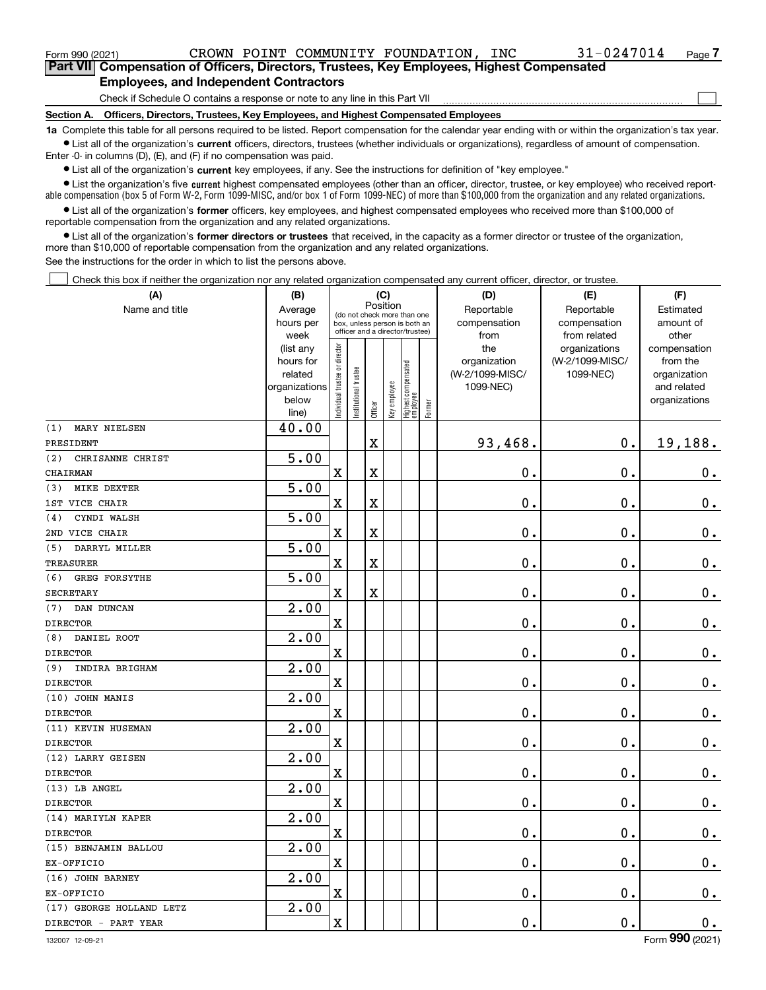<code>Form</code> 990 (2021) CROWN <code>POINT COMMUNITY FOUNDATION</code> , <code>INC</code> 31-0247014 <sub>Page</sub>

 $\mathcal{L}^{\text{max}}$ 

**7Part VII Compensation of Officers, Directors, Trustees, Key Employees, Highest Compensated Employees, and Independent Contractors**

Check if Schedule O contains a response or note to any line in this Part VII

**Section A. Officers, Directors, Trustees, Key Employees, and Highest Compensated Employees**

**1a**  Complete this table for all persons required to be listed. Report compensation for the calendar year ending with or within the organization's tax year. **•** List all of the organization's current officers, directors, trustees (whether individuals or organizations), regardless of amount of compensation.

Enter -0- in columns (D), (E), and (F) if no compensation was paid.

 $\bullet$  List all of the organization's  $\sf current$  key employees, if any. See the instructions for definition of "key employee."

**•** List the organization's five current highest compensated employees (other than an officer, director, trustee, or key employee) who received reportable compensation (box 5 of Form W-2, Form 1099-MISC, and/or box 1 of Form 1099-NEC) of more than \$100,000 from the organization and any related organizations.

**•** List all of the organization's former officers, key employees, and highest compensated employees who received more than \$100,000 of reportable compensation from the organization and any related organizations.

**former directors or trustees**  ¥ List all of the organization's that received, in the capacity as a former director or trustee of the organization, more than \$10,000 of reportable compensation from the organization and any related organizations.

See the instructions for the order in which to list the persons above.

Check this box if neither the organization nor any related organization compensated any current officer, director, or trustee.  $\mathcal{L}^{\text{max}}$ 

| (A)                         | (B)               |                               |                      | (C)                     |              |                                                                  |        | (D)                  | (E)                          | (F)                |
|-----------------------------|-------------------|-------------------------------|----------------------|-------------------------|--------------|------------------------------------------------------------------|--------|----------------------|------------------------------|--------------------|
| Name and title              | Average           |                               |                      | Position                |              | (do not check more than one                                      |        | Reportable           | Reportable                   | Estimated          |
|                             | hours per<br>week |                               |                      |                         |              | box, unless person is both an<br>officer and a director/trustee) |        | compensation<br>from | compensation<br>from related | amount of<br>other |
|                             | (list any         |                               |                      |                         |              |                                                                  |        | the                  | organizations                | compensation       |
|                             | hours for         |                               |                      |                         |              |                                                                  |        | organization         | (W-2/1099-MISC/              | from the           |
|                             | related           |                               |                      |                         |              |                                                                  |        | (W-2/1099-MISC/      | 1099-NEC)                    | organization       |
|                             | organizations     |                               |                      |                         |              |                                                                  |        | 1099-NEC)            |                              | and related        |
|                             | below<br>line)    | ndividual trustee or director | nstitutional trustee | Officer                 | Key employee | Highest compensated<br>  employee                                | Former |                      |                              | organizations      |
| MARY NIELSEN<br>(1)         | 40.00             |                               |                      |                         |              |                                                                  |        |                      |                              |                    |
| PRESIDENT                   |                   |                               |                      | $\overline{\textbf{X}}$ |              |                                                                  |        | 93,468.              | 0.                           | 19,188.            |
| (2)<br>CHRISANNE CHRIST     | 5.00              |                               |                      |                         |              |                                                                  |        |                      |                              |                    |
| CHAIRMAN                    |                   | X                             |                      | $\overline{\textbf{X}}$ |              |                                                                  |        | 0.                   | 0.                           | $\mathbf 0$ .      |
| MIKE DEXTER<br>(3)          | 5.00              |                               |                      |                         |              |                                                                  |        |                      |                              |                    |
| 1ST VICE CHAIR              |                   | $\mathbf X$                   |                      | $\overline{\textbf{X}}$ |              |                                                                  |        | $\mathbf 0$ .        | $\mathbf 0$ .                | $0_{.}$            |
| CYNDI WALSH<br>(4)          | 5.00              |                               |                      |                         |              |                                                                  |        |                      |                              |                    |
| 2ND VICE CHAIR              |                   | $\overline{\text{X}}$         |                      | $\overline{\textbf{X}}$ |              |                                                                  |        | 0.                   | $\mathbf 0$ .                | $0_{.}$            |
| DARRYL MILLER<br>(5)        | 5.00              |                               |                      |                         |              |                                                                  |        |                      |                              |                    |
| TREASURER                   |                   | $\mathbf X$                   |                      | $\overline{\text{X}}$   |              |                                                                  |        | 0.                   | 0.                           | $0_{.}$            |
| <b>GREG FORSYTHE</b><br>(6) | 5.00              |                               |                      |                         |              |                                                                  |        |                      |                              |                    |
| <b>SECRETARY</b>            |                   | $\overline{\text{X}}$         |                      | $\overline{\text{X}}$   |              |                                                                  |        | 0.                   | 0.                           | $\mathbf 0$ .      |
| DAN DUNCAN<br>(7)           | 2.00              |                               |                      |                         |              |                                                                  |        |                      |                              |                    |
| <b>DIRECTOR</b>             |                   | $\rm X$                       |                      |                         |              |                                                                  |        | 0.                   | 0.                           | $0_{.}$            |
| DANIEL ROOT<br>(8)          | 2.00              |                               |                      |                         |              |                                                                  |        |                      |                              |                    |
| <b>DIRECTOR</b>             |                   | $\overline{\textbf{X}}$       |                      |                         |              |                                                                  |        | 0.                   | $\mathbf 0$ .                | $\mathbf 0$ .      |
| INDIRA BRIGHAM<br>(9)       | 2.00              |                               |                      |                         |              |                                                                  |        |                      |                              |                    |
| <b>DIRECTOR</b>             |                   | $\rm X$                       |                      |                         |              |                                                                  |        | 0.                   | $\mathbf 0$ .                | $0_{.}$            |
| (10) JOHN MANIS             | 2.00              |                               |                      |                         |              |                                                                  |        |                      |                              |                    |
| <b>DIRECTOR</b>             |                   | $\overline{\textbf{X}}$       |                      |                         |              |                                                                  |        | 0.                   | $\mathbf 0$ .                | $0_{.}$            |
| (11) KEVIN HUSEMAN          | $\overline{2.00}$ |                               |                      |                         |              |                                                                  |        |                      |                              |                    |
| <b>DIRECTOR</b>             |                   | $\rm X$                       |                      |                         |              |                                                                  |        | 0.                   | $\mathbf 0$ .                | $0_{.}$            |
| (12) LARRY GEISEN           | 2.00              |                               |                      |                         |              |                                                                  |        |                      |                              |                    |
| <b>DIRECTOR</b>             |                   | $\mathbf x$                   |                      |                         |              |                                                                  |        | 0.                   | $\mathbf 0$ .                | $\mathbf 0$ .      |
| (13) LB ANGEL               | $\overline{2.00}$ |                               |                      |                         |              |                                                                  |        |                      |                              |                    |
| <b>DIRECTOR</b>             |                   | $\mathbf X$                   |                      |                         |              |                                                                  |        | $\mathbf 0$ .        | $\mathbf 0$ .                | $0_{.}$            |
| (14) MARIYLN KAPER          | 2.00              |                               |                      |                         |              |                                                                  |        |                      |                              |                    |
| <b>DIRECTOR</b>             |                   | X                             |                      |                         |              |                                                                  |        | 0.                   | 0.                           | $\mathbf 0$ .      |
| (15) BENJAMIN BALLOU        | 2.00              |                               |                      |                         |              |                                                                  |        |                      |                              |                    |
| EX-OFFICIO                  |                   | X                             |                      |                         |              |                                                                  |        | 0.                   | 0.                           | $0_{.}$            |
| (16) JOHN BARNEY            | $\overline{2.00}$ |                               |                      |                         |              |                                                                  |        |                      |                              |                    |
| EX-OFFICIO                  |                   | $\overline{\textbf{X}}$       |                      |                         |              |                                                                  |        | 0.                   | $\mathbf 0$ .                | $\mathbf 0$ .      |
| (17) GEORGE HOLLAND LETZ    | 2.00              |                               |                      |                         |              |                                                                  |        |                      |                              |                    |
| DIRECTOR - PART YEAR        |                   | $\rm X$                       |                      |                         |              |                                                                  |        | 0.                   | $\mathbf 0$ .                | $\mathbf 0$ .      |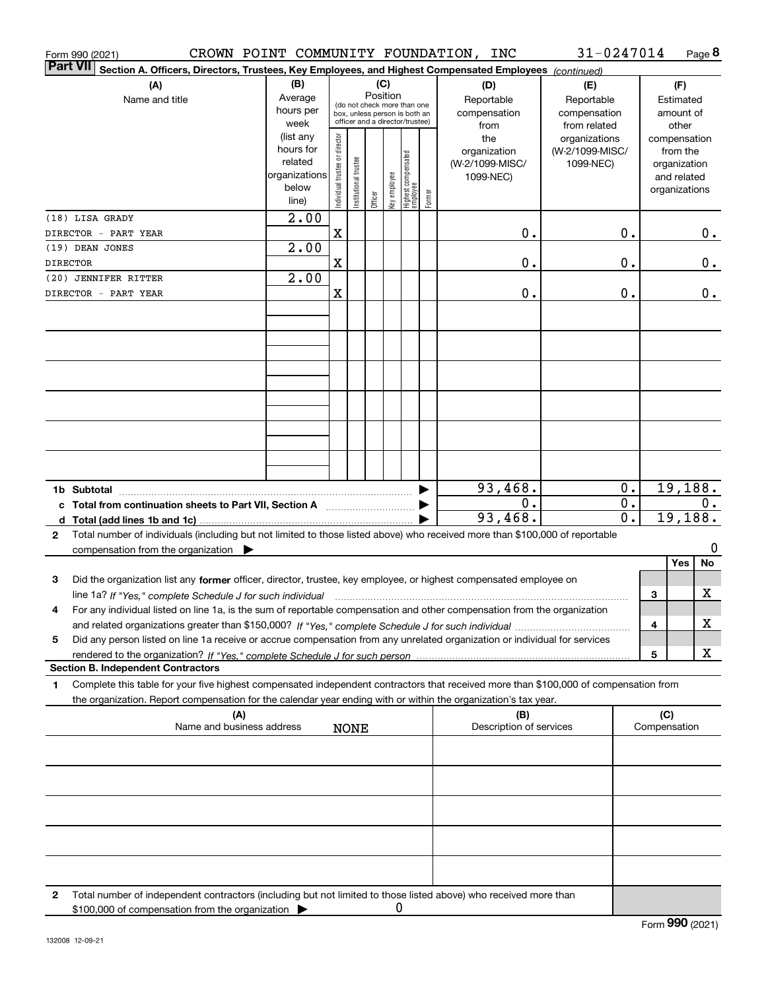|                 | Form 990 (2021)                           |                                                          |     |                                                                      |                                |                        |         |                 |                                                                                                 |        | CROWN POINT COMMUNITY FOUNDATION, INC                                                                                                                                                                                                                                       | 31-0247014                                        |                                      |                     |                                                                          | Page 8  |
|-----------------|-------------------------------------------|----------------------------------------------------------|-----|----------------------------------------------------------------------|--------------------------------|------------------------|---------|-----------------|-------------------------------------------------------------------------------------------------|--------|-----------------------------------------------------------------------------------------------------------------------------------------------------------------------------------------------------------------------------------------------------------------------------|---------------------------------------------------|--------------------------------------|---------------------|--------------------------------------------------------------------------|---------|
| <b>Part VII</b> |                                           |                                                          |     |                                                                      |                                |                        |         |                 |                                                                                                 |        | Section A. Officers, Directors, Trustees, Key Employees, and Highest Compensated Employees (continued)                                                                                                                                                                      |                                                   |                                      |                     |                                                                          |         |
|                 |                                           | (A)<br>Name and title                                    |     | (B)<br>Average<br>hours per<br>week                                  |                                |                        |         | (C)<br>Position | (do not check more than one<br>box, unless person is both an<br>officer and a director/trustee) |        | (D)<br>Reportable<br>compensation<br>from                                                                                                                                                                                                                                   | (E)<br>Reportable<br>compensation<br>from related |                                      |                     | (F)<br>Estimated<br>amount of<br>other                                   |         |
|                 |                                           |                                                          |     | (list any<br>hours for<br>related<br>organizations<br>below<br>line) | Individual trustee or director | In stitutional trustee | Officer | Key employee    | Highest compensated<br> employee                                                                | Former | the<br>organization<br>(W-2/1099-MISC/<br>1099-NEC)                                                                                                                                                                                                                         | organizations<br>(W-2/1099-MISC/<br>1099-NEC)     |                                      |                     | compensation<br>from the<br>organization<br>and related<br>organizations |         |
|                 | (18) LISA GRADY                           |                                                          |     | $\overline{2.00}$                                                    |                                |                        |         |                 |                                                                                                 |        |                                                                                                                                                                                                                                                                             |                                                   |                                      |                     |                                                                          |         |
|                 | DIRECTOR - PART YEAR                      |                                                          |     |                                                                      | Χ                              |                        |         |                 |                                                                                                 |        | 0.                                                                                                                                                                                                                                                                          |                                                   | 0.                                   |                     |                                                                          | $0$ .   |
| <b>DIRECTOR</b> | (19) DEAN JONES                           |                                                          |     | $\overline{2.00}$                                                    | Χ                              |                        |         |                 |                                                                                                 |        | 0.                                                                                                                                                                                                                                                                          |                                                   | 0.                                   |                     |                                                                          | $0$ .   |
|                 | (20) JENNIFER RITTER                      |                                                          |     | $\overline{2.00}$                                                    |                                |                        |         |                 |                                                                                                 |        |                                                                                                                                                                                                                                                                             |                                                   |                                      |                     |                                                                          |         |
|                 | DIRECTOR - PART YEAR                      |                                                          |     |                                                                      | X                              |                        |         |                 |                                                                                                 |        | 0.                                                                                                                                                                                                                                                                          |                                                   | 0.                                   |                     |                                                                          | $0$ .   |
|                 |                                           |                                                          |     |                                                                      |                                |                        |         |                 |                                                                                                 |        |                                                                                                                                                                                                                                                                             |                                                   |                                      |                     |                                                                          |         |
|                 |                                           |                                                          |     |                                                                      |                                |                        |         |                 |                                                                                                 |        |                                                                                                                                                                                                                                                                             |                                                   |                                      |                     |                                                                          |         |
|                 |                                           |                                                          |     |                                                                      |                                |                        |         |                 |                                                                                                 |        |                                                                                                                                                                                                                                                                             |                                                   |                                      |                     |                                                                          |         |
|                 |                                           |                                                          |     |                                                                      |                                |                        |         |                 |                                                                                                 |        |                                                                                                                                                                                                                                                                             |                                                   |                                      |                     |                                                                          |         |
|                 |                                           |                                                          |     |                                                                      |                                |                        |         |                 |                                                                                                 |        |                                                                                                                                                                                                                                                                             |                                                   |                                      |                     |                                                                          |         |
|                 |                                           |                                                          |     |                                                                      |                                |                        |         |                 |                                                                                                 |        |                                                                                                                                                                                                                                                                             |                                                   |                                      |                     |                                                                          |         |
|                 |                                           |                                                          |     |                                                                      |                                |                        |         |                 |                                                                                                 |        | 93,468.                                                                                                                                                                                                                                                                     |                                                   | $0$ .                                |                     | 19,188.                                                                  |         |
|                 |                                           | c Total from continuation sheets to Part VII, Section A  |     |                                                                      |                                |                        |         |                 |                                                                                                 |        | 0.<br>93,468.                                                                                                                                                                                                                                                               |                                                   | $\overline{0}$ .<br>$\overline{0}$ . |                     | 19,188.                                                                  | О.      |
| $\mathbf{2}$    |                                           |                                                          |     |                                                                      |                                |                        |         |                 |                                                                                                 |        | Total number of individuals (including but not limited to those listed above) who received more than \$100,000 of reportable                                                                                                                                                |                                                   |                                      |                     |                                                                          |         |
|                 |                                           | compensation from the organization $\blacktriangleright$ |     |                                                                      |                                |                        |         |                 |                                                                                                 |        |                                                                                                                                                                                                                                                                             |                                                   |                                      |                     | Yes                                                                      | 0<br>No |
| 3               |                                           |                                                          |     |                                                                      |                                |                        |         |                 |                                                                                                 |        | Did the organization list any former officer, director, trustee, key employee, or highest compensated employee on                                                                                                                                                           |                                                   |                                      |                     |                                                                          |         |
|                 |                                           |                                                          |     |                                                                      |                                |                        |         |                 |                                                                                                 |        | line 1a? If "Yes," complete Schedule J for such individual manufactured contained and the 1a? If "Yes," complete Schedule J for such individual<br>For any individual listed on line 1a, is the sum of reportable compensation and other compensation from the organization |                                                   |                                      | 3                   |                                                                          | X       |
|                 |                                           |                                                          |     |                                                                      |                                |                        |         |                 |                                                                                                 |        |                                                                                                                                                                                                                                                                             |                                                   |                                      | 4                   |                                                                          | х       |
| 5               |                                           |                                                          |     |                                                                      |                                |                        |         |                 |                                                                                                 |        | Did any person listed on line 1a receive or accrue compensation from any unrelated organization or individual for services                                                                                                                                                  |                                                   |                                      | 5                   |                                                                          | х       |
|                 | <b>Section B. Independent Contractors</b> |                                                          |     |                                                                      |                                |                        |         |                 |                                                                                                 |        |                                                                                                                                                                                                                                                                             |                                                   |                                      |                     |                                                                          |         |
| 1               |                                           |                                                          |     |                                                                      |                                |                        |         |                 |                                                                                                 |        | Complete this table for your five highest compensated independent contractors that received more than \$100,000 of compensation from<br>the organization. Report compensation for the calendar year ending with or within the organization's tax year.                      |                                                   |                                      |                     |                                                                          |         |
|                 |                                           | Name and business address                                | (A) |                                                                      |                                | <b>NONE</b>            |         |                 |                                                                                                 |        | (B)<br>Description of services                                                                                                                                                                                                                                              |                                                   |                                      | (C)<br>Compensation |                                                                          |         |
|                 |                                           |                                                          |     |                                                                      |                                |                        |         |                 |                                                                                                 |        |                                                                                                                                                                                                                                                                             |                                                   |                                      |                     |                                                                          |         |
|                 |                                           |                                                          |     |                                                                      |                                |                        |         |                 |                                                                                                 |        |                                                                                                                                                                                                                                                                             |                                                   |                                      |                     |                                                                          |         |
|                 |                                           |                                                          |     |                                                                      |                                |                        |         |                 |                                                                                                 |        |                                                                                                                                                                                                                                                                             |                                                   |                                      |                     |                                                                          |         |
|                 |                                           |                                                          |     |                                                                      |                                |                        |         |                 |                                                                                                 |        |                                                                                                                                                                                                                                                                             |                                                   |                                      |                     |                                                                          |         |
|                 |                                           |                                                          |     |                                                                      |                                |                        |         |                 |                                                                                                 |        |                                                                                                                                                                                                                                                                             |                                                   |                                      |                     |                                                                          |         |
|                 |                                           |                                                          |     |                                                                      |                                |                        |         |                 |                                                                                                 |        |                                                                                                                                                                                                                                                                             |                                                   |                                      |                     |                                                                          |         |
| 2               |                                           | \$100,000 of compensation from the organization          |     |                                                                      |                                |                        |         |                 | 0                                                                                               |        | Total number of independent contractors (including but not limited to those listed above) who received more than                                                                                                                                                            |                                                   |                                      |                     |                                                                          |         |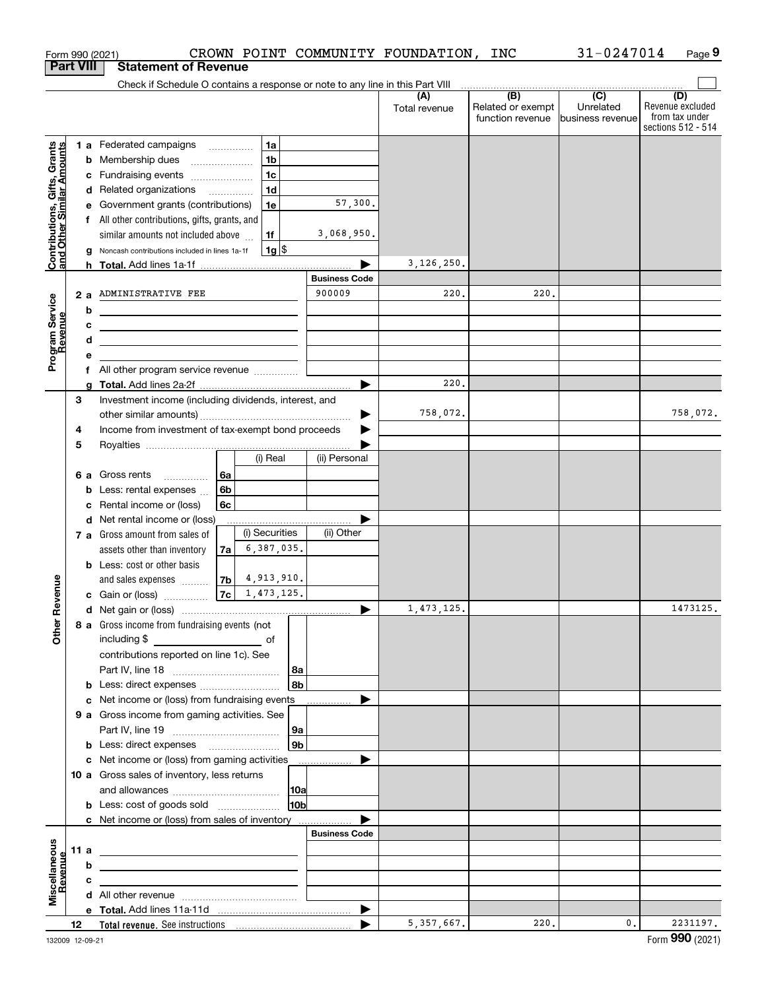|                                                           | Form 990 (2021)  |   |                                                                                                                       |          |                      |                      | CROWN POINT COMMUNITY FOUNDATION, INC |                   | 31-0247014       | Page 9                               |
|-----------------------------------------------------------|------------------|---|-----------------------------------------------------------------------------------------------------------------------|----------|----------------------|----------------------|---------------------------------------|-------------------|------------------|--------------------------------------|
|                                                           | <b>Part VIII</b> |   | <b>Statement of Revenue</b>                                                                                           |          |                      |                      |                                       |                   |                  |                                      |
|                                                           |                  |   | Check if Schedule O contains a response or note to any line in this Part VIII                                         |          |                      |                      |                                       | (B)               | $\overline{C}$   | (D)                                  |
|                                                           |                  |   |                                                                                                                       |          |                      |                      | (A)<br>Total revenue                  | Related or exempt | Unrelated        | Revenue excluded                     |
|                                                           |                  |   |                                                                                                                       |          |                      |                      |                                       | function revenue  | business revenue | from tax under<br>sections 512 - 514 |
|                                                           |                  |   |                                                                                                                       |          |                      |                      |                                       |                   |                  |                                      |
|                                                           |                  |   | 1 a Federated campaigns                                                                                               |          | 1a<br>1 <sub>b</sub> |                      |                                       |                   |                  |                                      |
| Contributions, Gifts, Grants<br>and Other Similar Amounts |                  |   | <b>b</b> Membership dues<br>c Fundraising events                                                                      |          | 1c                   |                      |                                       |                   |                  |                                      |
|                                                           |                  |   | d Related organizations                                                                                               |          | 1d                   |                      |                                       |                   |                  |                                      |
|                                                           |                  |   | e Government grants (contributions)                                                                                   |          | 1e                   | 57,300.              |                                       |                   |                  |                                      |
|                                                           |                  |   | f All other contributions, gifts, grants, and                                                                         |          |                      |                      |                                       |                   |                  |                                      |
|                                                           |                  |   | similar amounts not included above                                                                                    |          | 1f                   | 3,068,950.           |                                       |                   |                  |                                      |
|                                                           |                  |   | Noncash contributions included in lines 1a-1f                                                                         |          | $1g$ \$              |                      |                                       |                   |                  |                                      |
|                                                           |                  |   |                                                                                                                       |          |                      |                      | 3, 126, 250.                          |                   |                  |                                      |
|                                                           |                  |   |                                                                                                                       |          |                      | <b>Business Code</b> |                                       |                   |                  |                                      |
|                                                           | 2a               |   | ADMINISTRATIVE FEE                                                                                                    |          |                      | 900009               | 220.                                  | 220.              |                  |                                      |
|                                                           | b                |   |                                                                                                                       |          |                      |                      |                                       |                   |                  |                                      |
|                                                           | c                |   | <u> 1989 - Johann Harry Harry Harry Harry Harry Harry Harry Harry Harry Harry Harry Harry Harry Harry Harry Harry</u> |          |                      |                      |                                       |                   |                  |                                      |
|                                                           | d                |   | <u> 1989 - Johann Stein, marwolaethau a bhann an t-Amhair an t-Amhair an t-Amhair an t-Amhair an t-Amhair an t-A</u>  |          |                      |                      |                                       |                   |                  |                                      |
| Program Service<br>Revenue                                | е                |   |                                                                                                                       |          |                      |                      |                                       |                   |                  |                                      |
|                                                           | f                |   | All other program service revenue                                                                                     |          |                      |                      |                                       |                   |                  |                                      |
|                                                           | a                |   |                                                                                                                       |          |                      |                      | 220.                                  |                   |                  |                                      |
|                                                           | 3                |   | Investment income (including dividends, interest, and                                                                 |          |                      |                      |                                       |                   |                  |                                      |
|                                                           |                  |   |                                                                                                                       |          |                      |                      | 758,072.                              |                   |                  | 758,072.                             |
|                                                           | 4                |   | Income from investment of tax-exempt bond proceeds                                                                    |          |                      |                      |                                       |                   |                  |                                      |
|                                                           | 5                |   |                                                                                                                       |          | (i) Real             | (ii) Personal        |                                       |                   |                  |                                      |
|                                                           |                  |   |                                                                                                                       |          |                      |                      |                                       |                   |                  |                                      |
|                                                           |                  |   | 6 a Gross rents<br>.                                                                                                  | 6a<br>6b |                      |                      |                                       |                   |                  |                                      |
|                                                           | с                | b | Less: rental expenses<br>Rental income or (loss)                                                                      | 6с       |                      |                      |                                       |                   |                  |                                      |
|                                                           |                  |   | d Net rental income or (loss)                                                                                         |          |                      |                      |                                       |                   |                  |                                      |
|                                                           |                  |   | 7 a Gross amount from sales of                                                                                        |          | (i) Securities       | (ii) Other           |                                       |                   |                  |                                      |
|                                                           |                  |   | assets other than inventory                                                                                           | 7a       | 6,387,035.           |                      |                                       |                   |                  |                                      |
|                                                           |                  |   | <b>b</b> Less: cost or other basis                                                                                    |          |                      |                      |                                       |                   |                  |                                      |
|                                                           |                  |   | and sales expenses                                                                                                    | 7b       | 4,913,910.           |                      |                                       |                   |                  |                                      |
| venue                                                     |                  |   | c Gain or (loss)                                                                                                      | 7c       | 1,473,125.           |                      |                                       |                   |                  |                                      |
|                                                           |                  |   |                                                                                                                       |          |                      |                      | 1,473,125.                            |                   |                  | 1473125.                             |
| Other Re                                                  |                  |   | 8 a Gross income from fundraising events (not                                                                         |          |                      |                      |                                       |                   |                  |                                      |
|                                                           |                  |   |                                                                                                                       |          |                      |                      |                                       |                   |                  |                                      |
|                                                           |                  |   | contributions reported on line 1c). See                                                                               |          |                      |                      |                                       |                   |                  |                                      |
|                                                           |                  |   |                                                                                                                       |          | 8a                   |                      |                                       |                   |                  |                                      |
|                                                           |                  | b | Less: direct expenses                                                                                                 |          | 8b                   |                      |                                       |                   |                  |                                      |
|                                                           |                  |   | c Net income or (loss) from fundraising events                                                                        |          |                      | .                    |                                       |                   |                  |                                      |
|                                                           |                  |   | 9 a Gross income from gaming activities. See                                                                          |          |                      |                      |                                       |                   |                  |                                      |
|                                                           |                  |   |                                                                                                                       |          | 9а                   |                      |                                       |                   |                  |                                      |
|                                                           |                  |   |                                                                                                                       |          | 9b                   |                      |                                       |                   |                  |                                      |
|                                                           |                  |   | c Net income or (loss) from gaming activities                                                                         |          |                      | .                    |                                       |                   |                  |                                      |
|                                                           |                  |   | 10 a Gross sales of inventory, less returns                                                                           |          |                      |                      |                                       |                   |                  |                                      |
|                                                           |                  |   | <b>b</b> Less: cost of goods sold                                                                                     |          | 10a<br>10b           |                      |                                       |                   |                  |                                      |
|                                                           |                  |   | c Net income or (loss) from sales of inventory                                                                        |          |                      |                      |                                       |                   |                  |                                      |
|                                                           |                  |   |                                                                                                                       |          |                      | <b>Business Code</b> |                                       |                   |                  |                                      |
|                                                           | 11 a             |   |                                                                                                                       |          |                      |                      |                                       |                   |                  |                                      |
|                                                           | b                |   |                                                                                                                       |          |                      |                      |                                       |                   |                  |                                      |
| Miscellaneous<br>Revenue                                  | c                |   |                                                                                                                       |          |                      |                      |                                       |                   |                  |                                      |
|                                                           |                  |   |                                                                                                                       |          |                      |                      |                                       |                   |                  |                                      |
|                                                           |                  |   |                                                                                                                       |          |                      |                      |                                       |                   |                  |                                      |
|                                                           | 12               |   |                                                                                                                       |          |                      |                      | 5, 357, 667.                          | 220.              | 0.               | 2231197.                             |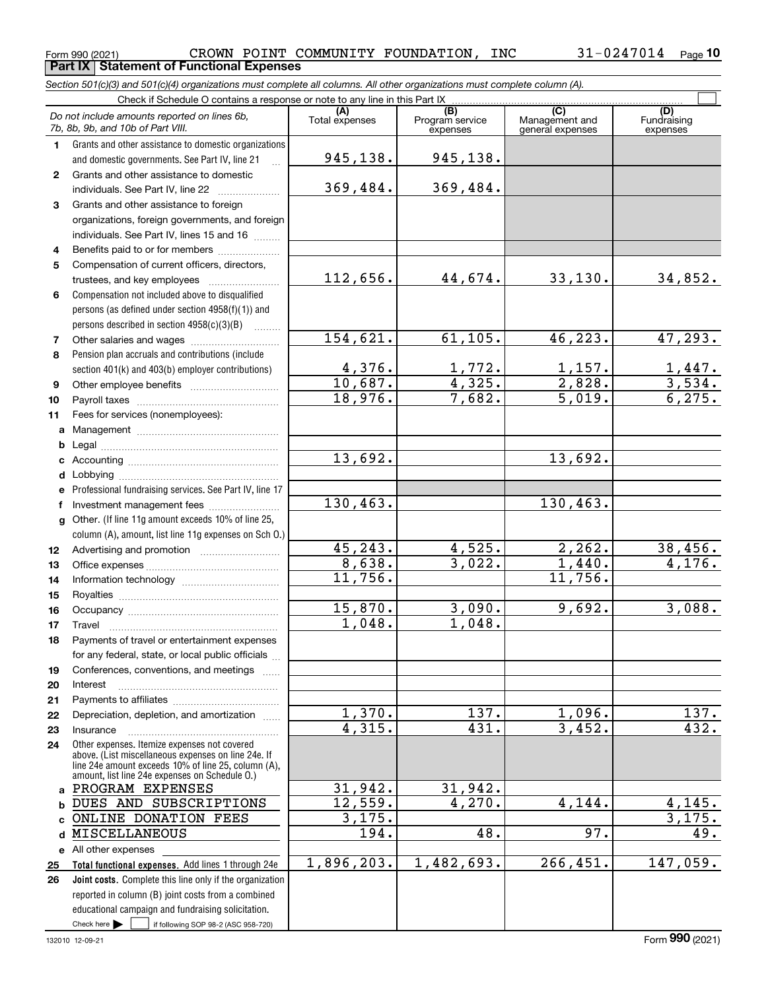#### Form 990 (2021) Page **Part IX Statement of Functional Expenses** CROWN POINT COMMUNITY FOUNDATION, INC 31-0247014

*Section 501(c)(3) and 501(c)(4) organizations must complete all columns. All other organizations must complete column (A).*

|                  | Do not include amounts reported on lines 6b,<br>7b, 8b, 9b, and 10b of Part VIII.                                                                                                                            | (A)<br>Total expenses  | $\overline{(B)}$<br>Program service<br>expenses | $\overline{C}$<br>Management and<br>general expenses | (D)<br>Fundraising<br>expenses |
|------------------|--------------------------------------------------------------------------------------------------------------------------------------------------------------------------------------------------------------|------------------------|-------------------------------------------------|------------------------------------------------------|--------------------------------|
| 1.               | Grants and other assistance to domestic organizations                                                                                                                                                        |                        |                                                 |                                                      |                                |
|                  | and domestic governments. See Part IV, line 21                                                                                                                                                               | 945,138.               | 945,138.                                        |                                                      |                                |
| $\mathbf{2}$     | Grants and other assistance to domestic                                                                                                                                                                      |                        |                                                 |                                                      |                                |
|                  | individuals. See Part IV, line 22                                                                                                                                                                            | 369,484.               | 369,484.                                        |                                                      |                                |
| 3                | Grants and other assistance to foreign                                                                                                                                                                       |                        |                                                 |                                                      |                                |
|                  | organizations, foreign governments, and foreign                                                                                                                                                              |                        |                                                 |                                                      |                                |
|                  | individuals. See Part IV, lines 15 and 16                                                                                                                                                                    |                        |                                                 |                                                      |                                |
| 4                | Benefits paid to or for members                                                                                                                                                                              |                        |                                                 |                                                      |                                |
| 5                | Compensation of current officers, directors,                                                                                                                                                                 |                        |                                                 |                                                      |                                |
|                  | trustees, and key employees                                                                                                                                                                                  | 112,656.               | 44,674.                                         | 33,130.                                              | 34,852.                        |
| 6                | Compensation not included above to disqualified                                                                                                                                                              |                        |                                                 |                                                      |                                |
|                  | persons (as defined under section 4958(f)(1)) and                                                                                                                                                            |                        |                                                 |                                                      |                                |
|                  | persons described in section 4958(c)(3)(B)                                                                                                                                                                   |                        |                                                 |                                                      |                                |
| 7                |                                                                                                                                                                                                              | 154,621.               | 61,105.                                         | 46,223.                                              | 47, 293.                       |
| 8                | Pension plan accruals and contributions (include                                                                                                                                                             |                        |                                                 |                                                      |                                |
|                  | section 401(k) and 403(b) employer contributions)                                                                                                                                                            | $\frac{4,376}{10,687}$ | $\frac{1,772.}{4,325.}$                         | $\frac{1,157.}{2,828.}$                              | $\frac{1,447}{3,534}$ .        |
| 9                |                                                                                                                                                                                                              |                        |                                                 |                                                      |                                |
| 10               |                                                                                                                                                                                                              | 18,976.                | 7,682.                                          | $\overline{5,019}$ .                                 | 6, 275.                        |
| 11               | Fees for services (nonemployees):                                                                                                                                                                            |                        |                                                 |                                                      |                                |
| a                |                                                                                                                                                                                                              |                        |                                                 |                                                      |                                |
| b                |                                                                                                                                                                                                              |                        |                                                 |                                                      |                                |
| c                |                                                                                                                                                                                                              | 13,692.                |                                                 | 13,692.                                              |                                |
| d                |                                                                                                                                                                                                              |                        |                                                 |                                                      |                                |
| е                | Professional fundraising services. See Part IV, line 17                                                                                                                                                      |                        |                                                 |                                                      |                                |
| f                | Investment management fees                                                                                                                                                                                   | 130,463.               |                                                 | 130,463.                                             |                                |
| g                | Other. (If line 11g amount exceeds 10% of line 25,                                                                                                                                                           |                        |                                                 |                                                      |                                |
|                  | column (A), amount, list line 11g expenses on Sch O.)                                                                                                                                                        |                        |                                                 |                                                      |                                |
| 12 <sup>12</sup> |                                                                                                                                                                                                              | 45, 243.               | 4,525.                                          | 2, 262.                                              | 38,456.                        |
| 13               |                                                                                                                                                                                                              | 8,638.                 | 3,022.                                          | 1,440.                                               | 4,176.                         |
| 14               |                                                                                                                                                                                                              | 11,756.                |                                                 | 11,756.                                              |                                |
| 15               |                                                                                                                                                                                                              |                        |                                                 |                                                      |                                |
| 16               |                                                                                                                                                                                                              | 15,870.                | 3,090.                                          | 9,692.                                               | 3,088.                         |
| 17               | Travel                                                                                                                                                                                                       | 1,048.                 | 1,048.                                          |                                                      |                                |
| 18               | Payments of travel or entertainment expenses                                                                                                                                                                 |                        |                                                 |                                                      |                                |
|                  | for any federal, state, or local public officials                                                                                                                                                            |                        |                                                 |                                                      |                                |
| 19               | Conferences, conventions, and meetings                                                                                                                                                                       |                        |                                                 |                                                      |                                |
| 20               | Interest                                                                                                                                                                                                     |                        |                                                 |                                                      |                                |
| 21               |                                                                                                                                                                                                              |                        |                                                 |                                                      |                                |
| 22               | Depreciation, depletion, and amortization                                                                                                                                                                    | $\overline{1,370}$ .   | 137.                                            | 1,096.<br>3,452.                                     | 137.                           |
| 23               | Insurance                                                                                                                                                                                                    | 4,315.                 | 431.                                            |                                                      | 432.                           |
| 24               | Other expenses. Itemize expenses not covered<br>above. (List miscellaneous expenses on line 24e. If<br>line 24e amount exceeds 10% of line 25, column (A),<br>amount, list line 24e expenses on Schedule 0.) |                        |                                                 |                                                      |                                |
|                  | a PROGRAM EXPENSES                                                                                                                                                                                           | 31,942.                | 31,942.                                         |                                                      |                                |
| b                | DUES AND SUBSCRIPTIONS                                                                                                                                                                                       | 12,559.                | 4,270.                                          | 4,144.                                               | 4,145.                         |
| c                | ONLINE DONATION FEES                                                                                                                                                                                         | 3,175.                 |                                                 |                                                      | 3,175.                         |
| d                | MISCELLANEOUS                                                                                                                                                                                                | 194.                   | 48.                                             | 97.                                                  | 49.                            |
|                  | e All other expenses                                                                                                                                                                                         |                        |                                                 |                                                      |                                |
| 25               | Total functional expenses. Add lines 1 through 24e                                                                                                                                                           | 1,896,203.             | 1,482,693.                                      | 266,451.                                             | 147,059.                       |
| 26               | Joint costs. Complete this line only if the organization                                                                                                                                                     |                        |                                                 |                                                      |                                |
|                  | reported in column (B) joint costs from a combined                                                                                                                                                           |                        |                                                 |                                                      |                                |
|                  | educational campaign and fundraising solicitation.                                                                                                                                                           |                        |                                                 |                                                      |                                |
|                  | Check here $\blacktriangleright$<br>if following SOP 98-2 (ASC 958-720)                                                                                                                                      |                        |                                                 |                                                      |                                |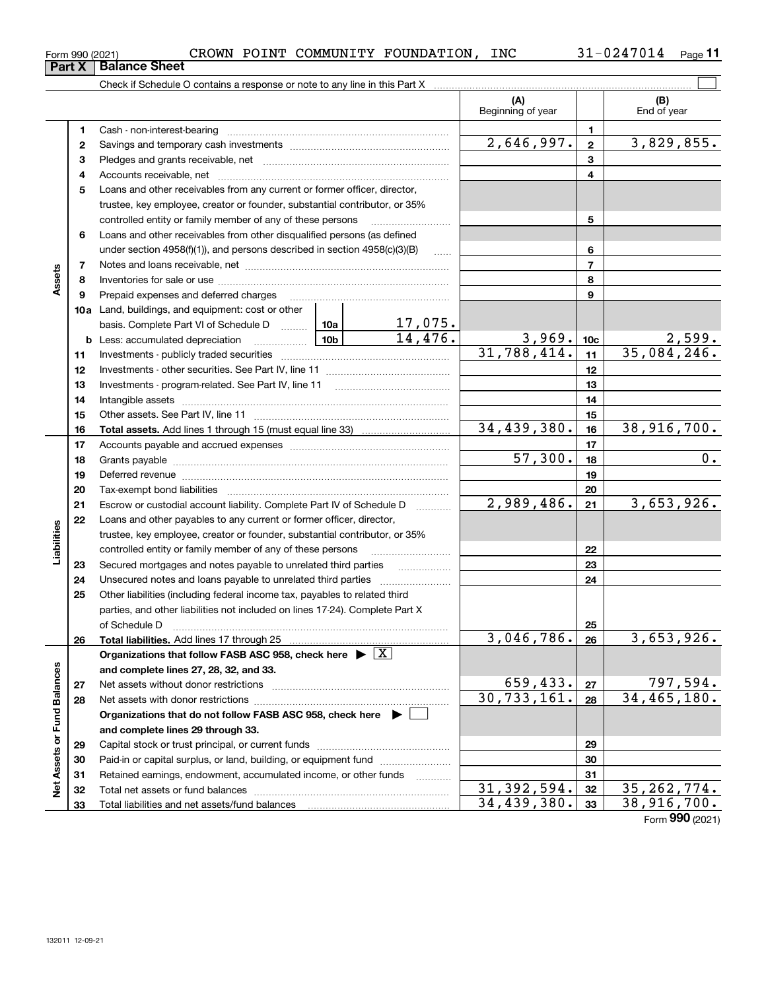|                      | Form 990 (2021) | CROWN POINT COMMUNITY FOUNDATION, INC                                                                                          |  |                |                            |              | $31 - 0247014$ Page 11         |
|----------------------|-----------------|--------------------------------------------------------------------------------------------------------------------------------|--|----------------|----------------------------|--------------|--------------------------------|
|                      | Part X          | <b>Balance Sheet</b>                                                                                                           |  |                |                            |              |                                |
|                      |                 |                                                                                                                                |  |                |                            |              |                                |
|                      |                 |                                                                                                                                |  |                | (A)<br>Beginning of year   |              | (B)<br>End of year             |
|                      | 1.              |                                                                                                                                |  |                |                            | 1.           |                                |
|                      | 2               |                                                                                                                                |  |                | 2,646,997.                 | $\mathbf{2}$ | 3,829,855.                     |
|                      | з               |                                                                                                                                |  |                |                            | 3            |                                |
|                      | 4               |                                                                                                                                |  |                |                            | 4            |                                |
|                      | 5               | Loans and other receivables from any current or former officer, director,                                                      |  |                |                            |              |                                |
|                      |                 | trustee, key employee, creator or founder, substantial contributor, or 35%                                                     |  |                |                            |              |                                |
|                      |                 | controlled entity or family member of any of these persons                                                                     |  |                |                            | 5            |                                |
|                      | 6               | Loans and other receivables from other disqualified persons (as defined                                                        |  |                |                            |              |                                |
|                      |                 | under section $4958(f)(1)$ , and persons described in section $4958(c)(3)(B)$                                                  |  |                |                            | 6            |                                |
|                      | 7               |                                                                                                                                |  | $\overline{7}$ |                            |              |                                |
| Assets               | 8               |                                                                                                                                |  |                |                            | 8            |                                |
|                      | 9               | Prepaid expenses and deferred charges [11] [11] [11] [12] [12] [12] [12] [13] [13] [13] [13] [13] [13] [13] [1                 |  |                |                            | 9            |                                |
|                      |                 | 10a Land, buildings, and equipment: cost or other                                                                              |  |                |                            |              |                                |
|                      |                 | basis. Complete Part VI of Schedule D  10a 10a 17, 075.                                                                        |  |                |                            |              |                                |
|                      |                 |                                                                                                                                |  |                | 3,969.                     | 10c          | $\frac{2,599}{35,084,246}$ .   |
|                      | 11              |                                                                                                                                |  |                | 31,788,414.                | 11           |                                |
|                      | 12              |                                                                                                                                |  |                |                            | 12           |                                |
|                      | 13              |                                                                                                                                |  |                |                            | 13           |                                |
|                      | 14              | Intangible assets with an according to the set of the set of the set of the set of the set of the set of the s                 |  |                |                            | 14           |                                |
|                      | 15              |                                                                                                                                |  |                | 15                         |              |                                |
|                      | 16              |                                                                                                                                |  |                | 34,439,380.                | 16           | 38,916,700.                    |
|                      | 17              |                                                                                                                                |  |                |                            | 17           |                                |
|                      | 18              |                                                                                                                                |  |                | 57,300.                    | 18           | 0.                             |
|                      | 19              |                                                                                                                                |  |                |                            | 19           |                                |
|                      | 20              |                                                                                                                                |  |                |                            | 20           |                                |
|                      | 21              | Escrow or custodial account liability. Complete Part IV of Schedule D                                                          |  |                | 2,989,486.                 | 21           | 3,653,926.                     |
|                      | 22              | Loans and other payables to any current or former officer, director,                                                           |  |                |                            |              |                                |
| abilities            |                 | trustee, key employee, creator or founder, substantial contributor, or 35%                                                     |  |                |                            |              |                                |
|                      |                 | controlled entity or family member of any of these persons                                                                     |  |                |                            | 22           |                                |
|                      | 23              | Secured mortgages and notes payable to unrelated third parties<br>Unsecured notes and loans payable to unrelated third parties |  |                |                            | 23<br>24     |                                |
|                      | 24<br>25        | Other liabilities (including federal income tax, payables to related third                                                     |  |                |                            |              |                                |
|                      |                 | parties, and other liabilities not included on lines 17-24). Complete Part X                                                   |  |                |                            |              |                                |
|                      |                 | of Schedule D                                                                                                                  |  |                |                            | 25           |                                |
|                      | 26              | Total liabilities. Add lines 17 through 25                                                                                     |  |                | 3,046,786.                 | 26           | 3,653,926.                     |
|                      |                 | Organizations that follow FASB ASC 958, check here $\blacktriangleright \lfloor X \rfloor$                                     |  |                |                            |              |                                |
|                      |                 | and complete lines 27, 28, 32, and 33.                                                                                         |  |                |                            |              |                                |
|                      | 27              | Net assets without donor restrictions                                                                                          |  |                | 659,433.                   | 27           |                                |
| <b>Fund Balances</b> | 28              |                                                                                                                                |  |                | $\overline{30, 733, 161.}$ | 28           | $\frac{797,594}{34,465,180}$ . |
|                      |                 | Organizations that do not follow FASB ASC 958, check here $\blacktriangleright$                                                |  |                |                            |              |                                |
|                      |                 | and complete lines 29 through 33.                                                                                              |  |                |                            |              |                                |
|                      | 29              |                                                                                                                                |  |                |                            | 29           |                                |
|                      | 30              | Paid-in or capital surplus, or land, building, or equipment fund                                                               |  |                |                            | 30           |                                |
| Net Assets or        | 31              | Retained earnings, endowment, accumulated income, or other funds                                                               |  | .              |                            | 31           |                                |
|                      | 32              |                                                                                                                                |  |                | 31, 392, 594.              | 32           | 35, 262, 774.                  |

Total liabilities and net assets/fund balances

**33**

34,439,380.|<sub>33</sub>| 38,916,700.

Form (2021) **990**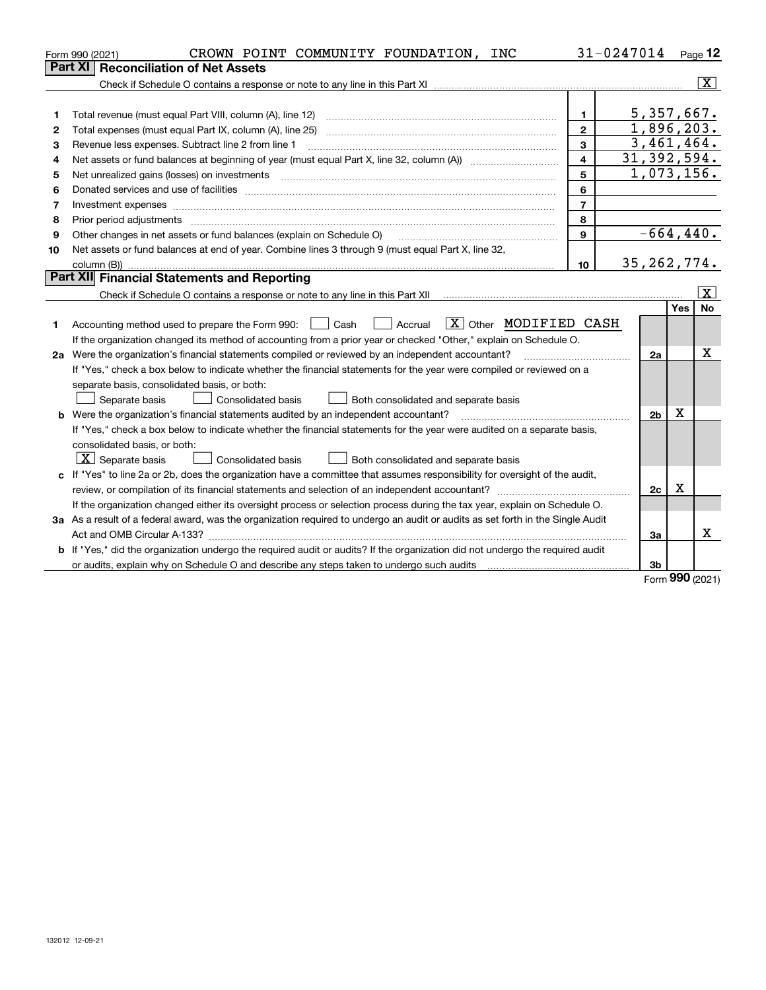|    | CROWN POINT COMMUNITY FOUNDATION,<br><b>INC</b><br>Form 990 (2021)                                                                                                                                                             |                | 31-0247014 |                         |            | Page $12$               |
|----|--------------------------------------------------------------------------------------------------------------------------------------------------------------------------------------------------------------------------------|----------------|------------|-------------------------|------------|-------------------------|
|    | Part XI<br><b>Reconciliation of Net Assets</b>                                                                                                                                                                                 |                |            |                         |            |                         |
|    |                                                                                                                                                                                                                                |                |            |                         |            | $\overline{\mathbf{x}}$ |
|    |                                                                                                                                                                                                                                |                |            |                         |            |                         |
| 1  |                                                                                                                                                                                                                                | $\mathbf{1}$   |            | 5,357,667.              |            |                         |
| 2  | Total expenses (must equal Part IX, column (A), line 25)                                                                                                                                                                       | $\overline{2}$ |            | 1,896,203.              |            |                         |
| З  | Revenue less expenses. Subtract line 2 from line 1                                                                                                                                                                             | 3              |            | $\overline{3,461},464.$ |            |                         |
| 4  |                                                                                                                                                                                                                                | $\overline{4}$ |            | 31, 392, 594.           |            |                         |
| 5  | Net unrealized gains (losses) on investments [11] [12] [12] [13] [13] [13] [13] [14] [15] [15] [15] [15] [15] [                                                                                                                | 5              |            | 1,073,156.              |            |                         |
| 6  | Donated services and use of facilities [111] matter contracts and the facilities in the matter of facilities [11] matter contracts and use of facilities [11] matter contracts and the service of the service of the service o | 6              |            |                         |            |                         |
| 7  | Investment expenses www.communication.com/www.communication.com/www.communication.com/www.com                                                                                                                                  | $\overline{7}$ |            |                         |            |                         |
| 8  | Prior period adjustments                                                                                                                                                                                                       | 8              |            |                         |            |                         |
| 9  | Other changes in net assets or fund balances (explain on Schedule O)                                                                                                                                                           | 9              |            | $-664, 440.$            |            |                         |
| 10 | Net assets or fund balances at end of year. Combine lines 3 through 9 (must equal Part X, line 32,                                                                                                                             |                |            |                         |            |                         |
|    | column (B))                                                                                                                                                                                                                    | 10             |            | 35, 262, 774.           |            |                         |
|    | <b>Part XII</b> Financial Statements and Reporting                                                                                                                                                                             |                |            |                         |            |                         |
|    |                                                                                                                                                                                                                                |                |            |                         |            | $\mathbf{x}$            |
|    |                                                                                                                                                                                                                                |                |            |                         | <b>Yes</b> | <b>No</b>               |
| 1  | $\boxed{\text{X}}$ Other MODIFIED CASH<br>Accounting method used to prepare the Form 990: [139] Cash<br>Accrual                                                                                                                |                |            |                         |            |                         |
|    | If the organization changed its method of accounting from a prior year or checked "Other," explain on Schedule O.                                                                                                              |                |            |                         |            |                         |
|    | 2a Were the organization's financial statements compiled or reviewed by an independent accountant?                                                                                                                             |                |            | 2a                      |            | x                       |
|    | If "Yes," check a box below to indicate whether the financial statements for the year were compiled or reviewed on a                                                                                                           |                |            |                         |            |                         |
|    | separate basis, consolidated basis, or both:                                                                                                                                                                                   |                |            |                         |            |                         |
|    | Separate basis<br><b>Consolidated basis</b><br>Both consolidated and separate basis                                                                                                                                            |                |            |                         |            |                         |
|    | <b>b</b> Were the organization's financial statements audited by an independent accountant?                                                                                                                                    |                |            | 2 <sub>b</sub>          | Х          |                         |
|    | If "Yes," check a box below to indicate whether the financial statements for the year were audited on a separate basis,                                                                                                        |                |            |                         |            |                         |
|    | consolidated basis, or both:                                                                                                                                                                                                   |                |            |                         |            |                         |
|    | $\mid$ $\rm X\mid$ Separate basis<br>Consolidated basis<br>Both consolidated and separate basis                                                                                                                                |                |            |                         |            |                         |
|    | c If "Yes" to line 2a or 2b, does the organization have a committee that assumes responsibility for oversight of the audit,                                                                                                    |                |            |                         |            |                         |
|    |                                                                                                                                                                                                                                |                |            | 2c                      | х          |                         |
|    | If the organization changed either its oversight process or selection process during the tax year, explain on Schedule O.                                                                                                      |                |            |                         |            |                         |
|    | 3a As a result of a federal award, was the organization required to undergo an audit or audits as set forth in the Single Audit                                                                                                |                |            |                         |            |                         |
|    |                                                                                                                                                                                                                                |                |            | За                      |            | х                       |
|    | <b>b</b> If "Yes," did the organization undergo the required audit or audits? If the organization did not undergo the required audit                                                                                           |                |            |                         |            |                         |
|    |                                                                                                                                                                                                                                |                |            | 3 <sub>b</sub>          |            |                         |

Form (2021) **990**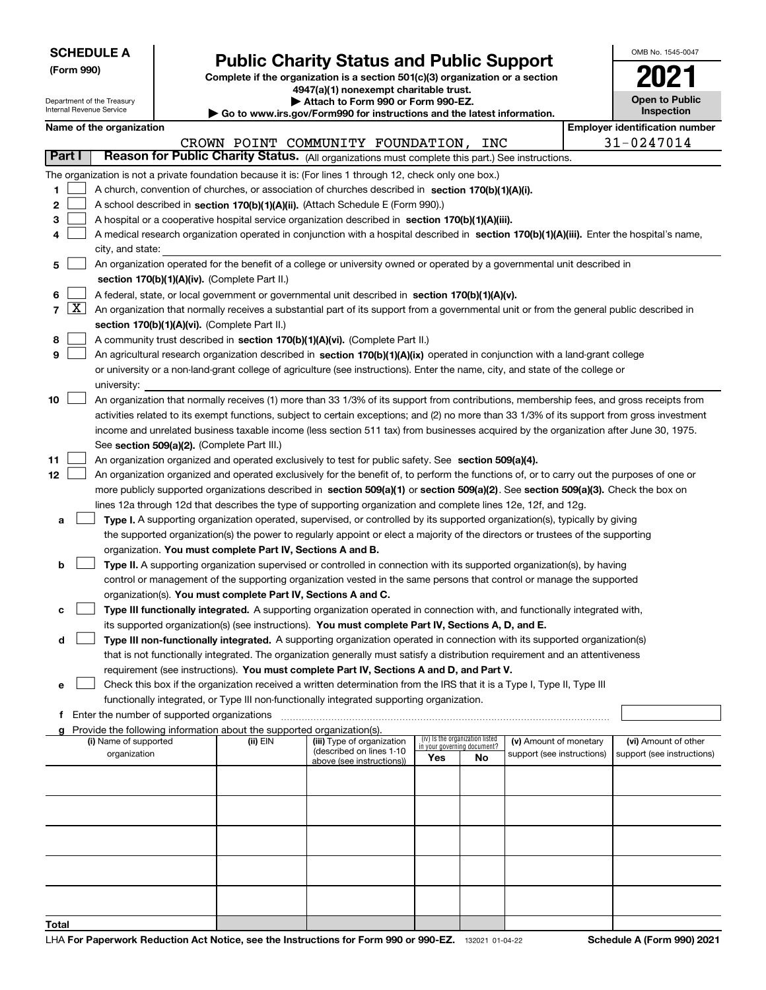| <b>SCHEDULE A</b> |  |
|-------------------|--|
|-------------------|--|

Department of the Treasury

**(Form 990)**

**Total**

### **Public Charity Status and Public Support**

**Complete if the organization is a section 501(c)(3) organization or a section 4947(a)(1) nonexempt charitable trust.**

**| Attach to Form 990 or Form 990-EZ.** 

| OMB No. 1545-0047                   |
|-------------------------------------|
|                                     |
| <b>Open to Public</b><br>Inspection |

|        | Internal Revenue Service<br>Inspection<br>Go to www.irs.gov/Form990 for instructions and the latest information. |                                                                                                                                                                                                                                                                                          |  |                                                                                    |                                                                                                                                                                                                               |  |                                 |                        |  |                                       |  |
|--------|------------------------------------------------------------------------------------------------------------------|------------------------------------------------------------------------------------------------------------------------------------------------------------------------------------------------------------------------------------------------------------------------------------------|--|------------------------------------------------------------------------------------|---------------------------------------------------------------------------------------------------------------------------------------------------------------------------------------------------------------|--|---------------------------------|------------------------|--|---------------------------------------|--|
|        |                                                                                                                  | Name of the organization                                                                                                                                                                                                                                                                 |  |                                                                                    |                                                                                                                                                                                                               |  |                                 |                        |  | <b>Employer identification number</b> |  |
|        |                                                                                                                  |                                                                                                                                                                                                                                                                                          |  |                                                                                    | CROWN POINT COMMUNITY FOUNDATION, INC                                                                                                                                                                         |  |                                 |                        |  | 31-0247014                            |  |
|        | Part I                                                                                                           |                                                                                                                                                                                                                                                                                          |  |                                                                                    | Reason for Public Charity Status. (All organizations must complete this part.) See instructions.                                                                                                              |  |                                 |                        |  |                                       |  |
|        |                                                                                                                  |                                                                                                                                                                                                                                                                                          |  |                                                                                    | The organization is not a private foundation because it is: (For lines 1 through 12, check only one box.)                                                                                                     |  |                                 |                        |  |                                       |  |
| 1.     |                                                                                                                  |                                                                                                                                                                                                                                                                                          |  |                                                                                    | A church, convention of churches, or association of churches described in section 170(b)(1)(A)(i).                                                                                                            |  |                                 |                        |  |                                       |  |
| 2      |                                                                                                                  |                                                                                                                                                                                                                                                                                          |  |                                                                                    | A school described in section 170(b)(1)(A)(ii). (Attach Schedule E (Form 990).)                                                                                                                               |  |                                 |                        |  |                                       |  |
| з      |                                                                                                                  |                                                                                                                                                                                                                                                                                          |  |                                                                                    | A hospital or a cooperative hospital service organization described in section 170(b)(1)(A)(iii).                                                                                                             |  |                                 |                        |  |                                       |  |
| 4      |                                                                                                                  |                                                                                                                                                                                                                                                                                          |  |                                                                                    | A medical research organization operated in conjunction with a hospital described in section 170(b)(1)(A)(iii). Enter the hospital's name,                                                                    |  |                                 |                        |  |                                       |  |
|        |                                                                                                                  | city, and state:                                                                                                                                                                                                                                                                         |  |                                                                                    |                                                                                                                                                                                                               |  |                                 |                        |  |                                       |  |
| 5      |                                                                                                                  |                                                                                                                                                                                                                                                                                          |  |                                                                                    | An organization operated for the benefit of a college or university owned or operated by a governmental unit described in                                                                                     |  |                                 |                        |  |                                       |  |
|        |                                                                                                                  |                                                                                                                                                                                                                                                                                          |  | section 170(b)(1)(A)(iv). (Complete Part II.)                                      |                                                                                                                                                                                                               |  |                                 |                        |  |                                       |  |
| 6      | $\boxed{\text{X}}$                                                                                               |                                                                                                                                                                                                                                                                                          |  |                                                                                    | A federal, state, or local government or governmental unit described in section 170(b)(1)(A)(v).                                                                                                              |  |                                 |                        |  |                                       |  |
| 7      |                                                                                                                  |                                                                                                                                                                                                                                                                                          |  |                                                                                    | An organization that normally receives a substantial part of its support from a governmental unit or from the general public described in                                                                     |  |                                 |                        |  |                                       |  |
|        |                                                                                                                  |                                                                                                                                                                                                                                                                                          |  | section 170(b)(1)(A)(vi). (Complete Part II.)                                      |                                                                                                                                                                                                               |  |                                 |                        |  |                                       |  |
| 8<br>9 |                                                                                                                  |                                                                                                                                                                                                                                                                                          |  |                                                                                    | A community trust described in section 170(b)(1)(A)(vi). (Complete Part II.)<br>An agricultural research organization described in section 170(b)(1)(A)(ix) operated in conjunction with a land-grant college |  |                                 |                        |  |                                       |  |
|        |                                                                                                                  |                                                                                                                                                                                                                                                                                          |  |                                                                                    |                                                                                                                                                                                                               |  |                                 |                        |  |                                       |  |
|        |                                                                                                                  | university:                                                                                                                                                                                                                                                                              |  |                                                                                    | or university or a non-land-grant college of agriculture (see instructions). Enter the name, city, and state of the college or                                                                                |  |                                 |                        |  |                                       |  |
| 10     |                                                                                                                  |                                                                                                                                                                                                                                                                                          |  |                                                                                    |                                                                                                                                                                                                               |  |                                 |                        |  |                                       |  |
|        |                                                                                                                  | An organization that normally receives (1) more than 33 1/3% of its support from contributions, membership fees, and gross receipts from<br>activities related to its exempt functions, subject to certain exceptions; and (2) no more than 33 1/3% of its support from gross investment |  |                                                                                    |                                                                                                                                                                                                               |  |                                 |                        |  |                                       |  |
|        |                                                                                                                  | income and unrelated business taxable income (less section 511 tax) from businesses acquired by the organization after June 30, 1975.                                                                                                                                                    |  |                                                                                    |                                                                                                                                                                                                               |  |                                 |                        |  |                                       |  |
|        |                                                                                                                  | See section 509(a)(2). (Complete Part III.)                                                                                                                                                                                                                                              |  |                                                                                    |                                                                                                                                                                                                               |  |                                 |                        |  |                                       |  |
| 11     |                                                                                                                  | An organization organized and operated exclusively to test for public safety. See section 509(a)(4).                                                                                                                                                                                     |  |                                                                                    |                                                                                                                                                                                                               |  |                                 |                        |  |                                       |  |
| 12     |                                                                                                                  | An organization organized and operated exclusively for the benefit of, to perform the functions of, or to carry out the purposes of one or                                                                                                                                               |  |                                                                                    |                                                                                                                                                                                                               |  |                                 |                        |  |                                       |  |
|        |                                                                                                                  |                                                                                                                                                                                                                                                                                          |  |                                                                                    | more publicly supported organizations described in section 509(a)(1) or section 509(a)(2). See section 509(a)(3). Check the box on                                                                            |  |                                 |                        |  |                                       |  |
|        |                                                                                                                  |                                                                                                                                                                                                                                                                                          |  |                                                                                    | lines 12a through 12d that describes the type of supporting organization and complete lines 12e, 12f, and 12g.                                                                                                |  |                                 |                        |  |                                       |  |
| а      |                                                                                                                  |                                                                                                                                                                                                                                                                                          |  |                                                                                    | Type I. A supporting organization operated, supervised, or controlled by its supported organization(s), typically by giving                                                                                   |  |                                 |                        |  |                                       |  |
|        |                                                                                                                  |                                                                                                                                                                                                                                                                                          |  |                                                                                    | the supported organization(s) the power to regularly appoint or elect a majority of the directors or trustees of the supporting                                                                               |  |                                 |                        |  |                                       |  |
|        |                                                                                                                  |                                                                                                                                                                                                                                                                                          |  | organization. You must complete Part IV, Sections A and B.                         |                                                                                                                                                                                                               |  |                                 |                        |  |                                       |  |
| b      |                                                                                                                  |                                                                                                                                                                                                                                                                                          |  |                                                                                    | Type II. A supporting organization supervised or controlled in connection with its supported organization(s), by having                                                                                       |  |                                 |                        |  |                                       |  |
|        |                                                                                                                  |                                                                                                                                                                                                                                                                                          |  |                                                                                    | control or management of the supporting organization vested in the same persons that control or manage the supported                                                                                          |  |                                 |                        |  |                                       |  |
|        |                                                                                                                  |                                                                                                                                                                                                                                                                                          |  |                                                                                    | organization(s). You must complete Part IV, Sections A and C.                                                                                                                                                 |  |                                 |                        |  |                                       |  |
| с      |                                                                                                                  |                                                                                                                                                                                                                                                                                          |  |                                                                                    | Type III functionally integrated. A supporting organization operated in connection with, and functionally integrated with,                                                                                    |  |                                 |                        |  |                                       |  |
|        |                                                                                                                  |                                                                                                                                                                                                                                                                                          |  |                                                                                    | its supported organization(s) (see instructions). You must complete Part IV, Sections A, D, and E.                                                                                                            |  |                                 |                        |  |                                       |  |
| d      |                                                                                                                  |                                                                                                                                                                                                                                                                                          |  |                                                                                    | Type III non-functionally integrated. A supporting organization operated in connection with its supported organization(s)                                                                                     |  |                                 |                        |  |                                       |  |
|        |                                                                                                                  |                                                                                                                                                                                                                                                                                          |  |                                                                                    | that is not functionally integrated. The organization generally must satisfy a distribution requirement and an attentiveness                                                                                  |  |                                 |                        |  |                                       |  |
|        |                                                                                                                  |                                                                                                                                                                                                                                                                                          |  |                                                                                    | requirement (see instructions). <b>You must complete Part IV, Sections A and D, and Part V.</b>                                                                                                               |  |                                 |                        |  |                                       |  |
| е      |                                                                                                                  |                                                                                                                                                                                                                                                                                          |  |                                                                                    | Check this box if the organization received a written determination from the IRS that it is a Type I, Type II, Type III                                                                                       |  |                                 |                        |  |                                       |  |
|        |                                                                                                                  |                                                                                                                                                                                                                                                                                          |  |                                                                                    | functionally integrated, or Type III non-functionally integrated supporting organization.                                                                                                                     |  |                                 |                        |  |                                       |  |
| f      |                                                                                                                  | Enter the number of supported organizations                                                                                                                                                                                                                                              |  |                                                                                    |                                                                                                                                                                                                               |  |                                 |                        |  |                                       |  |
|        |                                                                                                                  | (i) Name of supported                                                                                                                                                                                                                                                                    |  | Provide the following information about the supported organization(s).<br>(ii) EIN | (iii) Type of organization                                                                                                                                                                                    |  | (iv) Is the organization listed | (v) Amount of monetary |  | (vi) Amount of other                  |  |
|        |                                                                                                                  | in your governing document?<br>(described on lines 1-10<br>organization<br>support (see instructions)<br>support (see instructions)<br>Yes<br>No                                                                                                                                         |  |                                                                                    |                                                                                                                                                                                                               |  |                                 |                        |  |                                       |  |
|        |                                                                                                                  |                                                                                                                                                                                                                                                                                          |  |                                                                                    | above (see instructions))                                                                                                                                                                                     |  |                                 |                        |  |                                       |  |
|        |                                                                                                                  |                                                                                                                                                                                                                                                                                          |  |                                                                                    |                                                                                                                                                                                                               |  |                                 |                        |  |                                       |  |
|        |                                                                                                                  |                                                                                                                                                                                                                                                                                          |  |                                                                                    |                                                                                                                                                                                                               |  |                                 |                        |  |                                       |  |
|        |                                                                                                                  |                                                                                                                                                                                                                                                                                          |  |                                                                                    |                                                                                                                                                                                                               |  |                                 |                        |  |                                       |  |
|        |                                                                                                                  |                                                                                                                                                                                                                                                                                          |  |                                                                                    |                                                                                                                                                                                                               |  |                                 |                        |  |                                       |  |
|        |                                                                                                                  |                                                                                                                                                                                                                                                                                          |  |                                                                                    |                                                                                                                                                                                                               |  |                                 |                        |  |                                       |  |
|        |                                                                                                                  |                                                                                                                                                                                                                                                                                          |  |                                                                                    |                                                                                                                                                                                                               |  |                                 |                        |  |                                       |  |
|        |                                                                                                                  |                                                                                                                                                                                                                                                                                          |  |                                                                                    |                                                                                                                                                                                                               |  |                                 |                        |  |                                       |  |
|        |                                                                                                                  |                                                                                                                                                                                                                                                                                          |  |                                                                                    |                                                                                                                                                                                                               |  |                                 |                        |  |                                       |  |
|        |                                                                                                                  |                                                                                                                                                                                                                                                                                          |  |                                                                                    |                                                                                                                                                                                                               |  |                                 |                        |  |                                       |  |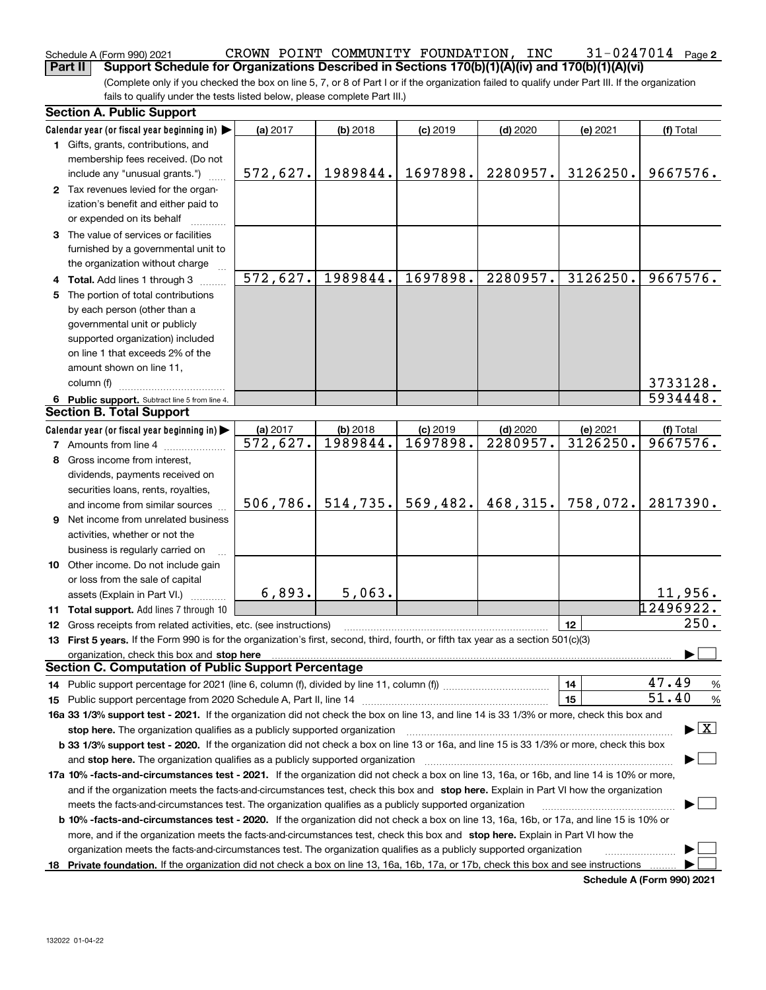#### Schedule A (Form 990) 2021 CR**OWN** POINT COMMUNITY FOUNDATION, INC 31-0247014 Page **Part II** Support Schedule for Organizations Described in Sections 170(b)(1)(A)(iv) and 170(b)(1)(A)(vi)

(Complete only if you checked the box on line 5, 7, or 8 of Part I or if the organization failed to qualify under Part III. If the organization fails to qualify under the tests listed below, please complete Part III.)

|   | <b>Section A. Public Support</b>                                                                                                               |                        |            |            |            |          |                                          |  |  |
|---|------------------------------------------------------------------------------------------------------------------------------------------------|------------------------|------------|------------|------------|----------|------------------------------------------|--|--|
|   | Calendar year (or fiscal year beginning in)                                                                                                    | (a) 2017               | (b) 2018   | $(c)$ 2019 | $(d)$ 2020 | (e) 2021 | (f) Total                                |  |  |
|   | 1 Gifts, grants, contributions, and                                                                                                            |                        |            |            |            |          |                                          |  |  |
|   | membership fees received. (Do not                                                                                                              |                        |            |            |            |          |                                          |  |  |
|   | include any "unusual grants.")                                                                                                                 | 572,627.               | 1989844.   | 1697898.   | 2280957.   | 3126250. | 9667576.                                 |  |  |
|   | 2 Tax revenues levied for the organ-                                                                                                           |                        |            |            |            |          |                                          |  |  |
|   | ization's benefit and either paid to                                                                                                           |                        |            |            |            |          |                                          |  |  |
|   | or expended on its behalf                                                                                                                      |                        |            |            |            |          |                                          |  |  |
|   | 3 The value of services or facilities                                                                                                          |                        |            |            |            |          |                                          |  |  |
|   | furnished by a governmental unit to                                                                                                            |                        |            |            |            |          |                                          |  |  |
|   | the organization without charge                                                                                                                |                        |            |            |            |          |                                          |  |  |
|   | 4 Total. Add lines 1 through 3                                                                                                                 | 572,627.               | 1989844.   | 1697898.   | 2280957.   | 3126250. | 9667576.                                 |  |  |
| 5 | The portion of total contributions                                                                                                             |                        |            |            |            |          |                                          |  |  |
|   | by each person (other than a                                                                                                                   |                        |            |            |            |          |                                          |  |  |
|   | governmental unit or publicly                                                                                                                  |                        |            |            |            |          |                                          |  |  |
|   | supported organization) included                                                                                                               |                        |            |            |            |          |                                          |  |  |
|   | on line 1 that exceeds 2% of the                                                                                                               |                        |            |            |            |          |                                          |  |  |
|   | amount shown on line 11,                                                                                                                       |                        |            |            |            |          |                                          |  |  |
|   | column (f)                                                                                                                                     |                        |            |            |            |          | 3733128.                                 |  |  |
|   | 6 Public support. Subtract line 5 from line 4.                                                                                                 |                        |            |            |            |          | 5934448.                                 |  |  |
|   | <b>Section B. Total Support</b>                                                                                                                |                        |            |            |            |          |                                          |  |  |
|   | Calendar year (or fiscal year beginning in)                                                                                                    | (a) 2017               | $(b)$ 2018 | $(c)$ 2019 | $(d)$ 2020 | (e) 2021 | (f) Total                                |  |  |
|   | <b>7</b> Amounts from line 4                                                                                                                   | $\overline{572,627}$ . | 1989844.   | 1697898.   | 2280957.   | 3126250. | 9667576.                                 |  |  |
| 8 | Gross income from interest,                                                                                                                    |                        |            |            |            |          |                                          |  |  |
|   | dividends, payments received on                                                                                                                |                        |            |            |            |          |                                          |  |  |
|   | securities loans, rents, royalties,                                                                                                            |                        |            |            |            |          |                                          |  |  |
|   | and income from similar sources                                                                                                                | 506,786.               | 514, 735.  | 569,482.   | 468, 315.  | 758,072. | 2817390.                                 |  |  |
| 9 | Net income from unrelated business                                                                                                             |                        |            |            |            |          |                                          |  |  |
|   | activities, whether or not the                                                                                                                 |                        |            |            |            |          |                                          |  |  |
|   | business is regularly carried on                                                                                                               |                        |            |            |            |          |                                          |  |  |
|   | 10 Other income. Do not include gain                                                                                                           |                        |            |            |            |          |                                          |  |  |
|   | or loss from the sale of capital                                                                                                               |                        |            |            |            |          |                                          |  |  |
|   | assets (Explain in Part VI.)                                                                                                                   | 6,893.                 | 5,063.     |            |            |          | 11,956.                                  |  |  |
|   | 11 Total support. Add lines 7 through 10                                                                                                       |                        |            |            |            |          | 12496922.                                |  |  |
|   | 12 Gross receipts from related activities, etc. (see instructions)                                                                             |                        |            |            |            | 12       | 250.                                     |  |  |
|   | 13 First 5 years. If the Form 990 is for the organization's first, second, third, fourth, or fifth tax year as a section 501(c)(3)             |                        |            |            |            |          |                                          |  |  |
|   |                                                                                                                                                |                        |            |            |            |          |                                          |  |  |
|   | <b>Section C. Computation of Public Support Percentage</b>                                                                                     |                        |            |            |            |          |                                          |  |  |
|   |                                                                                                                                                |                        |            |            |            | 14       | 47.49<br>%                               |  |  |
|   |                                                                                                                                                |                        |            |            |            | 15       | 51.40<br>%                               |  |  |
|   | 16a 33 1/3% support test - 2021. If the organization did not check the box on line 13, and line 14 is 33 1/3% or more, check this box and      |                        |            |            |            |          |                                          |  |  |
|   | stop here. The organization qualifies as a publicly supported organization                                                                     |                        |            |            |            |          | $\blacktriangleright$ $\boxed{\text{X}}$ |  |  |
|   | b 33 1/3% support test - 2020. If the organization did not check a box on line 13 or 16a, and line 15 is 33 1/3% or more, check this box       |                        |            |            |            |          |                                          |  |  |
|   | and stop here. The organization qualifies as a publicly supported organization                                                                 |                        |            |            |            |          |                                          |  |  |
|   | 17a 10% -facts-and-circumstances test - 2021. If the organization did not check a box on line 13, 16a, or 16b, and line 14 is 10% or more,     |                        |            |            |            |          |                                          |  |  |
|   | and if the organization meets the facts-and-circumstances test, check this box and stop here. Explain in Part VI how the organization          |                        |            |            |            |          |                                          |  |  |
|   | meets the facts-and-circumstances test. The organization qualifies as a publicly supported organization                                        |                        |            |            |            |          |                                          |  |  |
|   | <b>b 10% -facts-and-circumstances test - 2020.</b> If the organization did not check a box on line 13, 16a, 16b, or 17a, and line 15 is 10% or |                        |            |            |            |          |                                          |  |  |
|   | more, and if the organization meets the facts-and-circumstances test, check this box and stop here. Explain in Part VI how the                 |                        |            |            |            |          |                                          |  |  |
|   | organization meets the facts-and-circumstances test. The organization qualifies as a publicly supported organization                           |                        |            |            |            |          |                                          |  |  |
|   | 18 Private foundation. If the organization did not check a box on line 13, 16a, 16b, 17a, or 17b, check this box and see instructions          |                        |            |            |            |          |                                          |  |  |
|   |                                                                                                                                                |                        |            |            |            |          |                                          |  |  |

**Schedule A (Form 990) 2021**

**2**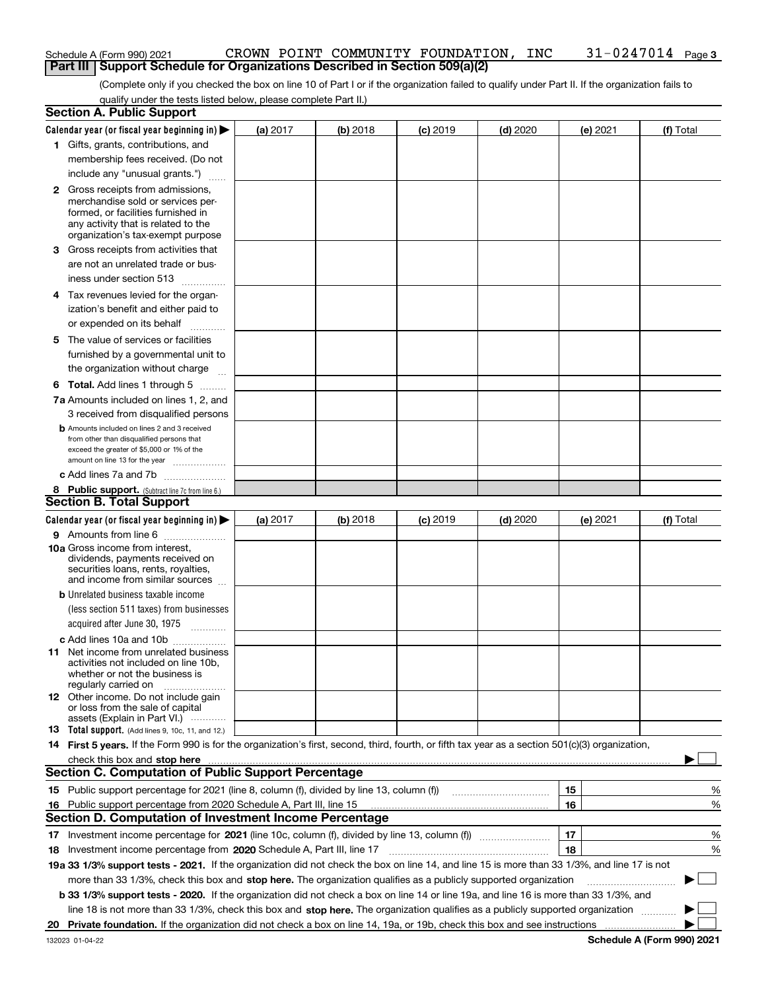| Schedule A (Form 990) 2021 |                                                                            |  | CROWN POINT COMMUNITY FOUNDATION, INC |  | $31 - 0247014$ Page 3 |
|----------------------------|----------------------------------------------------------------------------|--|---------------------------------------|--|-----------------------|
|                            | Part III Support Schedule for Organizations Described in Section 509(a)(2) |  |                                       |  |                       |

(Complete only if you checked the box on line 10 of Part I or if the organization failed to qualify under Part II. If the organization fails to qualify under the tests listed below, please complete Part II.)

|    | <b>Section A. Public Support</b>                                                                                                                                                                                                   |          |          |            |            |          |           |
|----|------------------------------------------------------------------------------------------------------------------------------------------------------------------------------------------------------------------------------------|----------|----------|------------|------------|----------|-----------|
|    | Calendar year (or fiscal year beginning in) $\blacktriangleright$                                                                                                                                                                  | (a) 2017 | (b) 2018 | $(c)$ 2019 | $(d)$ 2020 | (e) 2021 | (f) Total |
|    | 1 Gifts, grants, contributions, and                                                                                                                                                                                                |          |          |            |            |          |           |
|    | membership fees received. (Do not                                                                                                                                                                                                  |          |          |            |            |          |           |
|    | include any "unusual grants.")                                                                                                                                                                                                     |          |          |            |            |          |           |
|    | <b>2</b> Gross receipts from admissions,                                                                                                                                                                                           |          |          |            |            |          |           |
|    | merchandise sold or services per-                                                                                                                                                                                                  |          |          |            |            |          |           |
|    | formed, or facilities furnished in                                                                                                                                                                                                 |          |          |            |            |          |           |
|    | any activity that is related to the<br>organization's tax-exempt purpose                                                                                                                                                           |          |          |            |            |          |           |
|    | 3 Gross receipts from activities that                                                                                                                                                                                              |          |          |            |            |          |           |
|    | are not an unrelated trade or bus-                                                                                                                                                                                                 |          |          |            |            |          |           |
|    |                                                                                                                                                                                                                                    |          |          |            |            |          |           |
|    | iness under section 513                                                                                                                                                                                                            |          |          |            |            |          |           |
|    | 4 Tax revenues levied for the organ-                                                                                                                                                                                               |          |          |            |            |          |           |
|    | ization's benefit and either paid to                                                                                                                                                                                               |          |          |            |            |          |           |
|    | or expended on its behalf<br>.                                                                                                                                                                                                     |          |          |            |            |          |           |
|    | 5 The value of services or facilities                                                                                                                                                                                              |          |          |            |            |          |           |
|    | furnished by a governmental unit to                                                                                                                                                                                                |          |          |            |            |          |           |
|    | the organization without charge                                                                                                                                                                                                    |          |          |            |            |          |           |
|    | <b>6 Total.</b> Add lines 1 through 5 $\dots$                                                                                                                                                                                      |          |          |            |            |          |           |
|    | 7a Amounts included on lines 1, 2, and                                                                                                                                                                                             |          |          |            |            |          |           |
|    | 3 received from disqualified persons                                                                                                                                                                                               |          |          |            |            |          |           |
|    | <b>b</b> Amounts included on lines 2 and 3 received                                                                                                                                                                                |          |          |            |            |          |           |
|    | from other than disqualified persons that                                                                                                                                                                                          |          |          |            |            |          |           |
|    | exceed the greater of \$5,000 or 1% of the<br>amount on line 13 for the year                                                                                                                                                       |          |          |            |            |          |           |
|    | c Add lines 7a and 7b                                                                                                                                                                                                              |          |          |            |            |          |           |
|    | 8 Public support. (Subtract line 7c from line 6.)                                                                                                                                                                                  |          |          |            |            |          |           |
|    | <b>Section B. Total Support</b>                                                                                                                                                                                                    |          |          |            |            |          |           |
|    | Calendar year (or fiscal year beginning in)                                                                                                                                                                                        | (a) 2017 | (b) 2018 | $(c)$ 2019 | $(d)$ 2020 | (e) 2021 | (f) Total |
|    | 9 Amounts from line 6                                                                                                                                                                                                              |          |          |            |            |          |           |
|    | 10a Gross income from interest,                                                                                                                                                                                                    |          |          |            |            |          |           |
|    | dividends, payments received on                                                                                                                                                                                                    |          |          |            |            |          |           |
|    | securities loans, rents, royalties,<br>and income from similar sources                                                                                                                                                             |          |          |            |            |          |           |
|    |                                                                                                                                                                                                                                    |          |          |            |            |          |           |
|    | <b>b</b> Unrelated business taxable income<br>(less section 511 taxes) from businesses                                                                                                                                             |          |          |            |            |          |           |
|    |                                                                                                                                                                                                                                    |          |          |            |            |          |           |
|    | acquired after June 30, 1975                                                                                                                                                                                                       |          |          |            |            |          |           |
|    | c Add lines 10a and 10b                                                                                                                                                                                                            |          |          |            |            |          |           |
|    | 11 Net income from unrelated business<br>activities not included on line 10b,                                                                                                                                                      |          |          |            |            |          |           |
|    | whether or not the business is                                                                                                                                                                                                     |          |          |            |            |          |           |
|    | regularly carried on                                                                                                                                                                                                               |          |          |            |            |          |           |
|    | <b>12</b> Other income. Do not include gain<br>or loss from the sale of capital                                                                                                                                                    |          |          |            |            |          |           |
|    | assets (Explain in Part VI.)                                                                                                                                                                                                       |          |          |            |            |          |           |
|    | <b>13</b> Total support. (Add lines 9, 10c, 11, and 12.)                                                                                                                                                                           |          |          |            |            |          |           |
|    | 14 First 5 years. If the Form 990 is for the organization's first, second, third, fourth, or fifth tax year as a section 501(c)(3) organization,                                                                                   |          |          |            |            |          |           |
|    | check this box and stop here <i>macuum content and accordination of the state of the state state state and</i> stop here and stop here and stop here and stop here and stop here and stop and stop here and stop and stop and stop |          |          |            |            |          |           |
|    | <b>Section C. Computation of Public Support Percentage</b>                                                                                                                                                                         |          |          |            |            |          |           |
|    | 15 Public support percentage for 2021 (line 8, column (f), divided by line 13, column (f))                                                                                                                                         |          |          |            |            | 15       | %         |
|    | 16 Public support percentage from 2020 Schedule A, Part III, line 15                                                                                                                                                               |          |          |            |            | 16       | %         |
|    | <b>Section D. Computation of Investment Income Percentage</b>                                                                                                                                                                      |          |          |            |            |          |           |
|    | 17 Investment income percentage for 2021 (line 10c, column (f), divided by line 13, column (f))                                                                                                                                    |          |          |            |            | 17       | %         |
|    | 18 Investment income percentage from 2020 Schedule A, Part III, line 17                                                                                                                                                            |          |          |            |            | 18       | %         |
|    | 19a 33 1/3% support tests - 2021. If the organization did not check the box on line 14, and line 15 is more than 33 1/3%, and line 17 is not                                                                                       |          |          |            |            |          |           |
|    | more than 33 1/3%, check this box and stop here. The organization qualifies as a publicly supported organization                                                                                                                   |          |          |            |            |          | $\sim$    |
|    | <b>b 33 1/3% support tests - 2020.</b> If the organization did not check a box on line 14 or line 19a, and line 16 is more than 33 1/3%, and                                                                                       |          |          |            |            |          |           |
|    | line 18 is not more than 33 1/3%, check this box and stop here. The organization qualifies as a publicly supported organization                                                                                                    |          |          |            |            |          |           |
| 20 | Private foundation. If the organization did not check a box on line 14, 19a, or 19b, check this box and see instructions                                                                                                           |          |          |            |            |          |           |
|    |                                                                                                                                                                                                                                    |          |          |            |            |          |           |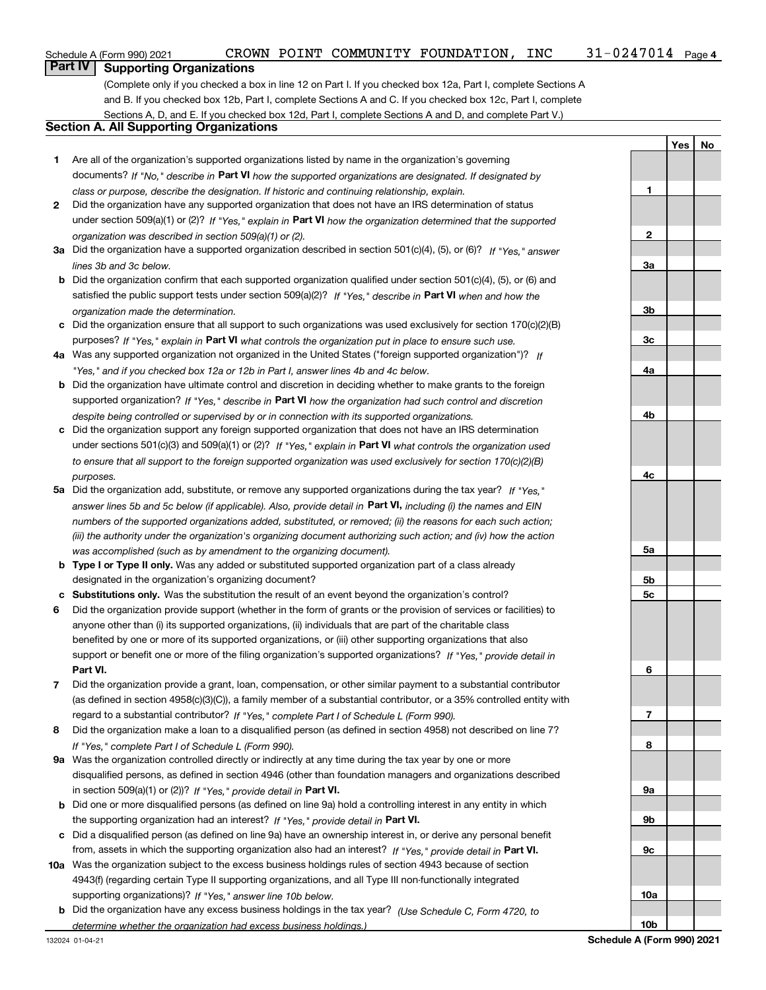**YesNo**

### **Part IV Supporting Organizations**

(Complete only if you checked a box in line 12 on Part I. If you checked box 12a, Part I, complete Sections A and B. If you checked box 12b, Part I, complete Sections A and C. If you checked box 12c, Part I, complete Sections A, D, and E. If you checked box 12d, Part I, complete Sections A and D, and complete Part V.)

### **Section A. All Supporting Organizations**

- **1** Are all of the organization's supported organizations listed by name in the organization's governing documents? If "No," describe in **Part VI** how the supported organizations are designated. If designated by *class or purpose, describe the designation. If historic and continuing relationship, explain.*
- **2** Did the organization have any supported organization that does not have an IRS determination of status under section 509(a)(1) or (2)? If "Yes," explain in Part VI how the organization determined that the supported *organization was described in section 509(a)(1) or (2).*
- **3a** Did the organization have a supported organization described in section 501(c)(4), (5), or (6)? If "Yes," answer *lines 3b and 3c below.*
- **b** Did the organization confirm that each supported organization qualified under section 501(c)(4), (5), or (6) and satisfied the public support tests under section 509(a)(2)? If "Yes," describe in **Part VI** when and how the *organization made the determination.*
- **c**Did the organization ensure that all support to such organizations was used exclusively for section 170(c)(2)(B) purposes? If "Yes," explain in **Part VI** what controls the organization put in place to ensure such use.
- **4a***If* Was any supported organization not organized in the United States ("foreign supported organization")? *"Yes," and if you checked box 12a or 12b in Part I, answer lines 4b and 4c below.*
- **b** Did the organization have ultimate control and discretion in deciding whether to make grants to the foreign supported organization? If "Yes," describe in **Part VI** how the organization had such control and discretion *despite being controlled or supervised by or in connection with its supported organizations.*
- **c** Did the organization support any foreign supported organization that does not have an IRS determination under sections 501(c)(3) and 509(a)(1) or (2)? If "Yes," explain in **Part VI** what controls the organization used *to ensure that all support to the foreign supported organization was used exclusively for section 170(c)(2)(B) purposes.*
- **5a***If "Yes,"* Did the organization add, substitute, or remove any supported organizations during the tax year? answer lines 5b and 5c below (if applicable). Also, provide detail in **Part VI,** including (i) the names and EIN *numbers of the supported organizations added, substituted, or removed; (ii) the reasons for each such action; (iii) the authority under the organization's organizing document authorizing such action; and (iv) how the action was accomplished (such as by amendment to the organizing document).*
- **b** Type I or Type II only. Was any added or substituted supported organization part of a class already designated in the organization's organizing document?
- **cSubstitutions only.**  Was the substitution the result of an event beyond the organization's control?
- **6** Did the organization provide support (whether in the form of grants or the provision of services or facilities) to **Part VI.** *If "Yes," provide detail in* support or benefit one or more of the filing organization's supported organizations? anyone other than (i) its supported organizations, (ii) individuals that are part of the charitable class benefited by one or more of its supported organizations, or (iii) other supporting organizations that also
- **7**Did the organization provide a grant, loan, compensation, or other similar payment to a substantial contributor *If "Yes," complete Part I of Schedule L (Form 990).* regard to a substantial contributor? (as defined in section 4958(c)(3)(C)), a family member of a substantial contributor, or a 35% controlled entity with
- **8** Did the organization make a loan to a disqualified person (as defined in section 4958) not described on line 7? *If "Yes," complete Part I of Schedule L (Form 990).*
- **9a** Was the organization controlled directly or indirectly at any time during the tax year by one or more in section 509(a)(1) or (2))? If "Yes," *provide detail in* <code>Part VI.</code> disqualified persons, as defined in section 4946 (other than foundation managers and organizations described
- **b** Did one or more disqualified persons (as defined on line 9a) hold a controlling interest in any entity in which the supporting organization had an interest? If "Yes," provide detail in P**art VI**.
- **c**Did a disqualified person (as defined on line 9a) have an ownership interest in, or derive any personal benefit from, assets in which the supporting organization also had an interest? If "Yes," provide detail in P**art VI.**
- **10a** Was the organization subject to the excess business holdings rules of section 4943 because of section supporting organizations)? If "Yes," answer line 10b below. 4943(f) (regarding certain Type II supporting organizations, and all Type III non-functionally integrated
- **b** Did the organization have any excess business holdings in the tax year? (Use Schedule C, Form 4720, to *determine whether the organization had excess business holdings.)*

**123a3b3c4a4b4c5a 5b5c6789a 9b9c10a10b**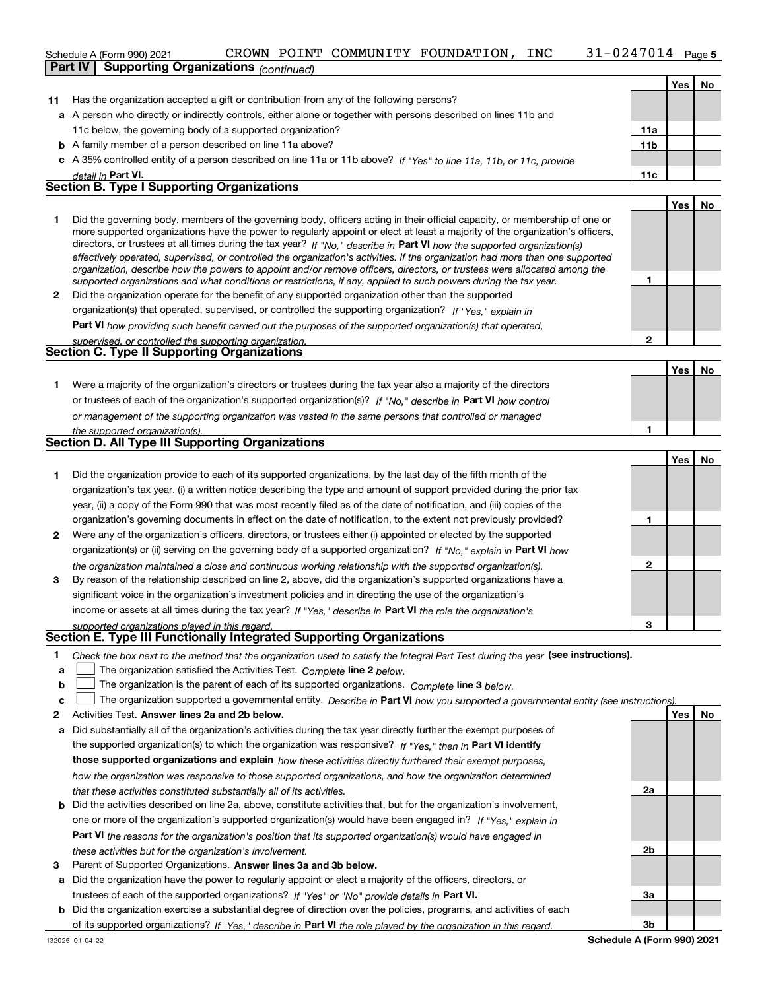#### 31-0247014 Page 5 Schedule A (Form 990) 2021 CR**OWN** POINT COMMUNITY FOUNDATION, INC 31-0247014 Page **Part IV Supporting Organizations** *(continued)*

|    |                                                                                                                      |     | No |
|----|----------------------------------------------------------------------------------------------------------------------|-----|----|
| 11 | Has the organization accepted a gift or contribution from any of the following persons?                              |     |    |
|    | a A person who directly or indirectly controls, either alone or together with persons described on lines 11b and     |     |    |
|    | 11c below, the governing body of a supported organization?                                                           | 11a |    |
|    | <b>b</b> A family member of a person described on line 11a above?                                                    | 11b |    |
|    | c A 35% controlled entity of a person described on line 11a or 11b above? If "Yes" to line 11a, 11b, or 11c, provide |     |    |
|    | detail in <b>Part VI.</b>                                                                                            | 11c |    |

#### **Section B. Type I Supporting Organizations**

|   |                                                                                                                                                                                                                                                                                                                                                                                                                                                                                                                                                                                                                                                      |  | No |
|---|------------------------------------------------------------------------------------------------------------------------------------------------------------------------------------------------------------------------------------------------------------------------------------------------------------------------------------------------------------------------------------------------------------------------------------------------------------------------------------------------------------------------------------------------------------------------------------------------------------------------------------------------------|--|----|
|   | Did the governing body, members of the governing body, officers acting in their official capacity, or membership of one or<br>more supported organizations have the power to regularly appoint or elect at least a majority of the organization's officers,<br>directors, or trustees at all times during the tax year? If "No," describe in Part VI how the supported organization(s)<br>effectively operated, supervised, or controlled the organization's activities. If the organization had more than one supported<br>organization, describe how the powers to appoint and/or remove officers, directors, or trustees were allocated among the |  |    |
|   | supported organizations and what conditions or restrictions, if any, applied to such powers during the tax year.                                                                                                                                                                                                                                                                                                                                                                                                                                                                                                                                     |  |    |
| 2 | Did the organization operate for the benefit of any supported organization other than the supported                                                                                                                                                                                                                                                                                                                                                                                                                                                                                                                                                  |  |    |
|   | organization(s) that operated, supervised, or controlled the supporting organization? If "Yes," explain in                                                                                                                                                                                                                                                                                                                                                                                                                                                                                                                                           |  |    |
|   | Do $\mathbf{P}$ and $\mathbf{M}$ is a second second second second second second second second second second second second second second second second second second second second second second second second second second second se                                                                                                                                                                                                                                                                                                                                                                                                                |  |    |

**Part VI**  *how providing such benefit carried out the purposes of the supported organization(s) that operated,*

| supervised, or controlled the supporting organization. |  |
|--------------------------------------------------------|--|
| <b>Section C. Type II Supporting Organizations</b>     |  |

**Yes No 1**or trustees of each of the organization's supported organization(s)? If "No," describe in **Part VI** how control **1***or management of the supporting organization was vested in the same persons that controlled or managed the supported organization(s).* Were a majority of the organization's directors or trustees during the tax year also a majority of the directors

| <b>Section D. All Type III Supporting Organizations</b> |
|---------------------------------------------------------|

|              |                                                                                                                        |   | Yes | <b>No</b> |
|--------------|------------------------------------------------------------------------------------------------------------------------|---|-----|-----------|
|              | Did the organization provide to each of its supported organizations, by the last day of the fifth month of the         |   |     |           |
|              | organization's tax year, (i) a written notice describing the type and amount of support provided during the prior tax  |   |     |           |
|              | year, (ii) a copy of the Form 990 that was most recently filed as of the date of notification, and (iii) copies of the |   |     |           |
|              | organization's governing documents in effect on the date of notification, to the extent not previously provided?       |   |     |           |
| $\mathbf{2}$ | Were any of the organization's officers, directors, or trustees either (i) appointed or elected by the supported       |   |     |           |
|              | organization(s) or (ii) serving on the governing body of a supported organization? If "No." explain in Part VI how     |   |     |           |
|              | the organization maintained a close and continuous working relationship with the supported organization(s).            |   |     |           |
| 3            | By reason of the relationship described on line 2, above, did the organization's supported organizations have a        |   |     |           |
|              | significant voice in the organization's investment policies and in directing the use of the organization's             |   |     |           |
|              | income or assets at all times during the tax year? If "Yes," describe in Part VI the role the organization's           |   |     |           |
|              | supported organizations played in this regard                                                                          | з |     |           |

## *supported organizations played in this regard.* **Section E. Type III Functionally Integrated Supporting Organizations**

- **1**Check the box next to the method that the organization used to satisfy the Integral Part Test during the year (see instructions).
- **alinupy** The organization satisfied the Activities Test. Complete line 2 below.
- **bThe organization is the parent of each of its supported organizations. Complete line 3 below.**

|  |  |  | $\mathbf{c}$ The organization supported a governmental entity. Describe in Part VI how you supported a governmental entity (see instructions). |  |
|--|--|--|------------------------------------------------------------------------------------------------------------------------------------------------|--|
|--|--|--|------------------------------------------------------------------------------------------------------------------------------------------------|--|

- **2Answer lines 2a and 2b below. Yes No** Activities Test.
- **a** Did substantially all of the organization's activities during the tax year directly further the exempt purposes of the supported organization(s) to which the organization was responsive? If "Yes," then in **Part VI identify those supported organizations and explain**  *how these activities directly furthered their exempt purposes, how the organization was responsive to those supported organizations, and how the organization determined that these activities constituted substantially all of its activities.*
- **b** Did the activities described on line 2a, above, constitute activities that, but for the organization's involvement, **Part VI**  *the reasons for the organization's position that its supported organization(s) would have engaged in* one or more of the organization's supported organization(s) would have been engaged in? If "Yes," e*xplain in these activities but for the organization's involvement.*
- **3**Parent of Supported Organizations. Answer lines 3a and 3b below.
- **a** Did the organization have the power to regularly appoint or elect a majority of the officers, directors, or trustees of each of the supported organizations? If "Yes" or "No" provide details in **Part VI.**
- **b** Did the organization exercise a substantial degree of direction over the policies, programs, and activities of each of its supported organizations? If "Yes," describe in Part VI the role played by the organization in this regard.

**2a 2b3a3b**

**2**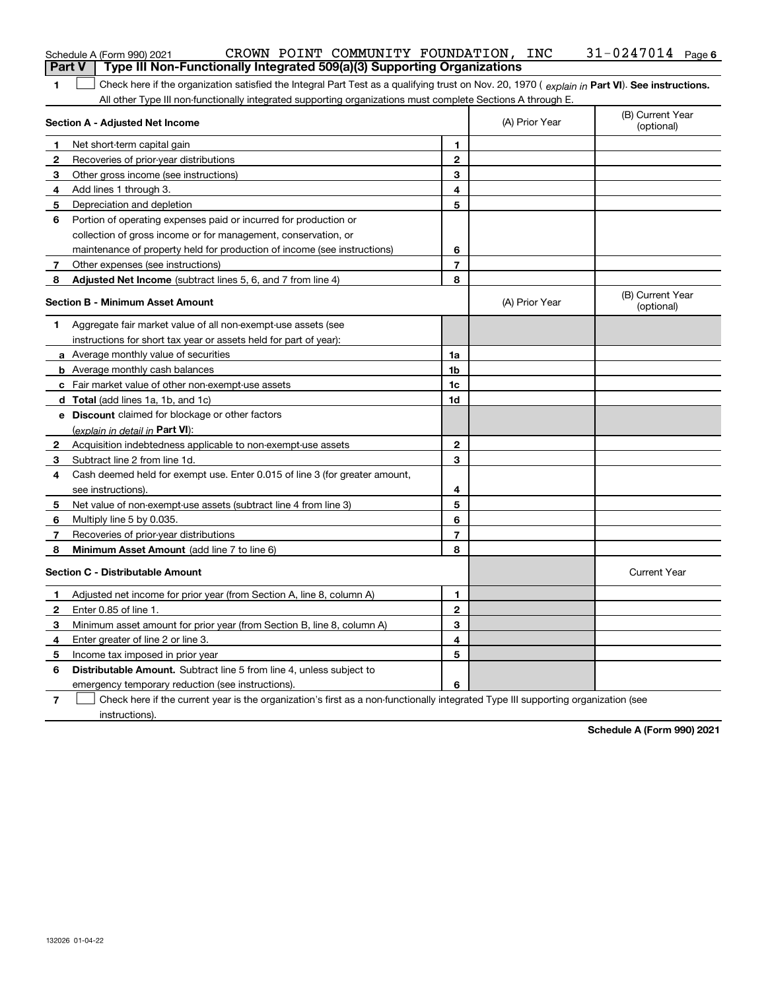| <b>Part V</b> | Type III Non-Functionally Integrated 509(a)(3) Supporting Organizations                                                                        |                |                |                                |
|---------------|------------------------------------------------------------------------------------------------------------------------------------------------|----------------|----------------|--------------------------------|
| 1             | Check here if the organization satisfied the Integral Part Test as a qualifying trust on Nov. 20, 1970 (explain in Part VI). See instructions. |                |                |                                |
|               | All other Type III non-functionally integrated supporting organizations must complete Sections A through E.                                    |                |                |                                |
|               | Section A - Adjusted Net Income                                                                                                                |                | (A) Prior Year | (B) Current Year<br>(optional) |
| 1             | Net short-term capital gain                                                                                                                    | 1              |                |                                |
| 2             | Recoveries of prior-year distributions                                                                                                         | $\mathbf 2$    |                |                                |
| 3             | Other gross income (see instructions)                                                                                                          | 3              |                |                                |
| 4             | Add lines 1 through 3.                                                                                                                         | 4              |                |                                |
| 5             | Depreciation and depletion                                                                                                                     | 5              |                |                                |
| 6             | Portion of operating expenses paid or incurred for production or                                                                               |                |                |                                |
|               | collection of gross income or for management, conservation, or                                                                                 |                |                |                                |
|               | maintenance of property held for production of income (see instructions)                                                                       | 6              |                |                                |
| 7             | Other expenses (see instructions)                                                                                                              | $\overline{7}$ |                |                                |
| 8             | Adjusted Net Income (subtract lines 5, 6, and 7 from line 4)                                                                                   | 8              |                |                                |
|               | <b>Section B - Minimum Asset Amount</b>                                                                                                        |                | (A) Prior Year | (B) Current Year<br>(optional) |
| 1             | Aggregate fair market value of all non-exempt-use assets (see                                                                                  |                |                |                                |
|               | instructions for short tax year or assets held for part of year):                                                                              |                |                |                                |
|               | <b>a</b> Average monthly value of securities                                                                                                   | 1a             |                |                                |
|               | <b>b</b> Average monthly cash balances                                                                                                         | 1b             |                |                                |
|               | c Fair market value of other non-exempt-use assets                                                                                             | 1c             |                |                                |
|               | <b>d</b> Total (add lines 1a, 1b, and 1c)                                                                                                      | 1d             |                |                                |
|               | e Discount claimed for blockage or other factors                                                                                               |                |                |                                |
|               | (explain in detail in Part VI):                                                                                                                |                |                |                                |
| $\mathbf{2}$  | Acquisition indebtedness applicable to non-exempt-use assets                                                                                   | $\mathbf{2}$   |                |                                |
| 3             | Subtract line 2 from line 1d.                                                                                                                  | 3              |                |                                |
| 4             | Cash deemed held for exempt use. Enter 0.015 of line 3 (for greater amount,                                                                    |                |                |                                |
|               | see instructions)                                                                                                                              | 4              |                |                                |
| 5             | Net value of non-exempt-use assets (subtract line 4 from line 3)                                                                               | 5              |                |                                |
| 6             | Multiply line 5 by 0.035.                                                                                                                      | 6              |                |                                |
| 7             | Recoveries of prior-year distributions                                                                                                         | 7              |                |                                |
| 8             | Minimum Asset Amount (add line 7 to line 6)                                                                                                    | 8              |                |                                |
|               | <b>Section C - Distributable Amount</b>                                                                                                        |                |                | <b>Current Year</b>            |
| 1             | Adjusted net income for prior year (from Section A, line 8, column A)                                                                          | 1              |                |                                |
| $\mathbf{2}$  | Enter 0.85 of line 1.                                                                                                                          | $\mathbf{2}$   |                |                                |
| 3             | Minimum asset amount for prior year (from Section B, line 8, column A)                                                                         | 3              |                |                                |
| 4             | Enter greater of line 2 or line 3.                                                                                                             | 4              |                |                                |
| 5             | Income tax imposed in prior year                                                                                                               | 5              |                |                                |
| 6             | Distributable Amount. Subtract line 5 from line 4, unless subject to                                                                           |                |                |                                |
|               | emergency temporary reduction (see instructions).                                                                                              | 6              |                |                                |
| 7             | Check here if the current year is the organization's first as a non-functionally integrated Type III supporting organization (see              |                |                |                                |

Schedule A (Form 990) 2021 CR**OWN** POINT COMMUNITY FOUNDATION, INC 31-0247014 Page

instructions).

**Schedule A (Form 990) 2021**

**6**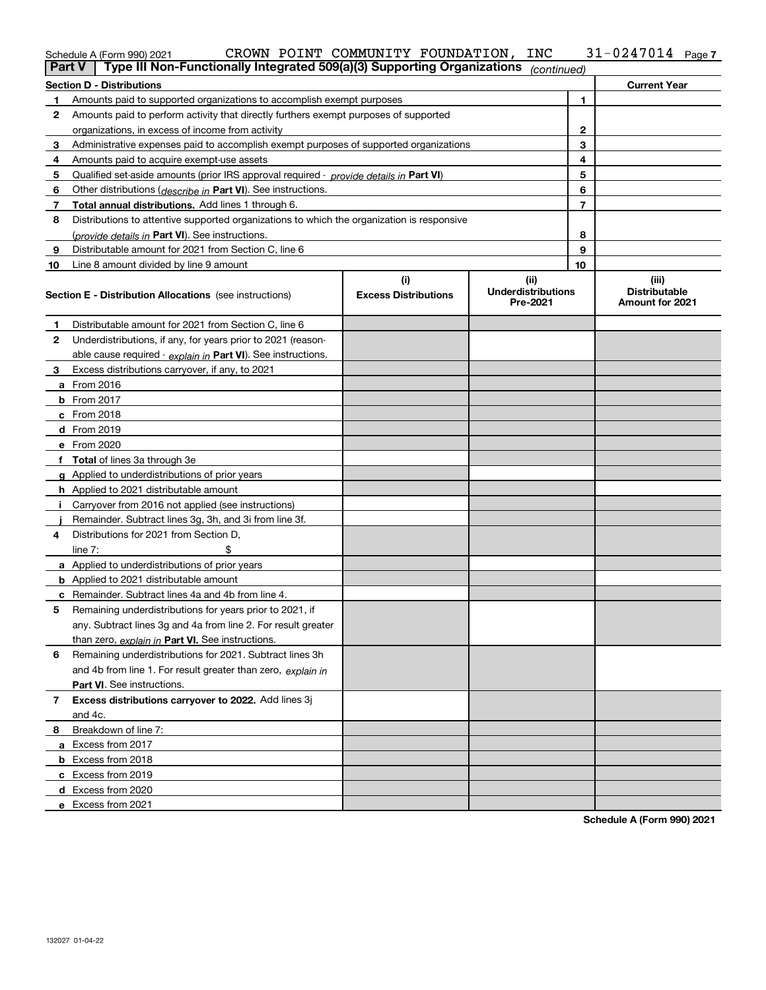| Part V | Type III Non-Functionally Integrated 509(a)(3) Supporting Organizations (continued)        |                             |                                       |                |                                                |
|--------|--------------------------------------------------------------------------------------------|-----------------------------|---------------------------------------|----------------|------------------------------------------------|
|        | <b>Section D - Distributions</b>                                                           |                             |                                       |                | <b>Current Year</b>                            |
| 1      | Amounts paid to supported organizations to accomplish exempt purposes                      |                             |                                       | 1              |                                                |
| 2      | Amounts paid to perform activity that directly furthers exempt purposes of supported       |                             |                                       |                |                                                |
|        | organizations, in excess of income from activity                                           |                             | 2                                     |                |                                                |
| 3      | Administrative expenses paid to accomplish exempt purposes of supported organizations      |                             |                                       | 3              |                                                |
| 4      | Amounts paid to acquire exempt-use assets                                                  |                             |                                       | 4              |                                                |
| 5      | Qualified set-aside amounts (prior IRS approval required - provide details in Part VI)     |                             |                                       | 5              |                                                |
| 6      | Other distributions ( <i>describe in</i> Part VI). See instructions.                       |                             |                                       | 6              |                                                |
| 7      | Total annual distributions. Add lines 1 through 6.                                         |                             |                                       | $\overline{7}$ |                                                |
| 8      | Distributions to attentive supported organizations to which the organization is responsive |                             |                                       |                |                                                |
|        | (provide details in Part VI). See instructions.                                            |                             |                                       | 8              |                                                |
| 9      | Distributable amount for 2021 from Section C, line 6                                       |                             |                                       | 9              |                                                |
| 10     | Line 8 amount divided by line 9 amount                                                     |                             |                                       | 10             |                                                |
|        |                                                                                            | (i)                         | (iii)                                 |                | (iii)                                          |
|        | <b>Section E - Distribution Allocations</b> (see instructions)                             | <b>Excess Distributions</b> | <b>Underdistributions</b><br>Pre-2021 |                | <b>Distributable</b><br><b>Amount for 2021</b> |
| 1      | Distributable amount for 2021 from Section C, line 6                                       |                             |                                       |                |                                                |
| 2      | Underdistributions, if any, for years prior to 2021 (reason-                               |                             |                                       |                |                                                |
|        | able cause required - explain in Part VI). See instructions.                               |                             |                                       |                |                                                |
| 3      | Excess distributions carryover, if any, to 2021                                            |                             |                                       |                |                                                |
|        | a From 2016                                                                                |                             |                                       |                |                                                |
|        | <b>b</b> From 2017                                                                         |                             |                                       |                |                                                |
|        | $c$ From 2018                                                                              |                             |                                       |                |                                                |
|        | d From 2019                                                                                |                             |                                       |                |                                                |
|        | e From 2020                                                                                |                             |                                       |                |                                                |
|        | f Total of lines 3a through 3e                                                             |                             |                                       |                |                                                |
|        | g Applied to underdistributions of prior years                                             |                             |                                       |                |                                                |
|        | <b>h</b> Applied to 2021 distributable amount                                              |                             |                                       |                |                                                |
| Ť.     | Carryover from 2016 not applied (see instructions)                                         |                             |                                       |                |                                                |
|        | Remainder. Subtract lines 3g, 3h, and 3i from line 3f.                                     |                             |                                       |                |                                                |
| 4      | Distributions for 2021 from Section D.                                                     |                             |                                       |                |                                                |
|        | line $7:$                                                                                  |                             |                                       |                |                                                |
|        | a Applied to underdistributions of prior years                                             |                             |                                       |                |                                                |
|        | <b>b</b> Applied to 2021 distributable amount                                              |                             |                                       |                |                                                |
|        | c Remainder. Subtract lines 4a and 4b from line 4.                                         |                             |                                       |                |                                                |
| 5      | Remaining underdistributions for years prior to 2021, if                                   |                             |                                       |                |                                                |
|        | any. Subtract lines 3g and 4a from line 2. For result greater                              |                             |                                       |                |                                                |
|        | than zero, explain in Part VI. See instructions.                                           |                             |                                       |                |                                                |
| 6      | Remaining underdistributions for 2021. Subtract lines 3h                                   |                             |                                       |                |                                                |
|        | and 4b from line 1. For result greater than zero, explain in                               |                             |                                       |                |                                                |
|        | <b>Part VI.</b> See instructions.                                                          |                             |                                       |                |                                                |
| 7      | Excess distributions carryover to 2022. Add lines 3j                                       |                             |                                       |                |                                                |
|        | and 4c.                                                                                    |                             |                                       |                |                                                |
| 8      | Breakdown of line 7:                                                                       |                             |                                       |                |                                                |
|        | a Excess from 2017                                                                         |                             |                                       |                |                                                |
|        | b Excess from 2018                                                                         |                             |                                       |                |                                                |
|        | c Excess from 2019                                                                         |                             |                                       |                |                                                |
|        | d Excess from 2020                                                                         |                             |                                       |                |                                                |

Schedule A (Form 990) 2021 CROWN POINT COMMUNITY FOUNDATION, INC 3I-UZ47UI4 Page

CROWN POINT COMMUNITY FOUNDATION, INC 31-0247014

**Schedule A (Form 990) 2021**

**7**

**e** Excess from 2021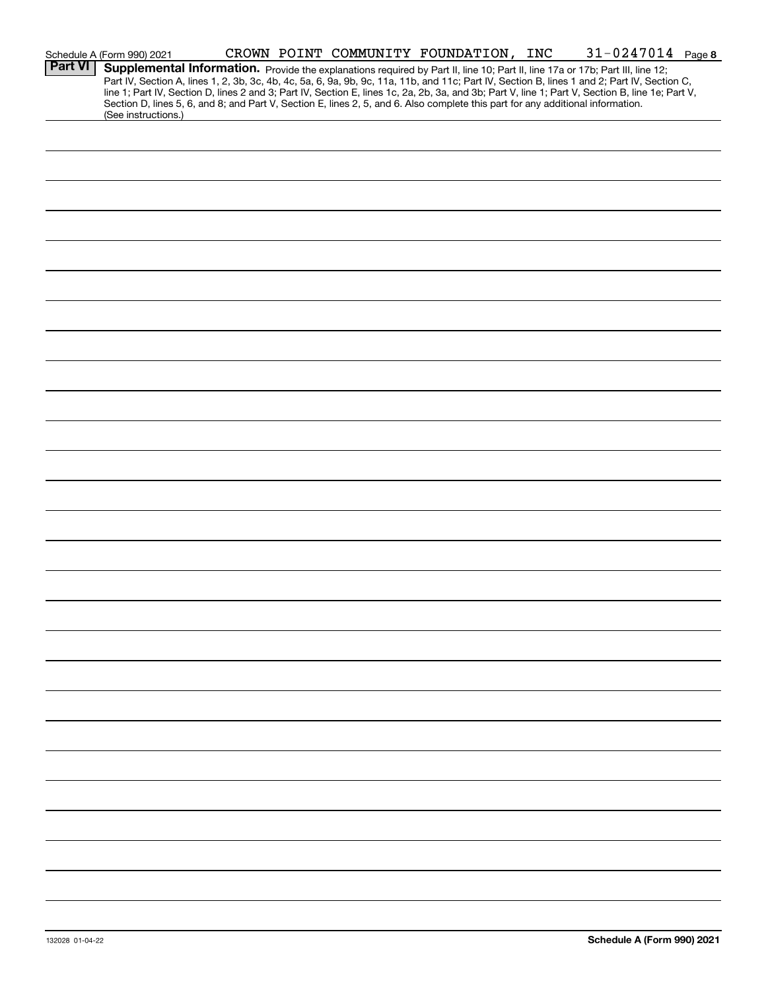|                | Schedule A (Form 990) 2021                                                                                                                                                                                                                                                                                                                                                                                                                                                                                                                                                                  |  |  |  | CROWN POINT COMMUNITY FOUNDATION, INC 31-0247014 Page 8 |  |
|----------------|---------------------------------------------------------------------------------------------------------------------------------------------------------------------------------------------------------------------------------------------------------------------------------------------------------------------------------------------------------------------------------------------------------------------------------------------------------------------------------------------------------------------------------------------------------------------------------------------|--|--|--|---------------------------------------------------------|--|
| <b>Part VI</b> | Supplemental Information. Provide the explanations required by Part II, line 10; Part II, line 17a or 17b; Part III, line 12;<br>Part IV, Section A, lines 1, 2, 3b, 3c, 4b, 4c, 5a, 6, 9a, 9b, 9c, 11a, 11b, and 11c; Part IV, Section B, lines 1 and 2; Part IV, Section C,<br>line 1; Part IV, Section D, lines 2 and 3; Part IV, Section E, lines 1c, 2a, 2b, 3a, and 3b; Part V, line 1; Part V, Section B, line 1e; Part V,<br>Section D, lines 5, 6, and 8; and Part V, Section E, lines 2, 5, and 6. Also complete this part for any additional information.<br>(See instructions.) |  |  |  |                                                         |  |
|                |                                                                                                                                                                                                                                                                                                                                                                                                                                                                                                                                                                                             |  |  |  |                                                         |  |
|                |                                                                                                                                                                                                                                                                                                                                                                                                                                                                                                                                                                                             |  |  |  |                                                         |  |
|                |                                                                                                                                                                                                                                                                                                                                                                                                                                                                                                                                                                                             |  |  |  |                                                         |  |
|                |                                                                                                                                                                                                                                                                                                                                                                                                                                                                                                                                                                                             |  |  |  |                                                         |  |
|                |                                                                                                                                                                                                                                                                                                                                                                                                                                                                                                                                                                                             |  |  |  |                                                         |  |
|                |                                                                                                                                                                                                                                                                                                                                                                                                                                                                                                                                                                                             |  |  |  |                                                         |  |
|                |                                                                                                                                                                                                                                                                                                                                                                                                                                                                                                                                                                                             |  |  |  |                                                         |  |
|                |                                                                                                                                                                                                                                                                                                                                                                                                                                                                                                                                                                                             |  |  |  |                                                         |  |
|                |                                                                                                                                                                                                                                                                                                                                                                                                                                                                                                                                                                                             |  |  |  |                                                         |  |
|                |                                                                                                                                                                                                                                                                                                                                                                                                                                                                                                                                                                                             |  |  |  |                                                         |  |
|                |                                                                                                                                                                                                                                                                                                                                                                                                                                                                                                                                                                                             |  |  |  |                                                         |  |
|                |                                                                                                                                                                                                                                                                                                                                                                                                                                                                                                                                                                                             |  |  |  |                                                         |  |
|                |                                                                                                                                                                                                                                                                                                                                                                                                                                                                                                                                                                                             |  |  |  |                                                         |  |
|                |                                                                                                                                                                                                                                                                                                                                                                                                                                                                                                                                                                                             |  |  |  |                                                         |  |
|                |                                                                                                                                                                                                                                                                                                                                                                                                                                                                                                                                                                                             |  |  |  |                                                         |  |
|                |                                                                                                                                                                                                                                                                                                                                                                                                                                                                                                                                                                                             |  |  |  |                                                         |  |
|                |                                                                                                                                                                                                                                                                                                                                                                                                                                                                                                                                                                                             |  |  |  |                                                         |  |
|                |                                                                                                                                                                                                                                                                                                                                                                                                                                                                                                                                                                                             |  |  |  |                                                         |  |
|                |                                                                                                                                                                                                                                                                                                                                                                                                                                                                                                                                                                                             |  |  |  |                                                         |  |
|                |                                                                                                                                                                                                                                                                                                                                                                                                                                                                                                                                                                                             |  |  |  |                                                         |  |
|                |                                                                                                                                                                                                                                                                                                                                                                                                                                                                                                                                                                                             |  |  |  |                                                         |  |
|                |                                                                                                                                                                                                                                                                                                                                                                                                                                                                                                                                                                                             |  |  |  |                                                         |  |
|                |                                                                                                                                                                                                                                                                                                                                                                                                                                                                                                                                                                                             |  |  |  |                                                         |  |
|                |                                                                                                                                                                                                                                                                                                                                                                                                                                                                                                                                                                                             |  |  |  |                                                         |  |
|                |                                                                                                                                                                                                                                                                                                                                                                                                                                                                                                                                                                                             |  |  |  |                                                         |  |
|                |                                                                                                                                                                                                                                                                                                                                                                                                                                                                                                                                                                                             |  |  |  |                                                         |  |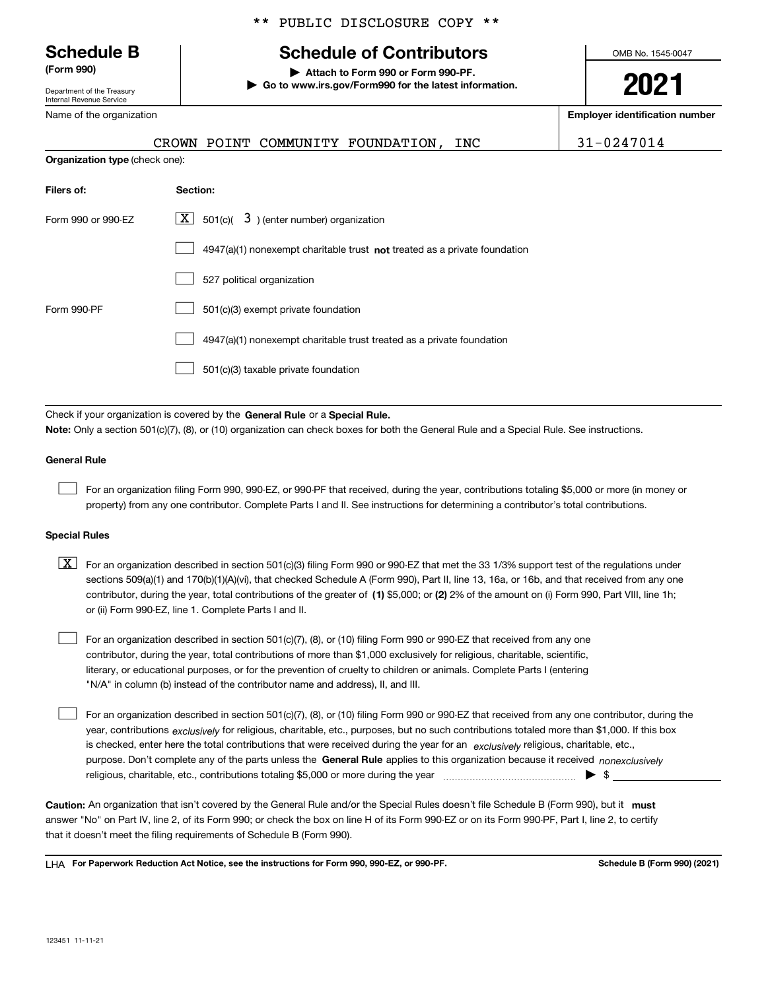Department of the Treasury Internal Revenue Service

Name of the organization

#### \*\* PUBLIC DISCLOSURE COPY \*\*

## **Schedule B Schedule of Contributors**

**(Form 990) | Attach to Form 990 or Form 990-PF. | Go to www.irs.gov/Form990 for the latest information.** OMB No. 1545-0047

# **2021**

**Employer identification number**

|                                       | CROWN POINT COMMUNITY FOUNDATION,<br>INC                                           | 31-0247014 |
|---------------------------------------|------------------------------------------------------------------------------------|------------|
| <b>Organization type (check one):</b> |                                                                                    |            |
| Filers of:                            | Section:                                                                           |            |
| Form 990 or 990-EZ                    | $\boxed{\mathbf{X}}$ 501(c)( 3) (enter number) organization                        |            |
|                                       | $4947(a)(1)$ nonexempt charitable trust <b>not</b> treated as a private foundation |            |
|                                       | 527 political organization                                                         |            |
| Form 990-PF                           | 501(c)(3) exempt private foundation                                                |            |

4947(a)(1) nonexempt charitable trust treated as a private foundation  $\mathcal{L}^{\text{max}}$ 

501(c)(3) taxable private foundation  $\mathcal{L}^{\text{max}}$ 

Check if your organization is covered by the **General Rule** or a **Special Rule. Note:**  Only a section 501(c)(7), (8), or (10) organization can check boxes for both the General Rule and a Special Rule. See instructions.

#### **General Rule**

 $\mathcal{L}^{\text{max}}$ 

For an organization filing Form 990, 990-EZ, or 990-PF that received, during the year, contributions totaling \$5,000 or more (in money or property) from any one contributor. Complete Parts I and II. See instructions for determining a contributor's total contributions.

#### **Special Rules**

contributor, during the year, total contributions of the greater of (1**)** \$5,000; or (2) 2% of the amount on (i) Form 990, Part VIII, line 1h;  $\boxed{\textbf{X}}$  For an organization described in section 501(c)(3) filing Form 990 or 990-EZ that met the 33 1/3% support test of the regulations under sections 509(a)(1) and 170(b)(1)(A)(vi), that checked Schedule A (Form 990), Part II, line 13, 16a, or 16b, and that received from any one or (ii) Form 990-EZ, line 1. Complete Parts I and II.

For an organization described in section 501(c)(7), (8), or (10) filing Form 990 or 990-EZ that received from any one contributor, during the year, total contributions of more than \$1,000 exclusively for religious, charitable, scientific, literary, or educational purposes, or for the prevention of cruelty to children or animals. Complete Parts I (entering "N/A" in column (b) instead of the contributor name and address), II, and III.  $\mathcal{L}^{\text{max}}$ 

purpose. Don't complete any of the parts unless the **General Rule** applies to this organization because it received *nonexclusively* year, contributions <sub>exclusively</sub> for religious, charitable, etc., purposes, but no such contributions totaled more than \$1,000. If this box is checked, enter here the total contributions that were received during the year for an  $\;$ exclusively religious, charitable, etc., For an organization described in section 501(c)(7), (8), or (10) filing Form 990 or 990-EZ that received from any one contributor, during the religious, charitable, etc., contributions totaling \$5,000 or more during the year ~~~~~~~~~~~~~~~ | \$  $\mathcal{L}^{\text{max}}$ 

Caution: An organization that isn't covered by the General Rule and/or the Special Rules doesn't file Schedule B (Form 990), but it **must** answer "No" on Part IV, line 2, of its Form 990; or check the box on line H of its Form 990-EZ or on its Form 990-PF, Part I, line 2, to certify that it doesn't meet the filing requirements of Schedule B (Form 990).

LHA For Paperwork Reduction Act Notice, see the instructions for Form 990, 990-EZ, or 990-PF. **In the act and Schedule B** (Form 990) (2021)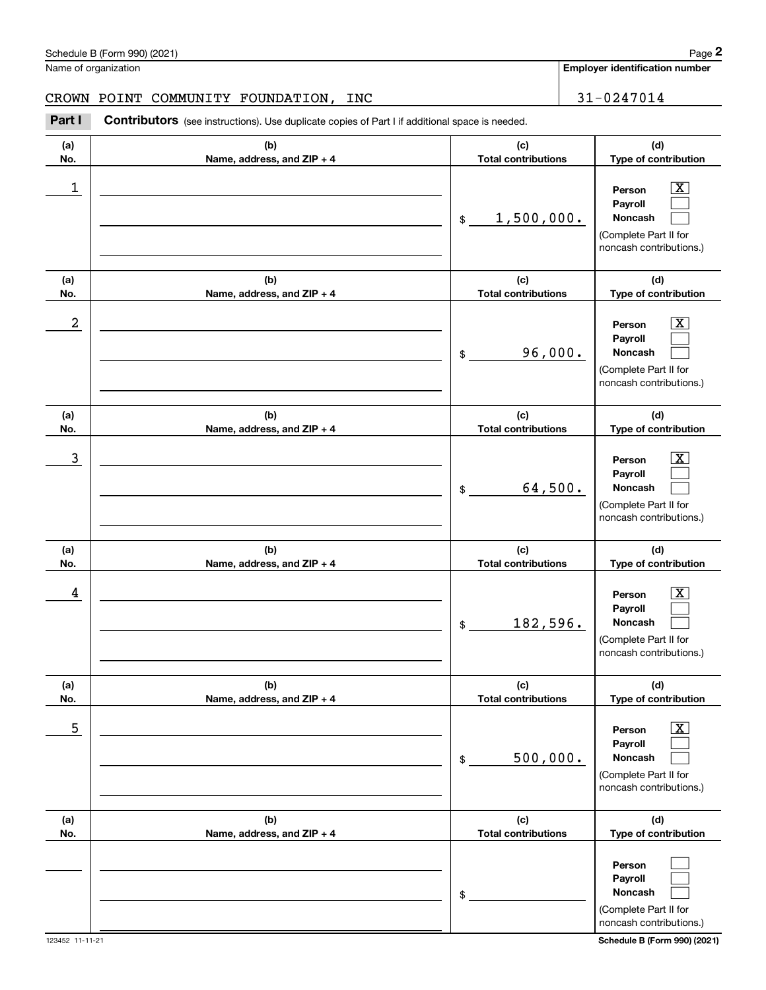(Complete Part II for

**PersonPayrollNoncash**

\$

|                      | Schedule B (Form 990) (2021)                                                                          |                                       | Page 2                                                                                                    |
|----------------------|-------------------------------------------------------------------------------------------------------|---------------------------------------|-----------------------------------------------------------------------------------------------------------|
| Name of organization |                                                                                                       | <b>Employer identification number</b> |                                                                                                           |
|                      | CROWN POINT COMMUNITY FOUNDATION,<br>INC                                                              |                                       | 31-0247014                                                                                                |
| Part I               | <b>Contributors</b> (see instructions). Use duplicate copies of Part I if additional space is needed. |                                       |                                                                                                           |
| (a)<br>No.           | (b)<br>Name, address, and ZIP + 4                                                                     | (c)<br><b>Total contributions</b>     | (d)<br>Type of contribution                                                                               |
| 1                    |                                                                                                       | 1,500,000.<br>\$                      | $\overline{\text{X}}$<br>Person<br>Payroll<br>Noncash<br>(Complete Part II for<br>noncash contributions.) |
| (a)<br>No.           | (b)<br>Name, address, and ZIP + 4                                                                     | (c)<br><b>Total contributions</b>     | (d)<br>Type of contribution                                                                               |
| 2                    |                                                                                                       | 96,000.<br>\$                         | $\overline{\text{X}}$<br>Person<br>Payroll<br>Noncash<br>(Complete Part II for<br>noncash contributions.) |
| (a)<br>No.           | (b)<br>Name, address, and ZIP + 4                                                                     | (c)<br><b>Total contributions</b>     | (d)<br>Type of contribution                                                                               |
| 3                    |                                                                                                       | 64,500.<br>\$                         | $\overline{\text{X}}$<br>Person<br>Payroll<br>Noncash<br>(Complete Part II for<br>noncash contributions.) |
| (a)<br>No.           | (b)<br>Name, address, and ZIP + 4                                                                     | (c)<br><b>Total contributions</b>     | (d)<br>Type of contribution                                                                               |
| 4                    |                                                                                                       | 182,596.<br>\$                        | $\overline{\text{X}}$<br>Person<br>Payroll<br>Noncash<br>(Complete Part II for<br>noncash contributions.) |
| (a)<br>No.           | (b)<br>Name, address, and ZIP + 4                                                                     | (c)<br><b>Total contributions</b>     | (d)<br>Type of contribution                                                                               |
| 5                    |                                                                                                       | 500,000.<br>\$                        | $\overline{\text{X}}$<br>Person<br>Payroll<br>Noncash<br>(Complete Part II for<br>noncash contributions.) |
| (a)<br>No.           | (b)<br>Name, address, and ZIP + 4                                                                     | (c)<br><b>Total contributions</b>     | (d)<br>Type of contribution                                                                               |

> $\mathcal{L}^{\text{max}}$  $\mathcal{L}^{\text{max}}$  $\mathcal{L}^{\text{max}}$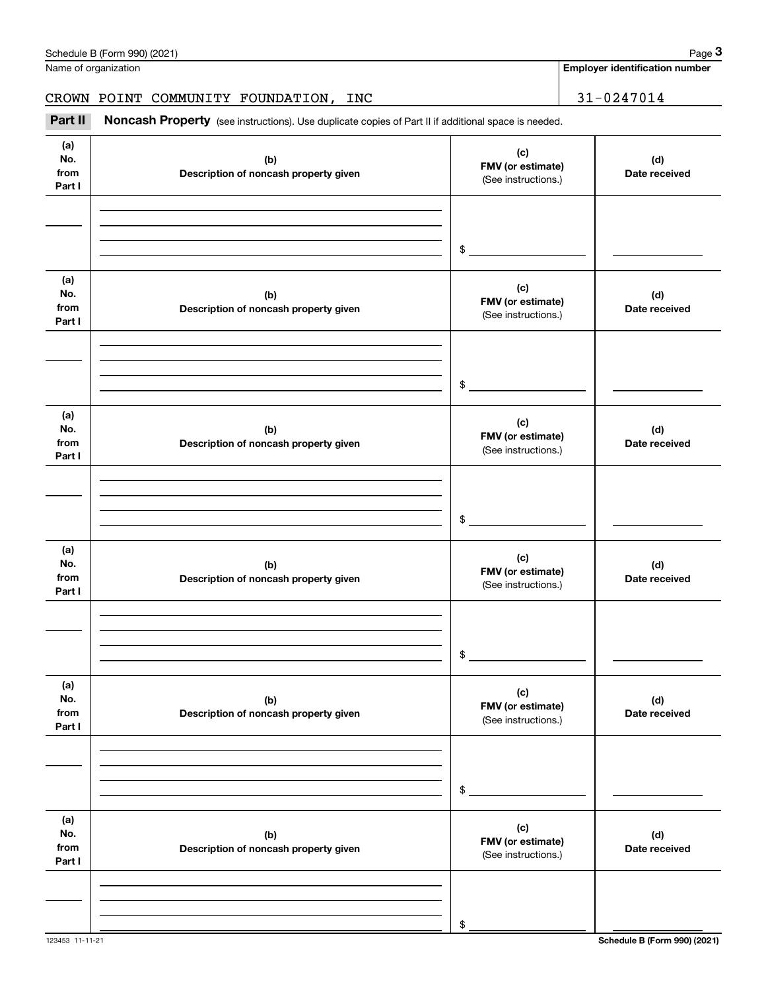|                              | Schedule B (Form 990) (2021)                                                                        |                                                 | Page 3                                |
|------------------------------|-----------------------------------------------------------------------------------------------------|-------------------------------------------------|---------------------------------------|
|                              | Name of organization                                                                                |                                                 | <b>Employer identification number</b> |
|                              | CROWN POINT COMMUNITY FOUNDATION, INC                                                               |                                                 | 31-0247014                            |
| Part II                      | Noncash Property (see instructions). Use duplicate copies of Part II if additional space is needed. |                                                 |                                       |
| (a)<br>No.<br>from<br>Part I | (b)<br>Description of noncash property given                                                        | (c)<br>FMV (or estimate)<br>(See instructions.) | (d)<br>Date received                  |
|                              |                                                                                                     | \$                                              |                                       |
| (a)<br>No.<br>from<br>Part I | (b)<br>Description of noncash property given                                                        | (c)<br>FMV (or estimate)<br>(See instructions.) | (d)<br>Date received                  |
|                              |                                                                                                     | \$                                              |                                       |
| (a)<br>No.<br>from<br>Part I | (b)<br>Description of noncash property given                                                        | (c)<br>FMV (or estimate)<br>(See instructions.) | (d)<br>Date received                  |
|                              |                                                                                                     | \$                                              |                                       |
| (a)<br>No.<br>from<br>Part I | (b)<br>Description of noncash property given                                                        | (c)<br>FMV (or estimate)<br>(See instructions.) | (d)<br>Date received                  |
|                              |                                                                                                     | \$                                              |                                       |
| (a)<br>No.<br>from<br>Part I | (b)<br>Description of noncash property given                                                        | (c)<br>FMV (or estimate)<br>(See instructions.) | (d)<br>Date received                  |
|                              |                                                                                                     | \$                                              |                                       |
| (a)<br>No.<br>from<br>Part I | (b)<br>Description of noncash property given                                                        | (c)<br>FMV (or estimate)<br>(See instructions.) | (d)<br>Date received                  |
|                              |                                                                                                     | \$                                              |                                       |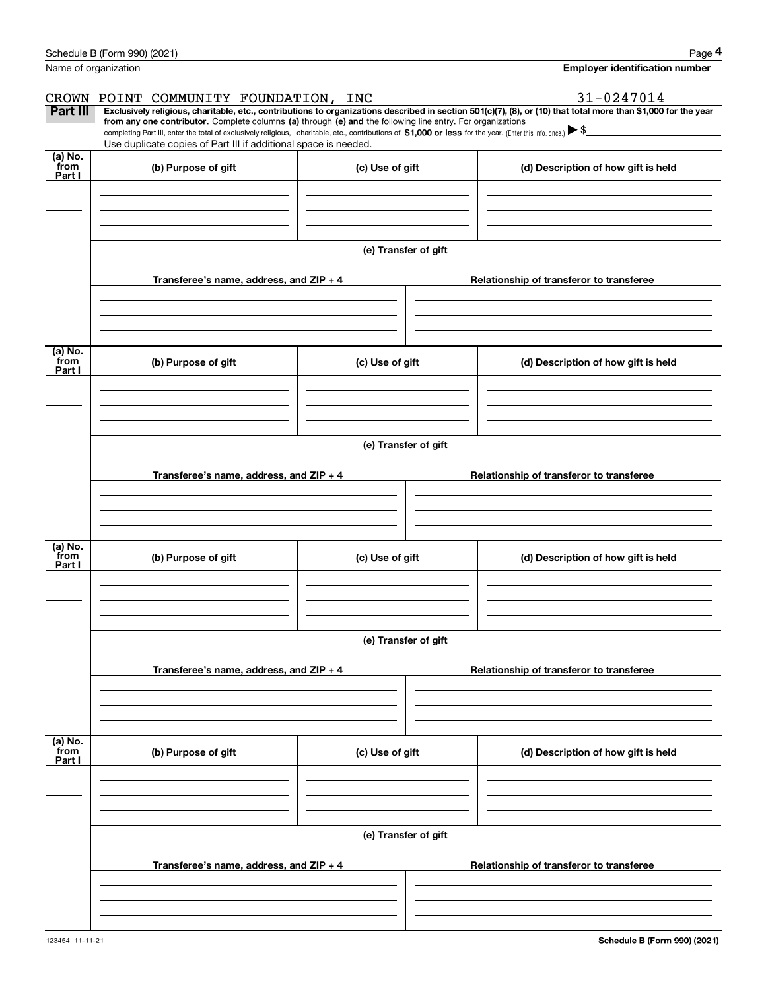|                 | Schedule B (Form 990) (2021)                                                                                                                                                                                                                                                 |                      | Page 4                                   |
|-----------------|------------------------------------------------------------------------------------------------------------------------------------------------------------------------------------------------------------------------------------------------------------------------------|----------------------|------------------------------------------|
|                 | Name of organization                                                                                                                                                                                                                                                         |                      | <b>Employer identification number</b>    |
|                 | CROWN POINT COMMUNITY FOUNDATION, INC                                                                                                                                                                                                                                        |                      | 31-0247014                               |
| Part III        | Exclusively religious, charitable, etc., contributions to organizations described in section 501(c)(7), (8), or (10) that total more than \$1,000 for the year<br>from any one contributor. Complete columns (a) through (e) and the following line entry. For organizations |                      |                                          |
|                 | completing Part III, enter the total of exclusively religious, charitable, etc., contributions of \$1,000 or less for the year. (Enter this info. once.) $\blacktriangleright$ \$<br>Use duplicate copies of Part III if additional space is needed.                         |                      |                                          |
| (a) No.         |                                                                                                                                                                                                                                                                              |                      |                                          |
| from<br>Part I  | (b) Purpose of gift                                                                                                                                                                                                                                                          | (c) Use of gift      | (d) Description of how gift is held      |
|                 |                                                                                                                                                                                                                                                                              |                      |                                          |
|                 |                                                                                                                                                                                                                                                                              |                      |                                          |
|                 |                                                                                                                                                                                                                                                                              |                      |                                          |
|                 |                                                                                                                                                                                                                                                                              | (e) Transfer of gift |                                          |
|                 | Transferee's name, address, and ZIP + 4                                                                                                                                                                                                                                      |                      | Relationship of transferor to transferee |
|                 |                                                                                                                                                                                                                                                                              |                      |                                          |
|                 |                                                                                                                                                                                                                                                                              |                      |                                          |
|                 |                                                                                                                                                                                                                                                                              |                      |                                          |
| (a) No.<br>from | (b) Purpose of gift                                                                                                                                                                                                                                                          | (c) Use of gift      | (d) Description of how gift is held      |
| Part I          |                                                                                                                                                                                                                                                                              |                      |                                          |
|                 |                                                                                                                                                                                                                                                                              |                      |                                          |
|                 |                                                                                                                                                                                                                                                                              |                      |                                          |
|                 |                                                                                                                                                                                                                                                                              | (e) Transfer of gift |                                          |
|                 |                                                                                                                                                                                                                                                                              |                      |                                          |
|                 | Transferee's name, address, and $ZIP + 4$                                                                                                                                                                                                                                    |                      | Relationship of transferor to transferee |
|                 |                                                                                                                                                                                                                                                                              |                      |                                          |
|                 |                                                                                                                                                                                                                                                                              |                      |                                          |
| (a) No.         |                                                                                                                                                                                                                                                                              |                      |                                          |
| from<br>Part I  | (b) Purpose of gift                                                                                                                                                                                                                                                          | (c) Use of gift      | (d) Description of how gift is held      |
|                 |                                                                                                                                                                                                                                                                              |                      |                                          |
|                 |                                                                                                                                                                                                                                                                              |                      |                                          |
|                 |                                                                                                                                                                                                                                                                              |                      |                                          |
|                 |                                                                                                                                                                                                                                                                              | (e) Transfer of gift |                                          |
|                 | Transferee's name, address, and $ZIP + 4$                                                                                                                                                                                                                                    |                      | Relationship of transferor to transferee |
|                 |                                                                                                                                                                                                                                                                              |                      |                                          |
|                 |                                                                                                                                                                                                                                                                              |                      |                                          |
|                 |                                                                                                                                                                                                                                                                              |                      |                                          |
| (a) No.<br>from | (b) Purpose of gift                                                                                                                                                                                                                                                          | (c) Use of gift      | (d) Description of how gift is held      |
| Part I          |                                                                                                                                                                                                                                                                              |                      |                                          |
|                 |                                                                                                                                                                                                                                                                              |                      |                                          |
|                 |                                                                                                                                                                                                                                                                              |                      |                                          |
|                 |                                                                                                                                                                                                                                                                              | (e) Transfer of gift |                                          |
|                 |                                                                                                                                                                                                                                                                              |                      |                                          |
|                 | Transferee's name, address, and $ZIP + 4$                                                                                                                                                                                                                                    |                      | Relationship of transferor to transferee |
|                 |                                                                                                                                                                                                                                                                              |                      |                                          |
|                 |                                                                                                                                                                                                                                                                              |                      |                                          |
|                 |                                                                                                                                                                                                                                                                              |                      |                                          |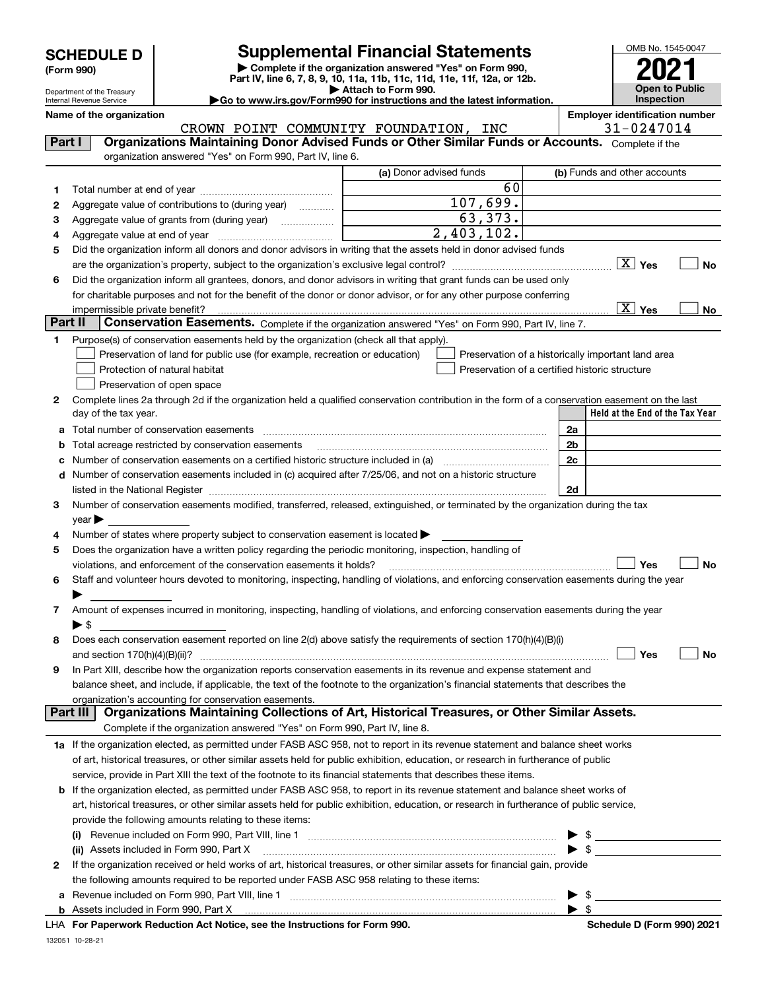| <b>SCHEDULE D</b> |
|-------------------|
|-------------------|

Department of the Treasury Internal Revenue Service

| (Form 990) |  |
|------------|--|
|------------|--|

### **Supplemental Financial Statements**

**| Complete if the organization answered "Yes" on Form 990, Part IV, line 6, 7, 8, 9, 10, 11a, 11b, 11c, 11d, 11e, 11f, 12a, or 12b. | Attach to Form 990.** OMB No. 1545-0047 to Public **Inspection2021**

**Name of the organization Employer identification number**

**|Go to www.irs.gov/Form990 for instructions and the latest information.**

**Held at the End of the Tax Year** (a) Donor advised funds **123456Yes No** are the organization's property, subject to the organization's exclusive legal control? ~~~~~~~~~~~~~~~~~~ X **Yes No 123456789abcd2a2b2c2dYes No Yes No 1a** If the organization elected, as permitted under FASB ASC 958, not to report in its revenue statement and balance sheet works **2b** If the organization elected, as permitted under FASB ASC 958, to report in its revenue statement and balance sheet works of **(i)** Revenue included on Form 990, Part VIII, line 1 ~~~~~~~~~~~~~~~~~~~~~~~~~~~~ | \$ **(ii)** Assets included in Form 990, Part X ~~~~~~~~~~~~~~~~~~~~~~~~~~~~~~~~~ | \$ **a**Revenue included on Form 990, Part VIII, line 1 ~~~~~~~~~~~~~~~~~~~~~~~~~~~~~~**b**<code>Part I</code>  $|$   $|$  Organizations Maintaining Donor Advised Funds or Other Similar Funds or Accounts.  $\,$  <code>Complete</code> if the organization answered "Yes" on Form 990, Part IV, line 6. (b) Funds and other accounts Total number at end of year ~~~~~~~~~~~~~~~ Aggregate value of contributions to (during year)  $\quad \quad \ldots \ldots \ldots$ Aggregate value of grants from (during year) www.community Aggregate value at end of year ~~~~~~~~~~~~~ Did the organization inform all donors and donor advisors in writing that the assets held in donor advised funds Did the organization inform all grantees, donors, and donor advisors in writing that grant funds can be used only for charitable purposes and not for the benefit of the donor or donor advisor, or for any other purpose conferring impermissible private benefit? **Part II | Conservation Easements.** Complete if the organization answered "Yes" on Form 990, Part IV, line 7. Purpose(s) of conservation easements held by the organization (check all that apply). Preservation of land for public use (for example, recreation or education) **Protection of natural habitat Example 2014** Preservation of open space Preservation of a historically important land area Preservation of a certified historic structure Complete lines 2a through 2d if the organization held a qualified conservation contribution in the form of a conservation easement on the last day of the tax year. Total number of conservation easements ~~~~~~~~~~~~~~~~~~~~~~~~~~~~~~~~ Total acreage restricted by conservation easements Number of conservation easements on a certified historic structure included in (a) ~~~~~~~~~~~~ Number of conservation easements included in (c) acquired after 7/25/06, and not on a historic structure listed in the National Register ~~~~~~~~~~~~~~~~~~~~~~~~~~~~~~~~~~~~~~ Number of conservation easements modified, transferred, released, extinguished, or terminated by the organization during the tax  $year$ Number of states where property subject to conservation easement is located  $\blacktriangleright$ Does the organization have a written policy regarding the periodic monitoring, inspection, handling of violations, and enforcement of the conservation easements it holds? ~~~~~~~~~~~~~~~~~~~~~~~~~ Staff and volunteer hours devoted to monitoring, inspecting, handling of violations, and enforcing conservation easements during the year  $\blacktriangleright$  . Amount of expenses incurred in monitoring, inspecting, handling of violations, and enforcing conservation easements during the year  $\blacktriangleright$  \$ Does each conservation easement reported on line 2(d) above satisfy the requirements of section 170(h)(4)(B)(i) and section 170(h)(4)(B)(ii)? ~~~~~~~~~~~~~~~~~~~~~~~~~~~~~~~~~~~~~~~~~~~~~~ In Part XIII, describe how the organization reports conservation easements in its revenue and expense statement and balance sheet, and include, if applicable, the text of the footnote to the organization's financial statements that describes the organization's accounting for conservation easements. Complete if the organization answered "Yes" on Form 990, Part IV, line 8. of art, historical treasures, or other similar assets held for public exhibition, education, or research in furtherance of public service, provide in Part XIII the text of the footnote to its financial statements that describes these items. art, historical treasures, or other similar assets held for public exhibition, education, or research in furtherance of public service, provide the following amounts relating to these items: If the organization received or held works of art, historical treasures, or other similar assets for financial gain, provide the following amounts required to be reported under FASB ASC 958 relating to these items: Assets included in Form 990, Part X  $\blacktriangleright$  \$  $\mathfrak{L}$ **Part III Organizations Maintaining Collections of Art, Historical Treasures, or Other Similar Assets.**  $\boxed{\text{X}}$  $\overline{X}$  Yes  $\overline{X}$  $\mathcal{L}^{\text{max}}$  $\mathcal{L}^{\text{max}}$  $\mathcal{L}^{\text{max}}$ 60 107,699. 63,373. 2,403,102. X CROWN POINT COMMUNITY FOUNDATION, INC 31-0247014

**For Paperwork Reduction Act Notice, see the Instructions for Form 990. Schedule D (Form 990) 2021** LHA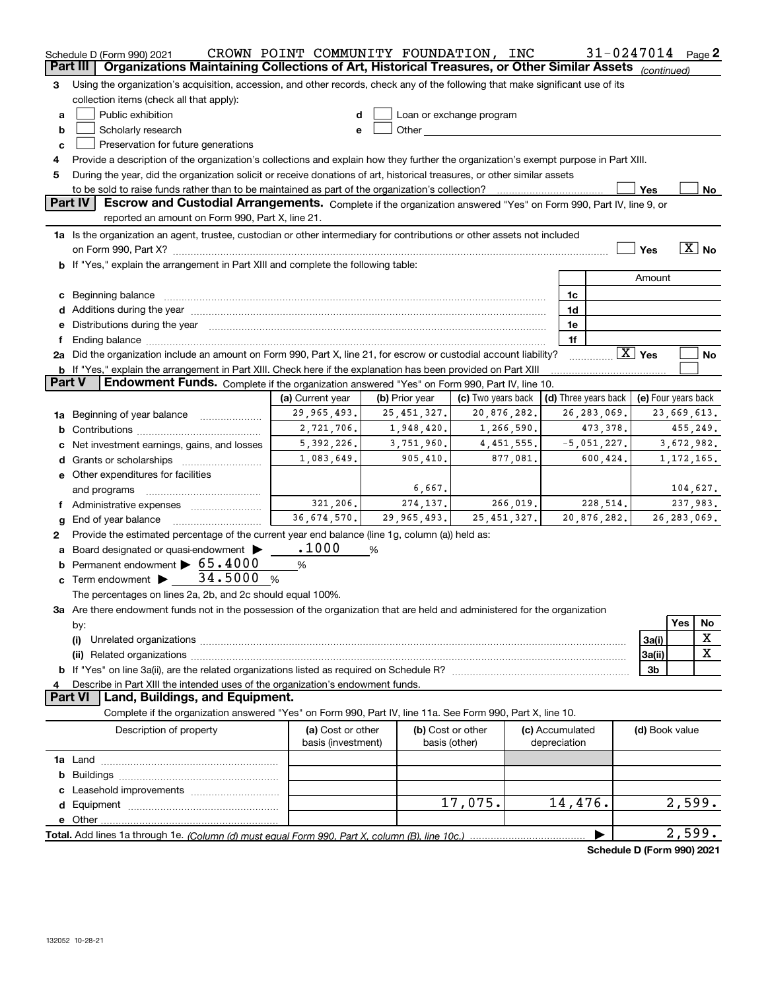|               | Schedule D (Form 990) 2021<br>Part III                                                                                                                                                                                         | CROWN POINT COMMUNITY FOUNDATION, INC |                |                                                                                                                                                                                                                               |                 |              | 31-0247014           |                                                      |               | Page <sub>2</sub>     |  |
|---------------|--------------------------------------------------------------------------------------------------------------------------------------------------------------------------------------------------------------------------------|---------------------------------------|----------------|-------------------------------------------------------------------------------------------------------------------------------------------------------------------------------------------------------------------------------|-----------------|--------------|----------------------|------------------------------------------------------|---------------|-----------------------|--|
|               | Organizations Maintaining Collections of Art, Historical Treasures, or Other Similar Assets (continued)                                                                                                                        |                                       |                |                                                                                                                                                                                                                               |                 |              |                      |                                                      |               |                       |  |
| 3             | Using the organization's acquisition, accession, and other records, check any of the following that make significant use of its                                                                                                |                                       |                |                                                                                                                                                                                                                               |                 |              |                      |                                                      |               |                       |  |
|               | collection items (check all that apply):                                                                                                                                                                                       |                                       |                |                                                                                                                                                                                                                               |                 |              |                      |                                                      |               |                       |  |
| a             | Public exhibition                                                                                                                                                                                                              | d                                     |                | Loan or exchange program                                                                                                                                                                                                      |                 |              |                      |                                                      |               |                       |  |
| b             | Scholarly research                                                                                                                                                                                                             | e                                     |                | Other and the contract of the contract of the contract of the contract of the contract of the contract of the contract of the contract of the contract of the contract of the contract of the contract of the contract of the |                 |              |                      |                                                      |               |                       |  |
| c             | Preservation for future generations                                                                                                                                                                                            |                                       |                |                                                                                                                                                                                                                               |                 |              |                      |                                                      |               |                       |  |
| 4             | Provide a description of the organization's collections and explain how they further the organization's exempt purpose in Part XIII.                                                                                           |                                       |                |                                                                                                                                                                                                                               |                 |              |                      |                                                      |               |                       |  |
| 5             | During the year, did the organization solicit or receive donations of art, historical treasures, or other similar assets                                                                                                       |                                       |                |                                                                                                                                                                                                                               |                 |              |                      |                                                      |               |                       |  |
|               |                                                                                                                                                                                                                                |                                       |                |                                                                                                                                                                                                                               |                 |              |                      | Yes                                                  |               | No                    |  |
|               | Part IV<br>Escrow and Custodial Arrangements. Complete if the organization answered "Yes" on Form 990, Part IV, line 9, or<br>reported an amount on Form 990, Part X, line 21.                                                 |                                       |                |                                                                                                                                                                                                                               |                 |              |                      |                                                      |               |                       |  |
|               | 1a Is the organization an agent, trustee, custodian or other intermediary for contributions or other assets not included                                                                                                       |                                       |                |                                                                                                                                                                                                                               |                 |              |                      |                                                      |               |                       |  |
|               | on Form 990, Part X? [11] matter contracts and contracts and contracts are contracted as a function of the set of the set of the set of the set of the set of the set of the set of the set of the set of the set of the set o |                                       |                |                                                                                                                                                                                                                               |                 |              |                      | Yes                                                  |               | $\boxed{\text{X}}$ No |  |
|               | b If "Yes," explain the arrangement in Part XIII and complete the following table:                                                                                                                                             |                                       |                |                                                                                                                                                                                                                               |                 |              |                      |                                                      |               |                       |  |
|               |                                                                                                                                                                                                                                |                                       |                |                                                                                                                                                                                                                               |                 |              |                      | Amount                                               |               |                       |  |
|               | c Beginning balance measurements and the contract of the contract of the contract of the contract of the contract of the contract of the contract of the contract of the contract of the contract of the contract of the contr |                                       |                |                                                                                                                                                                                                                               |                 | 1c           |                      |                                                      |               |                       |  |
|               |                                                                                                                                                                                                                                |                                       |                |                                                                                                                                                                                                                               |                 | 1d           |                      |                                                      |               |                       |  |
|               | e Distributions during the year manufactured and continuum and contract the year manufactured and contract the                                                                                                                 |                                       |                |                                                                                                                                                                                                                               |                 | 1e           |                      |                                                      |               |                       |  |
| f             |                                                                                                                                                                                                                                |                                       |                |                                                                                                                                                                                                                               |                 | 1f           |                      |                                                      |               |                       |  |
|               | 2a Did the organization include an amount on Form 990, Part X, line 21, for escrow or custodial account liability?                                                                                                             |                                       |                |                                                                                                                                                                                                                               |                 |              |                      | $\boxed{\text{X}}$ Yes                               |               | No                    |  |
|               | b If "Yes," explain the arrangement in Part XIII. Check here if the explanation has been provided on Part XIII                                                                                                                 |                                       |                |                                                                                                                                                                                                                               |                 |              |                      |                                                      |               |                       |  |
| <b>Part V</b> | Endowment Funds. Complete if the organization answered "Yes" on Form 990, Part IV, line 10.                                                                                                                                    |                                       |                |                                                                                                                                                                                                                               |                 |              |                      |                                                      |               |                       |  |
|               |                                                                                                                                                                                                                                | (a) Current year                      | (b) Prior year | (c) Two years back                                                                                                                                                                                                            |                 |              | (d) Three years back | (e) Four years back                                  |               |                       |  |
|               | 1a Beginning of year balance                                                                                                                                                                                                   | 29,965,493.                           | 25, 451, 327.  | 20,876,282.                                                                                                                                                                                                                   |                 |              | 26, 283, 069.        |                                                      | 23,669,613.   |                       |  |
|               |                                                                                                                                                                                                                                | 2,721,706.                            | 1,948,420.     | 1,266,590.                                                                                                                                                                                                                    |                 |              | 473,378.             | 455,249.<br>3,672,982.                               |               |                       |  |
|               | 5, 392, 226.<br>3,751,960.<br>4,451,555.<br>$-5,051,227.$<br>c Net investment earnings, gains, and losses                                                                                                                      |                                       |                |                                                                                                                                                                                                                               |                 |              |                      |                                                      |               |                       |  |
|               |                                                                                                                                                                                                                                | 1,083,649.                            | 905,410.       | 877,081.                                                                                                                                                                                                                      |                 |              | 600,424.             |                                                      | 1, 172, 165.  |                       |  |
|               | e Other expenditures for facilities                                                                                                                                                                                            |                                       |                |                                                                                                                                                                                                                               |                 |              |                      |                                                      |               |                       |  |
|               | and programs                                                                                                                                                                                                                   |                                       | 6,667.         |                                                                                                                                                                                                                               |                 |              |                      |                                                      |               | 104,627.              |  |
| Ť.            | Administrative expenses                                                                                                                                                                                                        | 321,206.                              | 274,137.       | 266,019.                                                                                                                                                                                                                      |                 |              | 228, 514.            |                                                      |               | 237,983.              |  |
| g             | End of year balance                                                                                                                                                                                                            | 36,674,570.                           | 29,965,493.    | 25, 451, 327.                                                                                                                                                                                                                 |                 |              | 20,876,282.          |                                                      | 26, 283, 069. |                       |  |
| 2             | Provide the estimated percentage of the current year end balance (line 1g, column (a)) held as:                                                                                                                                |                                       |                |                                                                                                                                                                                                                               |                 |              |                      |                                                      |               |                       |  |
|               | a Board designated or quasi-endowment >                                                                                                                                                                                        | .1000                                 | %              |                                                                                                                                                                                                                               |                 |              |                      |                                                      |               |                       |  |
|               | <b>b</b> Permanent endowment $\triangleright$ 65.4000                                                                                                                                                                          | %                                     |                |                                                                                                                                                                                                                               |                 |              |                      |                                                      |               |                       |  |
|               | c Term endowment $\blacktriangleright$ $\_\_$ 34.5000<br>$\%$                                                                                                                                                                  |                                       |                |                                                                                                                                                                                                                               |                 |              |                      |                                                      |               |                       |  |
|               | The percentages on lines 2a, 2b, and 2c should equal 100%.                                                                                                                                                                     |                                       |                |                                                                                                                                                                                                                               |                 |              |                      |                                                      |               |                       |  |
|               | 3a Are there endowment funds not in the possession of the organization that are held and administered for the organization                                                                                                     |                                       |                |                                                                                                                                                                                                                               |                 |              |                      |                                                      | Yes           | No                    |  |
|               | by:                                                                                                                                                                                                                            |                                       |                |                                                                                                                                                                                                                               |                 |              |                      |                                                      |               | X                     |  |
|               | (i)                                                                                                                                                                                                                            |                                       |                |                                                                                                                                                                                                                               |                 |              |                      | 3a(i)                                                |               | X                     |  |
|               |                                                                                                                                                                                                                                |                                       |                |                                                                                                                                                                                                                               |                 |              |                      | 3a(ii)<br>3 <sub>b</sub>                             |               |                       |  |
|               | Describe in Part XIII the intended uses of the organization's endowment funds.                                                                                                                                                 |                                       |                |                                                                                                                                                                                                                               |                 |              |                      |                                                      |               |                       |  |
|               | <b>Part VI</b><br>Land, Buildings, and Equipment.                                                                                                                                                                              |                                       |                |                                                                                                                                                                                                                               |                 |              |                      |                                                      |               |                       |  |
|               | Complete if the organization answered "Yes" on Form 990, Part IV, line 11a. See Form 990, Part X, line 10.                                                                                                                     |                                       |                |                                                                                                                                                                                                                               |                 |              |                      |                                                      |               |                       |  |
|               | Description of property                                                                                                                                                                                                        | (a) Cost or other                     |                | (b) Cost or other                                                                                                                                                                                                             | (c) Accumulated |              |                      | (d) Book value                                       |               |                       |  |
|               |                                                                                                                                                                                                                                | basis (investment)                    |                | basis (other)                                                                                                                                                                                                                 |                 | depreciation |                      |                                                      |               |                       |  |
|               |                                                                                                                                                                                                                                |                                       |                |                                                                                                                                                                                                                               |                 |              |                      |                                                      |               |                       |  |
|               |                                                                                                                                                                                                                                |                                       |                |                                                                                                                                                                                                                               |                 |              |                      |                                                      |               |                       |  |
|               |                                                                                                                                                                                                                                |                                       |                |                                                                                                                                                                                                                               |                 |              |                      |                                                      |               |                       |  |
|               |                                                                                                                                                                                                                                |                                       |                | 17,075.                                                                                                                                                                                                                       |                 | 14,476.      |                      |                                                      | 2,599.        |                       |  |
|               |                                                                                                                                                                                                                                |                                       |                |                                                                                                                                                                                                                               |                 |              |                      |                                                      |               |                       |  |
|               |                                                                                                                                                                                                                                |                                       |                |                                                                                                                                                                                                                               |                 |              |                      | $d_{\text{obs}} = \sum (P_{\text{noise}} - QQQ) QQQ$ | 2,599.        |                       |  |
|               |                                                                                                                                                                                                                                |                                       |                |                                                                                                                                                                                                                               |                 |              |                      |                                                      |               |                       |  |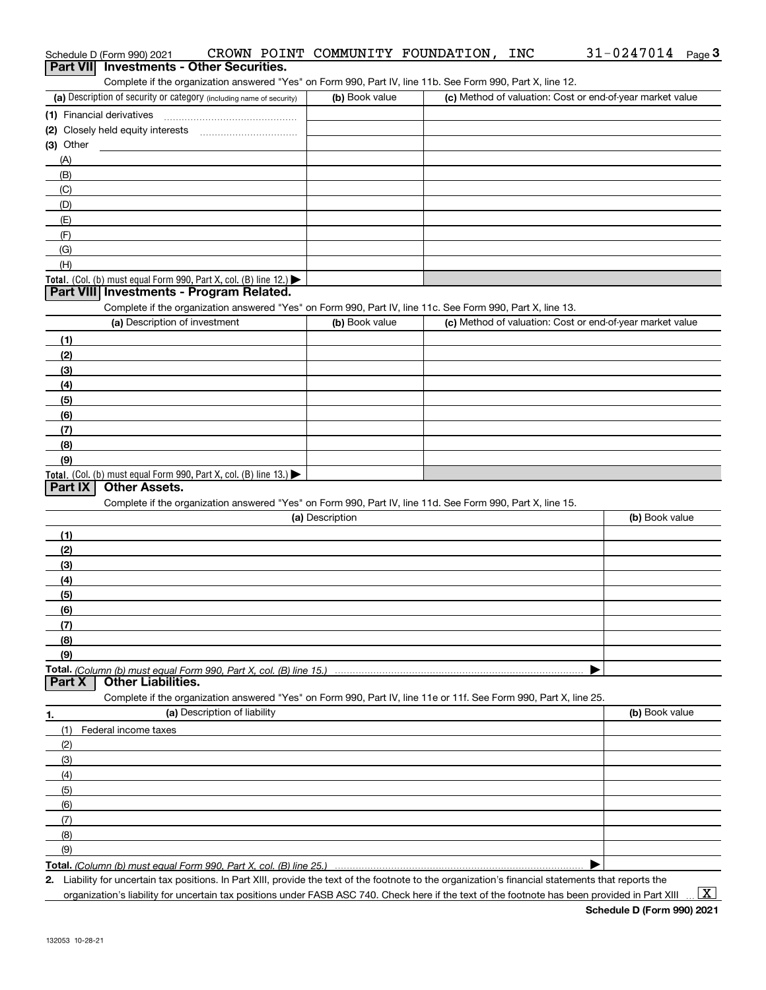|                 | Schedule D (Form 990) 2021                                                                                        | CROWN POINT COMMUNITY FOUNDATION, | INC | $31 - 0247014$ Page 3                                     |
|-----------------|-------------------------------------------------------------------------------------------------------------------|-----------------------------------|-----|-----------------------------------------------------------|
| <b>Part VII</b> | <b>Investments - Other Securities.</b>                                                                            |                                   |     |                                                           |
|                 | Complete if the organization answered "Yes" on Form 990, Part IV, line 11b. See Form 990, Part X, line 12.        |                                   |     |                                                           |
|                 | (a) Description of security or category (including name of security)                                              | (b) Book value                    |     | (c) Method of valuation: Cost or end-of-year market value |
|                 | (1) Financial derivatives                                                                                         |                                   |     |                                                           |
|                 |                                                                                                                   |                                   |     |                                                           |
| (3) Other       |                                                                                                                   |                                   |     |                                                           |
| (A)             |                                                                                                                   |                                   |     |                                                           |
| (B)             |                                                                                                                   |                                   |     |                                                           |
| (C)             |                                                                                                                   |                                   |     |                                                           |
| (D)             |                                                                                                                   |                                   |     |                                                           |
| (E)             |                                                                                                                   |                                   |     |                                                           |
| (F)             |                                                                                                                   |                                   |     |                                                           |
| (G)             |                                                                                                                   |                                   |     |                                                           |
| (H)             |                                                                                                                   |                                   |     |                                                           |
|                 | Total. (Col. (b) must equal Form 990, Part X, col. (B) line 12.)                                                  |                                   |     |                                                           |
|                 | Part VIII Investments - Program Related.                                                                          |                                   |     |                                                           |
|                 | Complete if the organization answered "Yes" on Form 990, Part IV, line 11c. See Form 990, Part X, line 13.        |                                   |     |                                                           |
|                 | (a) Description of investment                                                                                     | (b) Book value                    |     | (c) Method of valuation: Cost or end-of-year market value |
| (1)             |                                                                                                                   |                                   |     |                                                           |
| (2)             |                                                                                                                   |                                   |     |                                                           |
| (3)             |                                                                                                                   |                                   |     |                                                           |
| (4)             |                                                                                                                   |                                   |     |                                                           |
| (5)             |                                                                                                                   |                                   |     |                                                           |
| (6)             |                                                                                                                   |                                   |     |                                                           |
| (7)             |                                                                                                                   |                                   |     |                                                           |
| (8)             |                                                                                                                   |                                   |     |                                                           |
| (9)             |                                                                                                                   |                                   |     |                                                           |
|                 | Total. (Col. (b) must equal Form 990, Part X, col. (B) line 13.)                                                  |                                   |     |                                                           |
| <b>Part IX</b>  | <b>Other Assets.</b>                                                                                              |                                   |     |                                                           |
|                 | Complete if the organization answered "Yes" on Form 990, Part IV, line 11d. See Form 990, Part X, line 15.        |                                   |     |                                                           |
|                 |                                                                                                                   | (a) Description                   |     | (b) Book value                                            |
| (1)             |                                                                                                                   |                                   |     |                                                           |
| (2)             |                                                                                                                   |                                   |     |                                                           |
| (3)             |                                                                                                                   |                                   |     |                                                           |
| (4)             |                                                                                                                   |                                   |     |                                                           |
| (5)             |                                                                                                                   |                                   |     |                                                           |
| (6)             |                                                                                                                   |                                   |     |                                                           |
| (7)             |                                                                                                                   |                                   |     |                                                           |
| (8)             |                                                                                                                   |                                   |     |                                                           |
| (9)             |                                                                                                                   |                                   |     |                                                           |
|                 | Total. (Column (b) must equal Form 990, Part X, col. (B) line 15.)                                                |                                   |     |                                                           |
| <b>Part X</b>   | <b>Other Liabilities.</b>                                                                                         |                                   |     |                                                           |
|                 | Complete if the organization answered "Yes" on Form 990, Part IV, line 11e or 11f. See Form 990, Part X, line 25. |                                   |     |                                                           |
| 1.              | (a) Description of liability                                                                                      |                                   |     | (b) Book value                                            |
| (1)             | Federal income taxes                                                                                              |                                   |     |                                                           |
| (2)             |                                                                                                                   |                                   |     |                                                           |
| (3)             |                                                                                                                   |                                   |     |                                                           |
| (4)             |                                                                                                                   |                                   |     |                                                           |
| (5)             |                                                                                                                   |                                   |     |                                                           |
| (6)             |                                                                                                                   |                                   |     |                                                           |
| (7)             |                                                                                                                   |                                   |     |                                                           |
| (8)             |                                                                                                                   |                                   |     |                                                           |
| (9)             |                                                                                                                   |                                   |     |                                                           |
|                 | Total. (Column (b) must equal Form 990, Part X, col. (B) line 25.)                                                |                                   |     |                                                           |
|                 |                                                                                                                   |                                   |     |                                                           |

**2.** Liability for uncertain tax positions. In Part XIII, provide the text of the footnote to the organization's financial statements that reports the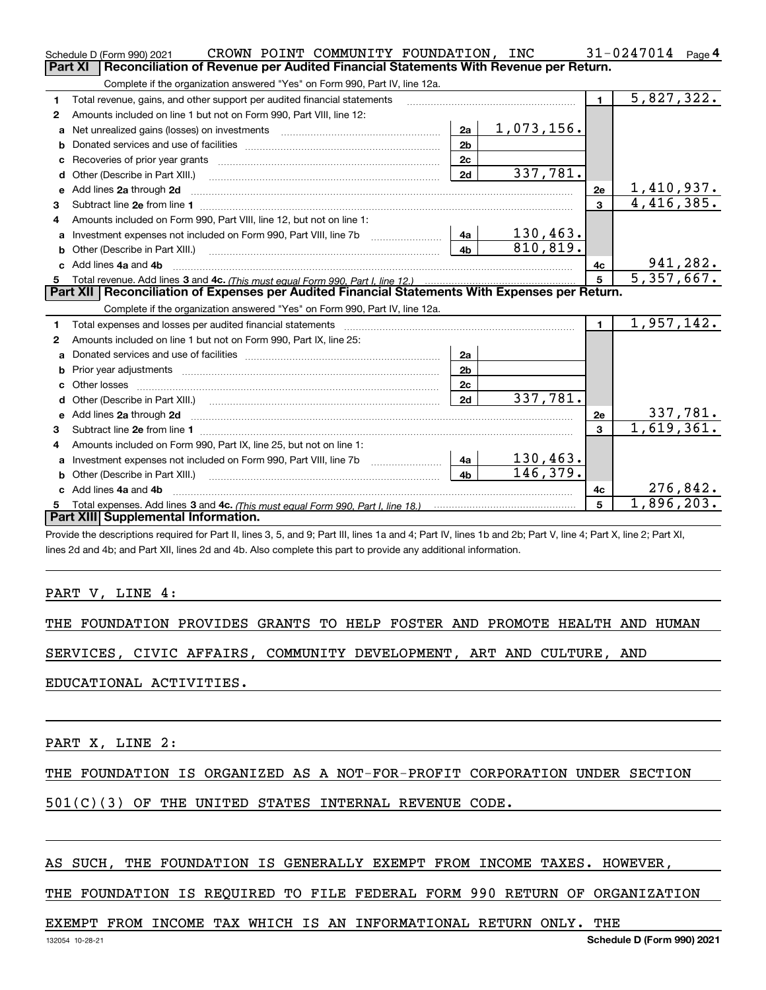|    | CROWN POINT COMMUNITY FOUNDATION, INC<br>Schedule D (Form 990) 2021                                                                                                                                                                 |                |                 |                | 31-0247014<br>Page 4    |
|----|-------------------------------------------------------------------------------------------------------------------------------------------------------------------------------------------------------------------------------------|----------------|-----------------|----------------|-------------------------|
|    | Part XI<br>Reconciliation of Revenue per Audited Financial Statements With Revenue per Return.                                                                                                                                      |                |                 |                |                         |
|    | Complete if the organization answered "Yes" on Form 990, Part IV, line 12a.                                                                                                                                                         |                |                 |                |                         |
| 1  | Total revenue, gains, and other support per audited financial statements                                                                                                                                                            |                |                 | $\blacksquare$ | $\overline{5,827},322.$ |
| 2  | Amounts included on line 1 but not on Form 990, Part VIII, line 12:                                                                                                                                                                 |                |                 |                |                         |
| a  |                                                                                                                                                                                                                                     | 2a             | 1,073,156.      |                |                         |
|    |                                                                                                                                                                                                                                     | 2 <sub>b</sub> |                 |                |                         |
|    |                                                                                                                                                                                                                                     | 2c             |                 |                |                         |
| d  |                                                                                                                                                                                                                                     | 2d             | 337,781.        |                |                         |
| е  | Add lines 2a through 2d                                                                                                                                                                                                             |                |                 | 2e             | <u>1,410,937.</u>       |
| 3  |                                                                                                                                                                                                                                     |                |                 | $\overline{3}$ | 4,416,385.              |
| 4  | Amounts included on Form 990. Part VIII. line 12, but not on line 1:                                                                                                                                                                |                |                 |                |                         |
|    | Investment expenses not included on Form 990, Part VIII, line 7b [111] [11] Investment expenses not included on Form 990, Part VIII, line 7b                                                                                        | 4a             | <u>130,463.</u> |                |                         |
| b  | Other (Describe in Part XIII.) <b>Construction Contract Construction</b> Chern Construction Chern Chern Chern Chern Chern Chern Chern Chern Chern Chern Chern Chern Chern Chern Chern Chern Chern Chern Chern Chern Chern Chern Che | 4 <sub>b</sub> | 810,819.        |                |                         |
| c. | Add lines 4a and 4b                                                                                                                                                                                                                 |                |                 | 4с             | 941,282.                |
|    |                                                                                                                                                                                                                                     |                |                 | 5              |                         |
|    |                                                                                                                                                                                                                                     |                |                 |                | 5,357,667.              |
|    | Part XII   Reconciliation of Expenses per Audited Financial Statements With Expenses per Return.                                                                                                                                    |                |                 |                |                         |
|    | Complete if the organization answered "Yes" on Form 990, Part IV, line 12a.                                                                                                                                                         |                |                 |                |                         |
| 1  | Total expenses and losses per audited financial statements                                                                                                                                                                          |                |                 | $\mathbf{1}$   | 1,957,142.              |
| 2  | Amounts included on line 1 but not on Form 990, Part IX, line 25:                                                                                                                                                                   |                |                 |                |                         |
| a  |                                                                                                                                                                                                                                     | 2a             |                 |                |                         |
|    |                                                                                                                                                                                                                                     | 2 <sub>b</sub> |                 |                |                         |
| c. |                                                                                                                                                                                                                                     | 2 <sub>c</sub> |                 |                |                         |
| d. |                                                                                                                                                                                                                                     | 2d             | 337,781.        |                |                         |
|    |                                                                                                                                                                                                                                     |                |                 | 2e             | 337,781.                |
| 3  |                                                                                                                                                                                                                                     |                |                 | $\mathbf{a}$   | 1,619,361.              |
| 4  | Amounts included on Form 990, Part IX, line 25, but not on line 1:                                                                                                                                                                  |                |                 |                |                         |
| a  |                                                                                                                                                                                                                                     | 4a             | 130,463.        |                |                         |
|    |                                                                                                                                                                                                                                     | 4 <sub>h</sub> | 146,379.        |                |                         |
|    | Add lines 4a and 4b                                                                                                                                                                                                                 |                |                 | 4с             | 276,842.                |
|    | Part XIII Supplemental Information.                                                                                                                                                                                                 |                |                 | 5              | 1,896,203.              |

Provide the descriptions required for Part II, lines 3, 5, and 9; Part III, lines 1a and 4; Part IV, lines 1b and 2b; Part V, line 4; Part X, line 2; Part XI, lines 2d and 4b; and Part XII, lines 2d and 4b. Also complete this part to provide any additional information.

#### PART V, LINE 4:

THE FOUNDATION PROVIDES GRANTS TO HELP FOSTER AND PROMOTE HEALTH AND HUMAN

SERVICES, CIVIC AFFAIRS, COMMUNITY DEVELOPMENT, ART AND CULTURE, AND

EDUCATIONAL ACTIVITIES.

PART X, LINE 2:

THE FOUNDATION IS ORGANIZED AS A NOT-FOR-PROFIT CORPORATION UNDER SECTION

#### 501(C)(3) OF THE UNITED STATES INTERNAL REVENUE CODE.

#### AS SUCH, THE FOUNDATION IS GENERALLY EXEMPT FROM INCOME TAXES. HOWEVER,

THE FOUNDATION IS REQUIRED TO FILE FEDERAL FORM 990 RETURN OF ORGANIZATION

#### EXEMPT FROM INCOME TAX WHICH IS AN INFORMATIONAL RETURN ONLY. THE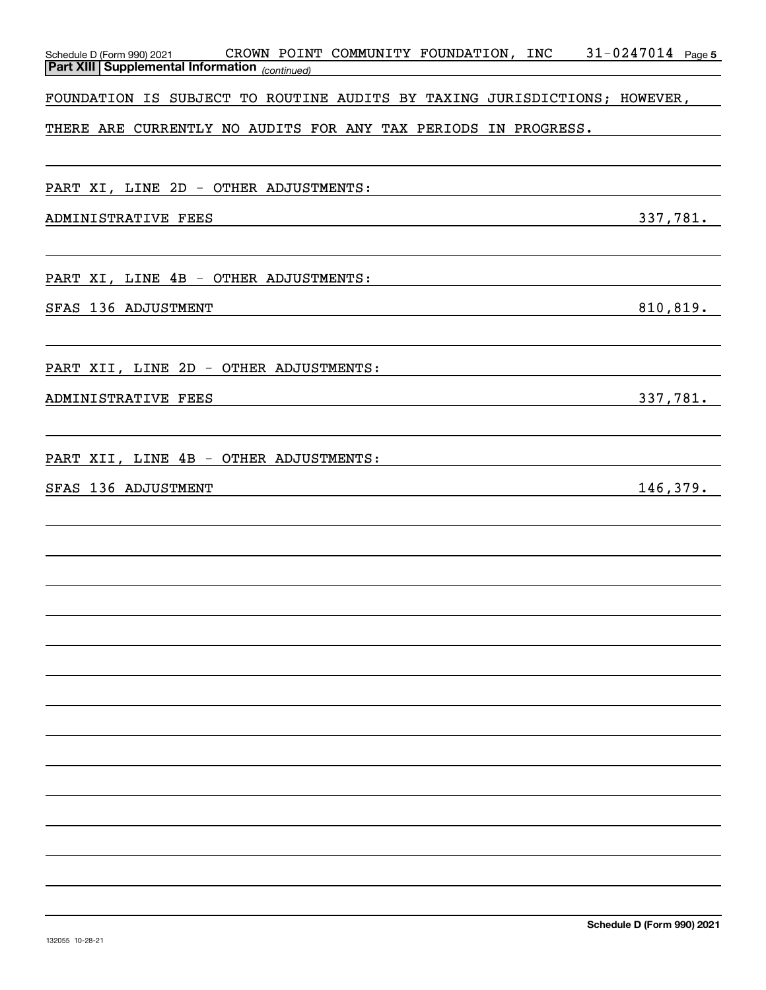| Schedule D (Form 990) 2021<br><b>Part XIII Supplemental Information</b> (continued) | CROWN POINT COMMUNITY FOUNDATION, INC                                     | $31 - 0247014$ Page 5 |
|-------------------------------------------------------------------------------------|---------------------------------------------------------------------------|-----------------------|
|                                                                                     |                                                                           |                       |
|                                                                                     | FOUNDATION IS SUBJECT TO ROUTINE AUDITS BY TAXING JURISDICTIONS; HOWEVER, |                       |
|                                                                                     | THERE ARE CURRENTLY NO AUDITS FOR ANY TAX PERIODS IN PROGRESS.            |                       |
|                                                                                     |                                                                           |                       |
| PART XI, LINE 2D - OTHER ADJUSTMENTS:                                               |                                                                           |                       |
| ADMINISTRATIVE FEES                                                                 |                                                                           | 337,781.              |
|                                                                                     |                                                                           |                       |
| PART XI, LINE 4B - OTHER ADJUSTMENTS:                                               |                                                                           |                       |
| SFAS 136 ADJUSTMENT                                                                 |                                                                           | 810, 819.             |
|                                                                                     |                                                                           |                       |
| PART XII, LINE 2D - OTHER ADJUSTMENTS:                                              |                                                                           |                       |
| ADMINISTRATIVE FEES                                                                 |                                                                           | 337,781.              |
|                                                                                     |                                                                           |                       |
| PART XII, LINE 4B - OTHER ADJUSTMENTS:                                              |                                                                           |                       |
|                                                                                     |                                                                           |                       |
| SFAS 136 ADJUSTMENT                                                                 |                                                                           | 146,379.              |
|                                                                                     |                                                                           |                       |
|                                                                                     |                                                                           |                       |
|                                                                                     |                                                                           |                       |
|                                                                                     |                                                                           |                       |
|                                                                                     |                                                                           |                       |
|                                                                                     |                                                                           |                       |
|                                                                                     |                                                                           |                       |
|                                                                                     |                                                                           |                       |
|                                                                                     |                                                                           |                       |
|                                                                                     |                                                                           |                       |
|                                                                                     |                                                                           |                       |
|                                                                                     |                                                                           |                       |
|                                                                                     |                                                                           |                       |
|                                                                                     |                                                                           |                       |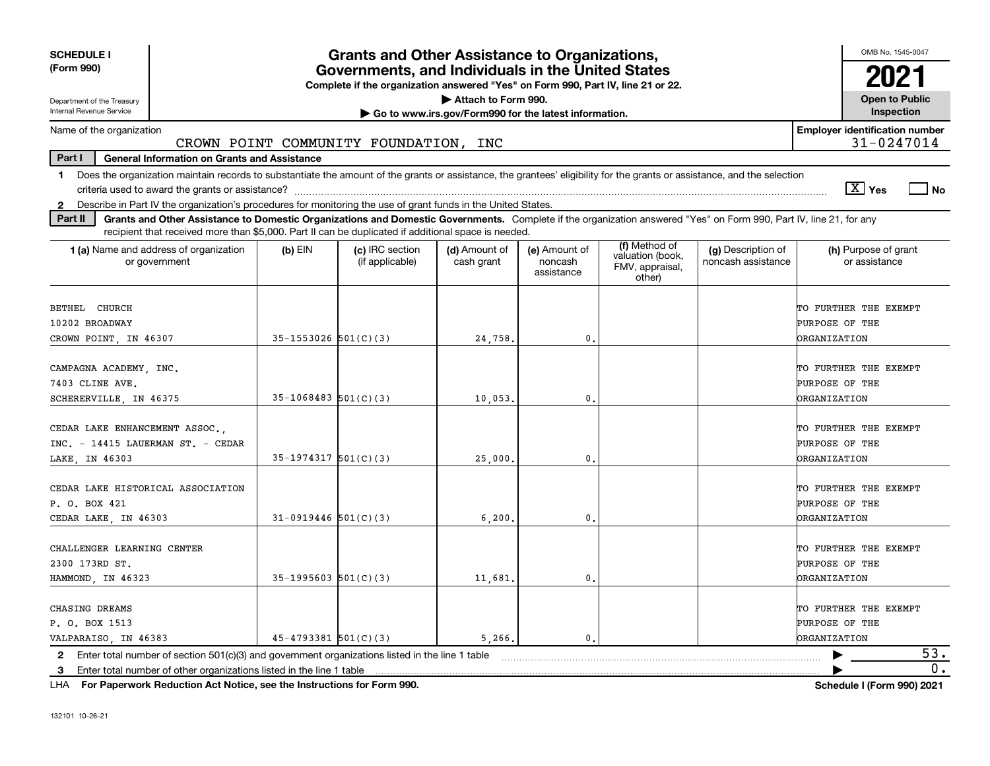| <b>SCHEDULE I</b>                                                                                                                                                                                                                                                                                |                            | <b>Grants and Other Assistance to Organizations,</b>                                                                                  |                                                       |                                        |                                                                |                                          | OMB No. 1545-0047                                              |
|--------------------------------------------------------------------------------------------------------------------------------------------------------------------------------------------------------------------------------------------------------------------------------------------------|----------------------------|---------------------------------------------------------------------------------------------------------------------------------------|-------------------------------------------------------|----------------------------------------|----------------------------------------------------------------|------------------------------------------|----------------------------------------------------------------|
| (Form 990)                                                                                                                                                                                                                                                                                       |                            | Governments, and Individuals in the United States<br>Complete if the organization answered "Yes" on Form 990, Part IV, line 21 or 22. |                                                       |                                        |                                                                |                                          | 2021                                                           |
| Department of the Treasury                                                                                                                                                                                                                                                                       |                            |                                                                                                                                       | Attach to Form 990.                                   |                                        |                                                                |                                          | <b>Open to Public</b>                                          |
| Internal Revenue Service                                                                                                                                                                                                                                                                         |                            |                                                                                                                                       | Go to www.irs.gov/Form990 for the latest information. |                                        |                                                                |                                          | Inspection                                                     |
| Name of the organization                                                                                                                                                                                                                                                                         |                            | CROWN POINT COMMUNITY FOUNDATION, INC                                                                                                 |                                                       |                                        |                                                                |                                          | <b>Employer identification number</b><br>31-0247014            |
| Part I<br><b>General Information on Grants and Assistance</b>                                                                                                                                                                                                                                    |                            |                                                                                                                                       |                                                       |                                        |                                                                |                                          |                                                                |
| 1 Does the organization maintain records to substantiate the amount of the grants or assistance, the grantees' eligibility for the grants or assistance, and the selection                                                                                                                       |                            |                                                                                                                                       |                                                       |                                        |                                                                |                                          |                                                                |
|                                                                                                                                                                                                                                                                                                  |                            |                                                                                                                                       |                                                       |                                        |                                                                |                                          | $\boxed{\text{X}}$ Yes<br>  No                                 |
| 2 Describe in Part IV the organization's procedures for monitoring the use of grant funds in the United States.<br>Grants and Other Assistance to Domestic Organizations and Domestic Governments. Complete if the organization answered "Yes" on Form 990, Part IV, line 21, for any<br>Part II |                            |                                                                                                                                       |                                                       |                                        |                                                                |                                          |                                                                |
| recipient that received more than \$5,000. Part II can be duplicated if additional space is needed.                                                                                                                                                                                              |                            |                                                                                                                                       |                                                       |                                        |                                                                |                                          |                                                                |
| <b>1 (a)</b> Name and address of organization<br>or government                                                                                                                                                                                                                                   | $(b)$ EIN                  | (c) IRC section<br>(if applicable)                                                                                                    | (d) Amount of<br>cash grant                           | (e) Amount of<br>noncash<br>assistance | (f) Method of<br>valuation (book,<br>FMV, appraisal,<br>other) | (g) Description of<br>noncash assistance | (h) Purpose of grant<br>or assistance                          |
| BETHEL CHURCH<br>10202 BROADWAY                                                                                                                                                                                                                                                                  |                            |                                                                                                                                       |                                                       |                                        |                                                                |                                          | TO FURTHER THE EXEMPT<br>PURPOSE OF THE                        |
| CROWN POINT, IN 46307                                                                                                                                                                                                                                                                            | $35 - 1553026$ $501(C)(3)$ |                                                                                                                                       | 24,758.                                               | 0.                                     |                                                                |                                          | ORGANIZATION                                                   |
| CAMPAGNA ACADEMY, INC.<br>7403 CLINE AVE.<br>SCHERERVILLE, IN 46375                                                                                                                                                                                                                              | $35-1068483$ $501(C)(3)$   |                                                                                                                                       | 10,053                                                | $\mathbf{0}$ .                         |                                                                |                                          | TO FURTHER THE EXEMPT<br>PURPOSE OF THE<br><b>ORGANIZATION</b> |
|                                                                                                                                                                                                                                                                                                  |                            |                                                                                                                                       |                                                       |                                        |                                                                |                                          |                                                                |
| CEDAR LAKE ENHANCEMENT ASSOC.,<br>INC. - 14415 LAUERMAN ST. - CEDAR<br>LAKE, IN 46303                                                                                                                                                                                                            | $35-1974317$ $501(C)(3)$   |                                                                                                                                       | 25,000.                                               | $\mathbf{0}$ .                         |                                                                |                                          | TO FURTHER THE EXEMPT<br>PURPOSE OF THE<br><b>ORGANIZATION</b> |
| CEDAR LAKE HISTORICAL ASSOCIATION<br>P. O. BOX 421<br>CEDAR LAKE, IN 46303                                                                                                                                                                                                                       | $31-0919446$ 501(C)(3)     |                                                                                                                                       | 6, 200                                                | $\mathbf{0}$                           |                                                                |                                          | TO FURTHER THE EXEMPT<br>PURPOSE OF THE<br><b>ORGANIZATION</b> |
| CHALLENGER LEARNING CENTER<br>2300 173RD ST.<br>HAMMOND, IN 46323                                                                                                                                                                                                                                | $35-1995603$ $501(C)(3)$   |                                                                                                                                       | 11,681.                                               | $\mathbf 0$ .                          |                                                                |                                          | TO FURTHER THE EXEMPT<br>PURPOSE OF THE<br><b>ORGANIZATION</b> |
| CHASING DREAMS<br>P. O. BOX 1513<br>VALPARAISO, IN 46383                                                                                                                                                                                                                                         | $45 - 4793381$ $501(C)(3)$ |                                                                                                                                       | 5,266.                                                | $\mathbf{0}$ .                         |                                                                |                                          | TO FURTHER THE EXEMPT<br>PURPOSE OF THE<br><b>ORGANIZATION</b> |
| 2 Enter total number of section 501(c)(3) and government organizations listed in the line 1 table                                                                                                                                                                                                |                            |                                                                                                                                       |                                                       |                                        |                                                                |                                          | 53.                                                            |
| Enter total number of other organizations listed in the line 1 table<br>3                                                                                                                                                                                                                        |                            |                                                                                                                                       |                                                       |                                        |                                                                |                                          | 0.                                                             |

**For Paperwork Reduction Act Notice, see the Instructions for Form 990. Schedule I (Form 990) 2021** LHA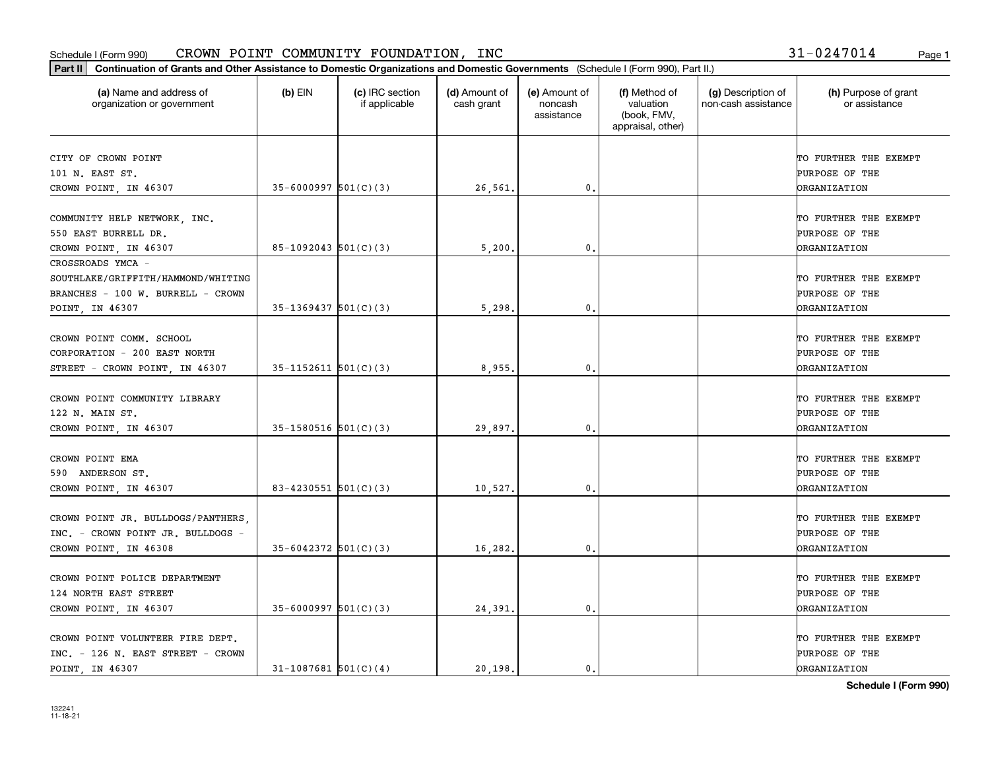| Part II   Continuation of Grants and Other Assistance to Domestic Organizations and Domestic Governments (Schedule I (Form 990), Part II.) |                            |                                  |                             |                                        |                                                                |                                           |                                       |
|--------------------------------------------------------------------------------------------------------------------------------------------|----------------------------|----------------------------------|-----------------------------|----------------------------------------|----------------------------------------------------------------|-------------------------------------------|---------------------------------------|
| (a) Name and address of<br>organization or government                                                                                      | $(b)$ EIN                  | (c) IRC section<br>if applicable | (d) Amount of<br>cash grant | (e) Amount of<br>noncash<br>assistance | (f) Method of<br>valuation<br>(book, FMV,<br>appraisal, other) | (g) Description of<br>non-cash assistance | (h) Purpose of grant<br>or assistance |
| CITY OF CROWN POINT                                                                                                                        |                            |                                  |                             |                                        |                                                                |                                           | TO FURTHER THE EXEMPT                 |
| 101 N. EAST ST.                                                                                                                            |                            |                                  |                             |                                        |                                                                |                                           | PURPOSE OF THE                        |
| CROWN POINT, IN 46307                                                                                                                      | $35 - 6000997$ 501(C)(3)   |                                  | 26,561.                     | 0.                                     |                                                                |                                           | <b>ORGANIZATION</b>                   |
|                                                                                                                                            |                            |                                  |                             |                                        |                                                                |                                           |                                       |
| COMMUNITY HELP NETWORK, INC.                                                                                                               |                            |                                  |                             |                                        |                                                                |                                           | TO FURTHER THE EXEMPT                 |
| 550 EAST BURRELL DR.                                                                                                                       |                            |                                  |                             |                                        |                                                                |                                           | PURPOSE OF THE                        |
| CROWN POINT, IN 46307                                                                                                                      | $85-1092043$ $501(C)(3)$   |                                  | 5,200                       | 0.                                     |                                                                |                                           | <b>DRGANIZATION</b>                   |
| CROSSROADS YMCA -                                                                                                                          |                            |                                  |                             |                                        |                                                                |                                           |                                       |
| SOUTHLAKE/GRIFFITH/HAMMOND/WHITING                                                                                                         |                            |                                  |                             |                                        |                                                                |                                           | TO FURTHER THE EXEMPT                 |
| BRANCHES - 100 W. BURRELL - CROWN                                                                                                          |                            |                                  |                             |                                        |                                                                |                                           | PURPOSE OF THE                        |
| POINT, IN 46307                                                                                                                            | $35-1369437$ $501(C)(3)$   |                                  | 5,298                       | $\mathbf{0}$ .                         |                                                                |                                           | <b>DRGANIZATION</b>                   |
|                                                                                                                                            |                            |                                  |                             |                                        |                                                                |                                           |                                       |
| CROWN POINT COMM. SCHOOL                                                                                                                   |                            |                                  |                             |                                        |                                                                |                                           | TO FURTHER THE EXEMPT                 |
| CORPORATION - 200 EAST NORTH                                                                                                               |                            |                                  |                             |                                        |                                                                |                                           | PURPOSE OF THE                        |
| STREET - CROWN POINT, IN 46307                                                                                                             | $35-1152611$ $501(C)(3)$   |                                  | 8,955.                      | 0.                                     |                                                                |                                           | <b>DRGANIZATION</b>                   |
| CROWN POINT COMMUNITY LIBRARY                                                                                                              |                            |                                  |                             |                                        |                                                                |                                           | TO FURTHER THE EXEMPT                 |
| 122 N. MAIN ST.                                                                                                                            |                            |                                  |                             |                                        |                                                                |                                           | PURPOSE OF THE                        |
| CROWN POINT, IN 46307                                                                                                                      | $35-1580516$ $501(C)(3)$   |                                  | 29,897.                     | 0.                                     |                                                                |                                           | <b>ORGANIZATION</b>                   |
|                                                                                                                                            |                            |                                  |                             |                                        |                                                                |                                           |                                       |
| CROWN POINT EMA                                                                                                                            |                            |                                  |                             |                                        |                                                                |                                           | TO FURTHER THE EXEMPT                 |
| 590 ANDERSON ST.                                                                                                                           |                            |                                  |                             |                                        |                                                                |                                           | PURPOSE OF THE                        |
| CROWN POINT, IN 46307                                                                                                                      | 83-4230551 $501(C)(3)$     |                                  | 10,527.                     | 0.                                     |                                                                |                                           | <b>ORGANIZATION</b>                   |
|                                                                                                                                            |                            |                                  |                             |                                        |                                                                |                                           |                                       |
| CROWN POINT JR. BULLDOGS/PANTHERS,                                                                                                         |                            |                                  |                             |                                        |                                                                |                                           | TO FURTHER THE EXEMPT                 |
| INC. - CROWN POINT JR. BULLDOGS -                                                                                                          |                            |                                  |                             |                                        |                                                                |                                           | <b>PURPOSE OF THE</b>                 |
| CROWN POINT, IN 46308                                                                                                                      | $35 - 6042372$ 501(C)(3)   |                                  | 16,282.                     | 0.                                     |                                                                |                                           | <b>ORGANIZATION</b>                   |
|                                                                                                                                            |                            |                                  |                             |                                        |                                                                |                                           |                                       |
| CROWN POINT POLICE DEPARTMENT                                                                                                              |                            |                                  |                             |                                        |                                                                |                                           | TO FURTHER THE EXEMPT                 |
| 124 NORTH EAST STREET                                                                                                                      |                            |                                  |                             |                                        |                                                                |                                           | PURPOSE OF THE                        |
| CROWN POINT, IN 46307                                                                                                                      | $35 - 6000997$ $501(C)(3)$ |                                  | 24,391                      | 0.                                     |                                                                |                                           | <b>ORGANIZATION</b>                   |
| CROWN POINT VOLUNTEER FIRE DEPT.                                                                                                           |                            |                                  |                             |                                        |                                                                |                                           | TO FURTHER THE EXEMPT                 |
| INC. - 126 N. EAST STREET - CROWN                                                                                                          |                            |                                  |                             |                                        |                                                                |                                           | PURPOSE OF THE                        |
| POINT, IN 46307                                                                                                                            | $31 - 1087681$ 501(C)(4)   |                                  | 20, 198.                    | $\mathbf{0}$ .                         |                                                                |                                           | <b>DRGANIZATION</b>                   |
|                                                                                                                                            |                            |                                  |                             |                                        |                                                                |                                           |                                       |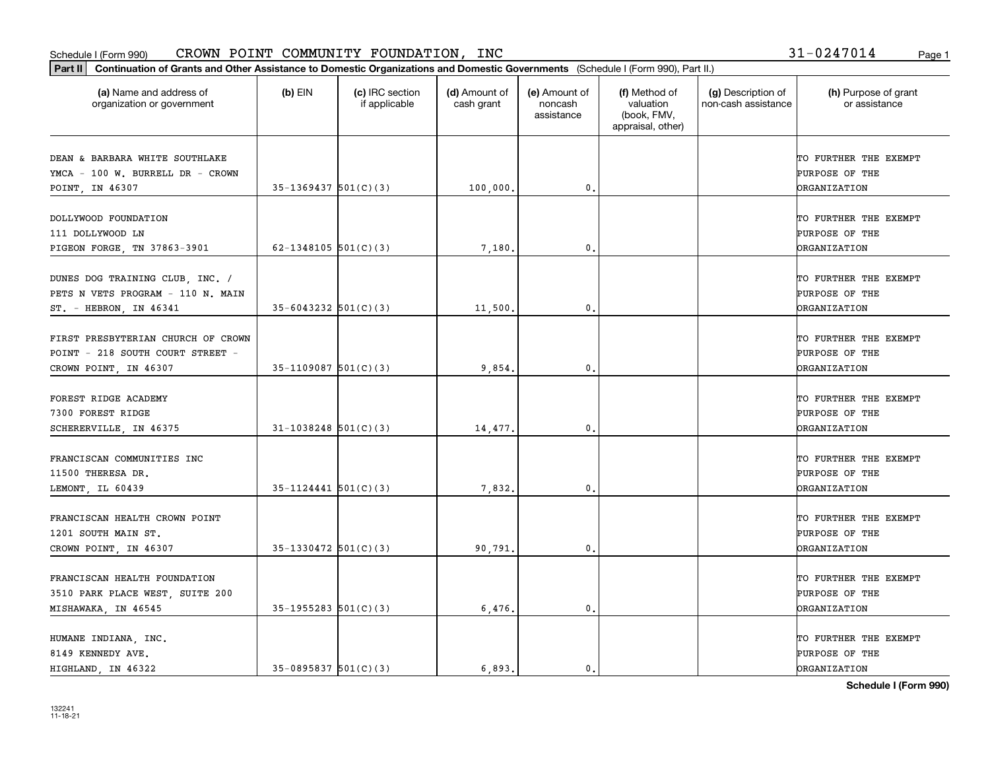| (a) Name and address of<br>organization or government                                           | $(b)$ EIN                  | (c) IRC section<br>if applicable | (d) Amount of<br>cash grant | (e) Amount of<br>noncash<br>assistance | (f) Method of<br>valuation<br>(book, FMV,<br>appraisal, other) | (g) Description of<br>non-cash assistance | (h) Purpose of grant<br>or assistance                                 |
|-------------------------------------------------------------------------------------------------|----------------------------|----------------------------------|-----------------------------|----------------------------------------|----------------------------------------------------------------|-------------------------------------------|-----------------------------------------------------------------------|
| DEAN & BARBARA WHITE SOUTHLAKE<br>YMCA - 100 W. BURRELL DR - CROWN<br>POINT, IN 46307           | $35-1369437$ $501(C)(3)$   |                                  | 100,000,                    | 0.                                     |                                                                |                                           | TO FURTHER THE EXEMPT<br>PURPOSE OF THE<br><b>ORGANIZATION</b>        |
| DOLLYWOOD FOUNDATION<br>111 DOLLYWOOD LN<br>PIGEON FORGE, TN 37863-3901                         | 62-1348105 $501(C)(3)$     |                                  | 7,180.                      | 0.                                     |                                                                |                                           | TO FURTHER THE EXEMPT<br>PURPOSE OF THE<br>ORGANIZATION               |
| DUNES DOG TRAINING CLUB, INC. /<br>PETS N VETS PROGRAM - 110 N. MAIN<br>ST. - HEBRON, IN 46341  | $35 - 6043232$ $501(C)(3)$ |                                  | 11,500.                     | $\mathbf{0}$ .                         |                                                                |                                           | TO FURTHER THE EXEMPT<br>PURPOSE OF THE<br>ORGANIZATION               |
| FIRST PRESBYTERIAN CHURCH OF CROWN<br>POINT - 218 SOUTH COURT STREET -<br>CROWN POINT, IN 46307 | $35-1109087$ 501(C)(3)     |                                  | 9,854.                      | 0.                                     |                                                                |                                           | TO FURTHER THE EXEMPT<br><b>PURPOSE OF THE</b><br><b>ORGANIZATION</b> |
| FOREST RIDGE ACADEMY<br>7300 FOREST RIDGE<br>SCHERERVILLE, IN 46375                             | $31-1038248$ 501(C)(3)     |                                  | 14,477.                     | 0.                                     |                                                                |                                           | TO FURTHER THE EXEMPT<br>PURPOSE OF THE<br>ORGANIZATION               |
| FRANCISCAN COMMUNITIES INC<br>11500 THERESA DR.<br>LEMONT, IL 60439                             | $35-1124441$ $501(C)(3)$   |                                  | 7,832.                      | 0.                                     |                                                                |                                           | TO FURTHER THE EXEMPT<br>PURPOSE OF THE<br>ORGANIZATION               |
| FRANCISCAN HEALTH CROWN POINT<br>1201 SOUTH MAIN ST.<br>CROWN POINT, IN 46307                   | $35-1330472$ $501(C)(3)$   |                                  | 90,791.                     | $\mathfrak{o}$ .                       |                                                                |                                           | TO FURTHER THE EXEMPT<br>PURPOSE OF THE<br>ORGANIZATION               |
| FRANCISCAN HEALTH FOUNDATION<br>3510 PARK PLACE WEST, SUITE 200<br>MISHAWAKA, IN 46545          | $35-1955283$ $501(C)(3)$   |                                  | 6,476.                      | $\mathfrak o$ .                        |                                                                |                                           | TO FURTHER THE EXEMPT<br><b>PURPOSE OF THE</b><br><b>ORGANIZATION</b> |
| HUMANE INDIANA, INC.<br>8149 KENNEDY AVE.<br>HIGHLAND, IN 46322                                 | $35-0895837$ $501(C)(3)$   |                                  | 6.893.                      | $\mathbf{0}$ .                         |                                                                |                                           | TO FURTHER THE EXEMPT<br>PURPOSE OF THE<br><b>DRGANIZATION</b>        |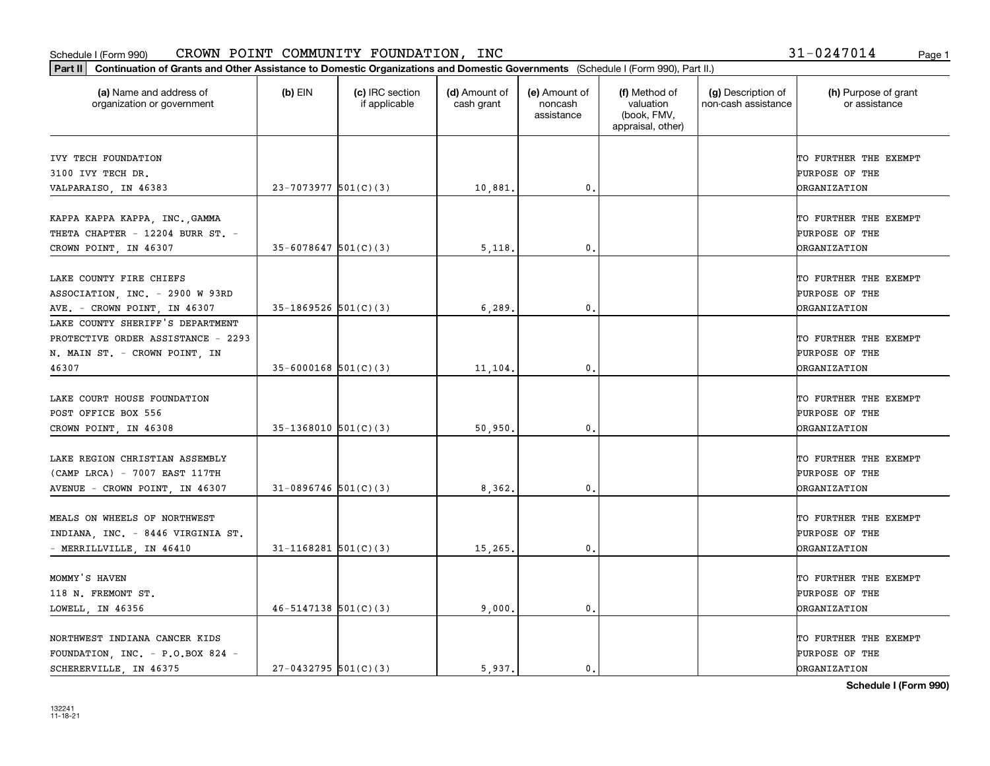| (a) Name and address of<br>organization or government                                                            | $(b)$ EIN                  | (c) IRC section<br>if applicable | (d) Amount of<br>cash grant | (e) Amount of<br>noncash<br>assistance | (f) Method of<br>valuation<br>(book, FMV,<br>appraisal, other) | (g) Description of<br>non-cash assistance | (h) Purpose of grant<br>or assistance                                 |
|------------------------------------------------------------------------------------------------------------------|----------------------------|----------------------------------|-----------------------------|----------------------------------------|----------------------------------------------------------------|-------------------------------------------|-----------------------------------------------------------------------|
| IVY TECH FOUNDATION<br>3100 IVY TECH DR.                                                                         |                            |                                  |                             |                                        |                                                                |                                           | TO FURTHER THE EXEMPT<br>PURPOSE OF THE                               |
| VALPARAISO, IN 46383                                                                                             | $23 - 7073977$ 501(C)(3)   |                                  | 10,881.                     | 0.                                     |                                                                |                                           | <b>DRGANIZATION</b>                                                   |
| KAPPA KAPPA KAPPA, INC., GAMMA<br>THETA CHAPTER - 12204 BURR ST. -<br>CROWN POINT, IN 46307                      | $35 - 6078647$ $501(C)(3)$ |                                  | 5,118                       | 0.                                     |                                                                |                                           | TO FURTHER THE EXEMPT<br>PURPOSE OF THE<br><b>DRGANIZATION</b>        |
| LAKE COUNTY FIRE CHIEFS<br>ASSOCIATION, INC. - 2900 W 93RD<br>AVE. - CROWN POINT, IN 46307                       | $35-1869526$ $501(C)(3)$   |                                  | 6,289                       | $\mathbf{0}$ .                         |                                                                |                                           | TO FURTHER THE EXEMPT<br>PURPOSE OF THE<br><b>DRGANIZATION</b>        |
| LAKE COUNTY SHERIFF'S DEPARTMENT<br>PROTECTIVE ORDER ASSISTANCE - 2293<br>N. MAIN ST. - CROWN POINT, IN<br>46307 | $35 - 6000168$ 501(C)(3)   |                                  | 11,104.                     | $\mathbf{0}$ .                         |                                                                |                                           | TO FURTHER THE EXEMPT<br>PURPOSE OF THE<br><b>ORGANIZATION</b>        |
| LAKE COURT HOUSE FOUNDATION<br>POST OFFICE BOX 556<br>CROWN POINT, IN 46308                                      | $35-1368010$ $501(C)(3)$   |                                  | 50,950                      | 0.                                     |                                                                |                                           | TO FURTHER THE EXEMPT<br>PURPOSE OF THE<br><b>DRGANIZATION</b>        |
| LAKE REGION CHRISTIAN ASSEMBLY<br>(CAMP LRCA) - 7007 EAST 117TH<br>AVENUE - CROWN POINT, IN 46307                | $31-0896746$ 501(C)(3)     |                                  | 8,362.                      | $\mathfrak{o}$ .                       |                                                                |                                           | TO FURTHER THE EXEMPT<br>PURPOSE OF THE<br><b>DRGANIZATION</b>        |
| MEALS ON WHEELS OF NORTHWEST<br>INDIANA, INC. - 8446 VIRGINIA ST.<br>- MERRILLVILLE, IN 46410                    | $31 - 1168281$ 501(C)(3)   |                                  | 15,265.                     | $\mathbf{0}$ .                         |                                                                |                                           | TO FURTHER THE EXEMPT<br><b>PURPOSE OF THE</b><br><b>DRGANIZATION</b> |
| MOMMY'S HAVEN<br>118 N. FREMONT ST.<br>LOWELL, IN 46356                                                          | $46 - 5147138$ $501(C)(3)$ |                                  | 9,000.                      | $\mathbf{0}$ .                         |                                                                |                                           | TO FURTHER THE EXEMPT<br>PURPOSE OF THE<br><b>ORGANIZATION</b>        |
| NORTHWEST INDIANA CANCER KIDS<br>FOUNDATION, INC. - P.O.BOX 824 -<br>SCHERERVILLE, IN 46375                      | $27-0432795$ 501(C)(3)     |                                  | 5.937.                      | 0.                                     |                                                                |                                           | TO FURTHER THE EXEMPT<br>PURPOSE OF THE<br><b>DRGANIZATION</b>        |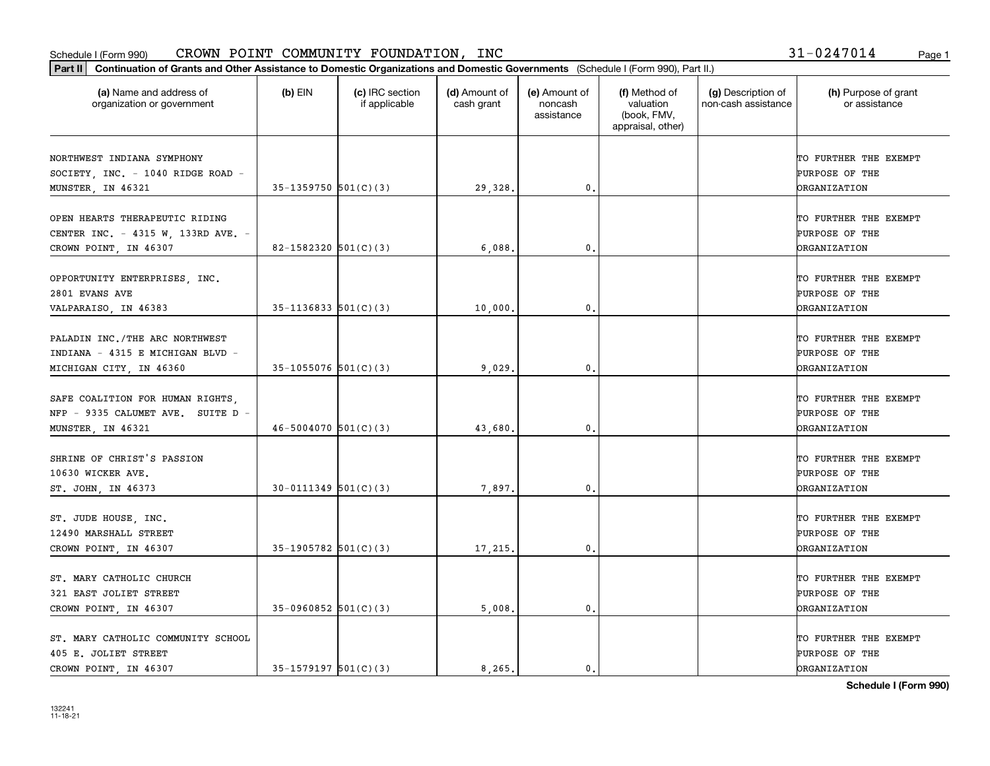| (a) Name and address of<br>organization or government                                         | $(b)$ EIN                  | (c) IRC section<br>if applicable | (d) Amount of<br>cash grant | (e) Amount of<br>noncash<br>assistance | (f) Method of<br>valuation<br>(book, FMV,<br>appraisal, other) | (g) Description of<br>non-cash assistance | (h) Purpose of grant<br>or assistance                          |
|-----------------------------------------------------------------------------------------------|----------------------------|----------------------------------|-----------------------------|----------------------------------------|----------------------------------------------------------------|-------------------------------------------|----------------------------------------------------------------|
| NORTHWEST INDIANA SYMPHONY<br>SOCIETY, INC. - 1040 RIDGE ROAD -<br>MUNSTER, IN 46321          | $35-1359750$ $501(C)(3)$   |                                  | 29,328.                     | 0.                                     |                                                                |                                           | TO FURTHER THE EXEMPT<br>PURPOSE OF THE<br><b>DRGANIZATION</b> |
| OPEN HEARTS THERAPEUTIC RIDING<br>CENTER INC. - 4315 W, 133RD AVE. -<br>CROWN POINT, IN 46307 | 82-1582320 $501(C)(3)$     |                                  | 6.088                       | 0.                                     |                                                                |                                           | TO FURTHER THE EXEMPT<br>PURPOSE OF THE<br><b>ORGANIZATION</b> |
| OPPORTUNITY ENTERPRISES, INC.<br>2801 EVANS AVE<br>VALPARAISO, IN 46383                       | $35-1136833$ $501(C)(3)$   |                                  | 10,000                      | $\mathfrak{o}$ .                       |                                                                |                                           | TO FURTHER THE EXEMPT<br>PURPOSE OF THE<br>ORGANIZATION        |
| PALADIN INC./THE ARC NORTHWEST<br>INDIANA - 4315 E MICHIGAN BLVD -<br>MICHIGAN CITY, IN 46360 | $35-1055076$ 501(C)(3)     |                                  | 9,029                       | 0.                                     |                                                                |                                           | TO FURTHER THE EXEMPT<br>PURPOSE OF THE<br><b>ORGANIZATION</b> |
| SAFE COALITION FOR HUMAN RIGHTS,<br>NFP - 9335 CALUMET AVE. SUITE D -<br>MUNSTER, IN 46321    | $46 - 5004070$ 501(C)(3)   |                                  | 43,680                      | 0.                                     |                                                                |                                           | TO FURTHER THE EXEMPT<br>PURPOSE OF THE<br>ORGANIZATION        |
| SHRINE OF CHRIST'S PASSION<br>10630 WICKER AVE.<br>ST. JOHN, IN 46373                         | $30 - 0111349$ $501(C)(3)$ |                                  | 7,897.                      | 0.                                     |                                                                |                                           | TO FURTHER THE EXEMPT<br>PURPOSE OF THE<br><b>ORGANIZATION</b> |
| ST. JUDE HOUSE, INC.<br>12490 MARSHALL STREET<br>CROWN POINT, IN 46307                        | $35-1905782$ 501(C)(3)     |                                  | 17,215.                     | $\mathfrak{o}$ .                       |                                                                |                                           | TO FURTHER THE EXEMPT<br>PURPOSE OF THE<br><b>ORGANIZATION</b> |
| ST. MARY CATHOLIC CHURCH<br>321 EAST JOLIET STREET<br>CROWN POINT, IN 46307                   | $35-0960852$ 501(C)(3)     |                                  | 5,008.                      | $\mathfrak o$ .                        |                                                                |                                           | TO FURTHER THE EXEMPT<br>PURPOSE OF THE<br><b>ORGANIZATION</b> |
| ST. MARY CATHOLIC COMMUNITY SCHOOL<br>405 E. JOLIET STREET<br>CROWN POINT, IN 46307           | $35-1579197$ $501(C)(3)$   |                                  | 8.265.                      | $\mathbf{0}$ .                         |                                                                |                                           | TO FURTHER THE EXEMPT<br>PURPOSE OF THE<br><b>DRGANIZATION</b> |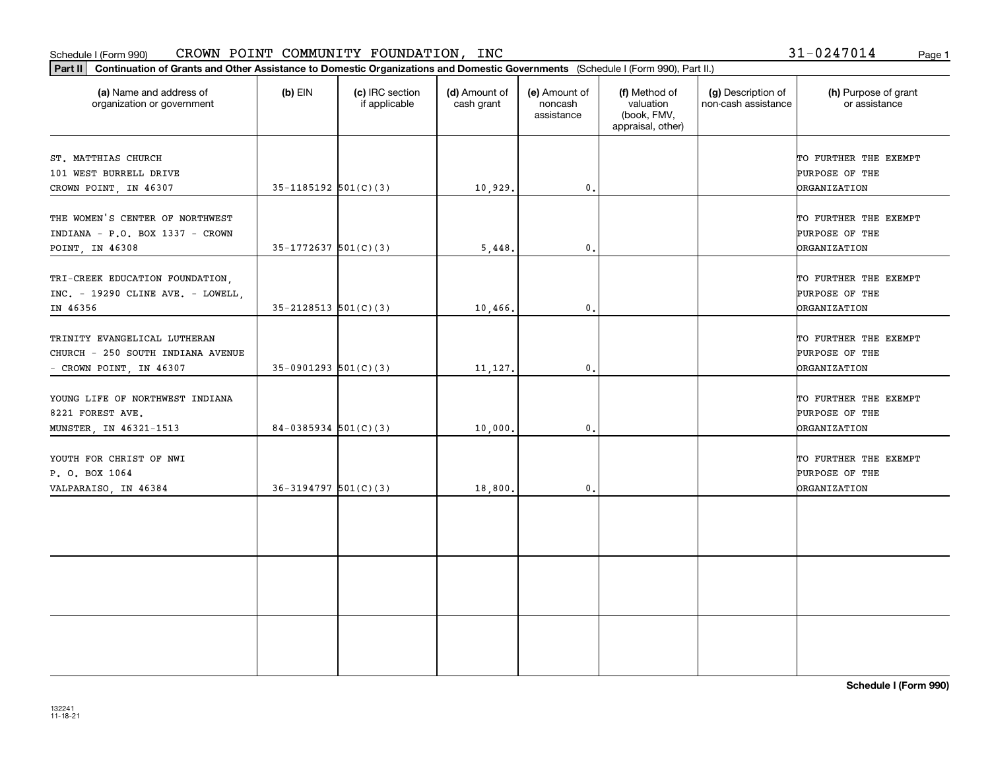#### Schedule I (Form 990) Page 1 CROWN POINT COMMUNITY FOUNDATION, INC

31-0247014

| Part II   Continuation of Grants and Other Assistance to Domestic Organizations and Domestic Governments (Schedule I (Form 990), Part II.)<br>(a) Name and address of | $(b)$ EIN                  | (c) IRC section<br>if applicable | (d) Amount of<br>cash grant | (e) Amount of<br>noncash<br>assistance | (f) Method of<br>valuation<br>(book, FMV,<br>appraisal, other) | (g) Description of<br>non-cash assistance | (h) Purpose of grant<br>or assistance |
|-----------------------------------------------------------------------------------------------------------------------------------------------------------------------|----------------------------|----------------------------------|-----------------------------|----------------------------------------|----------------------------------------------------------------|-------------------------------------------|---------------------------------------|
| organization or government                                                                                                                                            |                            |                                  |                             |                                        |                                                                |                                           |                                       |
| ST. MATTHIAS CHURCH                                                                                                                                                   |                            |                                  |                             |                                        |                                                                |                                           | TO FURTHER THE EXEMPT                 |
| 101 WEST BURRELL DRIVE                                                                                                                                                |                            |                                  |                             |                                        |                                                                |                                           | PURPOSE OF THE                        |
| CROWN POINT, IN 46307                                                                                                                                                 | $35-1185192$ $501(C)(3)$   |                                  | 10,929.                     | $\mathfrak{o}$ .                       |                                                                |                                           | <b>ORGANIZATION</b>                   |
| THE WOMEN'S CENTER OF NORTHWEST                                                                                                                                       |                            |                                  |                             |                                        |                                                                |                                           | TO FURTHER THE EXEMPT                 |
| INDIANA - P.O. BOX 1337 - CROWN                                                                                                                                       |                            |                                  |                             |                                        |                                                                |                                           | PURPOSE OF THE                        |
| POINT, IN 46308                                                                                                                                                       | $35-1772637$ 501(C)(3)     |                                  | 5,448.                      | $\mathbf{0}$ .                         |                                                                |                                           | <b>ORGANIZATION</b>                   |
| TRI-CREEK EDUCATION FOUNDATION,                                                                                                                                       |                            |                                  |                             |                                        |                                                                |                                           | TO FURTHER THE EXEMPT                 |
| INC. - 19290 CLINE AVE. - LOWELL,                                                                                                                                     |                            |                                  |                             |                                        |                                                                |                                           | PURPOSE OF THE                        |
| IN 46356                                                                                                                                                              | $35 - 2128513$ $501(C)(3)$ |                                  | 10,466.                     | 0.                                     |                                                                |                                           | <b>DRGANIZATION</b>                   |
| TRINITY EVANGELICAL LUTHERAN                                                                                                                                          |                            |                                  |                             |                                        |                                                                |                                           | TO FURTHER THE EXEMPT                 |
| CHURCH - 250 SOUTH INDIANA AVENUE                                                                                                                                     |                            |                                  |                             |                                        |                                                                |                                           | PURPOSE OF THE                        |
| - CROWN POINT, IN 46307                                                                                                                                               | $35-0901293$ $501(C)(3)$   |                                  | 11,127.                     | $\mathbf{0}$ .                         |                                                                |                                           | <b>ORGANIZATION</b>                   |
|                                                                                                                                                                       |                            |                                  |                             |                                        |                                                                |                                           |                                       |
| YOUNG LIFE OF NORTHWEST INDIANA                                                                                                                                       |                            |                                  |                             |                                        |                                                                |                                           | TO FURTHER THE EXEMPT                 |
| 8221 FOREST AVE.                                                                                                                                                      |                            |                                  |                             |                                        |                                                                |                                           | PURPOSE OF THE                        |
| MUNSTER, IN 46321-1513                                                                                                                                                | $84-0385934$ 501(C)(3)     |                                  | 10,000.                     | $\mathfrak{o}$ .                       |                                                                |                                           | <b>ORGANIZATION</b>                   |
| YOUTH FOR CHRIST OF NWI                                                                                                                                               |                            |                                  |                             |                                        |                                                                |                                           | TO FURTHER THE EXEMPT                 |
| P. O. BOX 1064                                                                                                                                                        |                            |                                  |                             |                                        |                                                                |                                           | PURPOSE OF THE                        |
| VALPARAISO, IN 46384                                                                                                                                                  | $36-3194797$ 501(C)(3)     |                                  | 18,800.                     | 0.                                     |                                                                |                                           | <b>ORGANIZATION</b>                   |
|                                                                                                                                                                       |                            |                                  |                             |                                        |                                                                |                                           |                                       |
|                                                                                                                                                                       |                            |                                  |                             |                                        |                                                                |                                           |                                       |
|                                                                                                                                                                       |                            |                                  |                             |                                        |                                                                |                                           |                                       |
|                                                                                                                                                                       |                            |                                  |                             |                                        |                                                                |                                           |                                       |
|                                                                                                                                                                       |                            |                                  |                             |                                        |                                                                |                                           |                                       |
|                                                                                                                                                                       |                            |                                  |                             |                                        |                                                                |                                           |                                       |
|                                                                                                                                                                       |                            |                                  |                             |                                        |                                                                |                                           |                                       |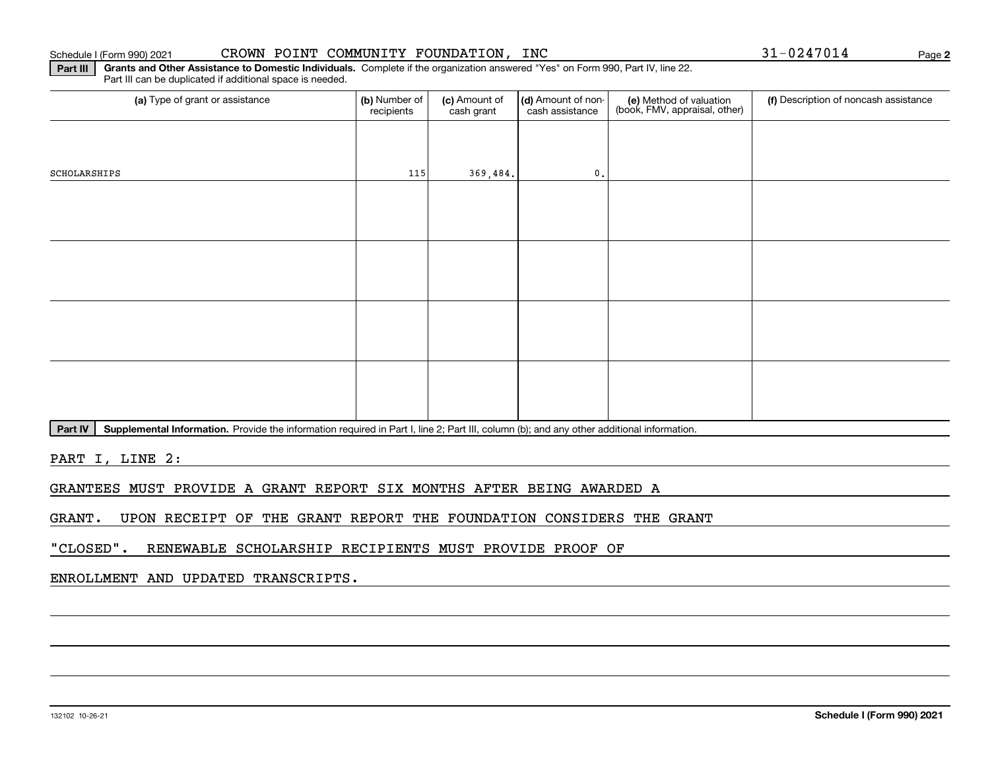#### 132102 10-26-21

#### Schedule I (Form 990) 2021 CROWN POINT COMMUNITY FOUNDATION, INC 3 $1\text{--}024\text{--}7014$  Page

**Part III Grants and Other Assistance to Domestic Individuals.**  Complete if the organization answered "Yes" on Form 990, Part IV, line 22. Part III can be duplicated if additional space is needed.

| (b) Number of<br>recipients | (c) Amount of<br>cash grant | cash assistance | (e) Method of valuation<br>(book, FMV, appraisal, other) | (f) Description of noncash assistance |
|-----------------------------|-----------------------------|-----------------|----------------------------------------------------------|---------------------------------------|
|                             |                             |                 |                                                          |                                       |
|                             |                             | $\mathfrak o$ . |                                                          |                                       |
|                             |                             |                 |                                                          |                                       |
|                             |                             |                 |                                                          |                                       |
|                             |                             |                 |                                                          |                                       |
|                             |                             |                 |                                                          |                                       |
|                             |                             |                 |                                                          |                                       |
|                             |                             |                 |                                                          |                                       |
|                             |                             |                 |                                                          |                                       |
|                             |                             |                 |                                                          |                                       |
|                             |                             | $115$           | 369, 484.                                                | (d) Amount of non-                    |

Part IV | Supplemental Information. Provide the information required in Part I, line 2; Part III, column (b); and any other additional information.

PART I, LINE 2:

GRANTEES MUST PROVIDE A GRANT REPORT SIX MONTHS AFTER BEING AWARDED A

GRANT. UPON RECEIPT OF THE GRANT REPORT THE FOUNDATION CONSIDERS THE GRANT

"CLOSED". RENEWABLE SCHOLARSHIP RECIPIENTS MUST PROVIDE PROOF OF

ENROLLMENT AND UPDATED TRANSCRIPTS.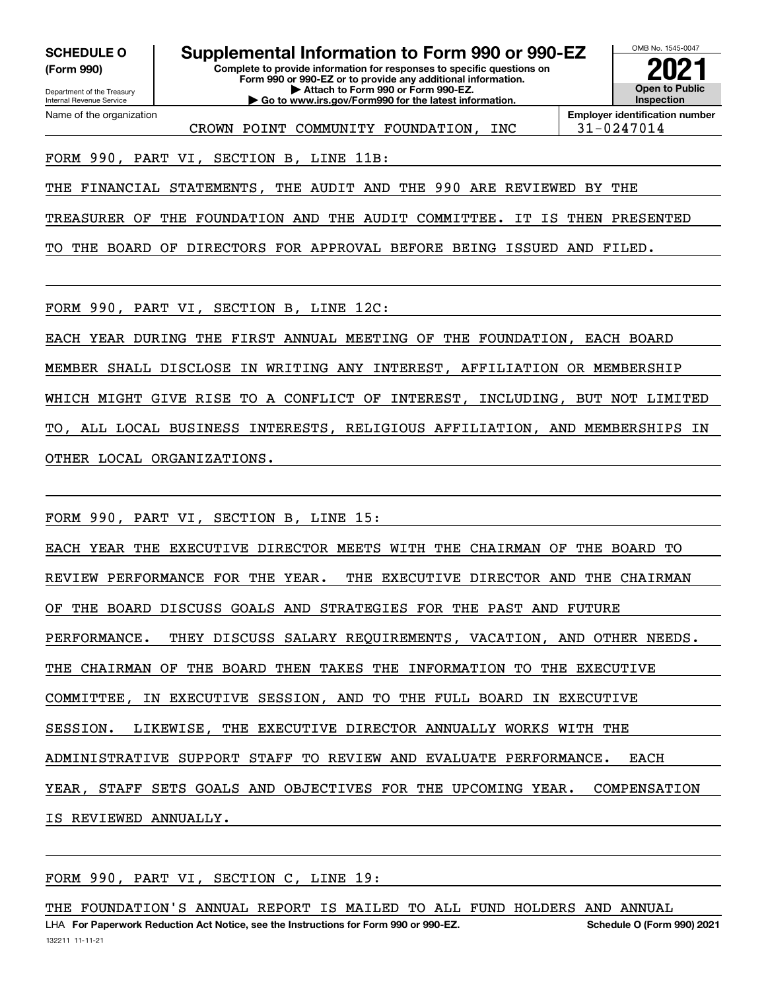**(Form 990)**

**Complete to provide information for responses to specific questions on Form 990 or 990-EZ or to provide any additional information. | Attach to Form 990 or Form 990-EZ. | Go to www.irs.gov/Form990 for the latest information. SCHEDULE O Supplemental Information to Form 990 or 990-EZ**



CROWN POINT COMMUNITY FOUNDATION, INC 31-0247014

**Employer identification number**

FORM 990, PART VI, SECTION B, LINE 11B:

THE FINANCIAL STATEMENTS, THE AUDIT AND THE 990 ARE REVIEWED BY THE

TREASURER OF THE FOUNDATION AND THE AUDIT COMMITTEE. IT IS THEN PRESENTED

TO THE BOARD OF DIRECTORS FOR APPROVAL BEFORE BEING ISSUED AND FILED.

FORM 990, PART VI, SECTION B, LINE 12C:

EACH YEAR DURING THE FIRST ANNUAL MEETING OF THE FOUNDATION, EACH BOARD MEMBER SHALL DISCLOSE IN WRITING ANY INTEREST, AFFILIATION OR MEMBERSHIP WHICH MIGHT GIVE RISE TO A CONFLICT OF INTEREST, INCLUDING, BUT NOT LIMITED TO, ALL LOCAL BUSINESS INTERESTS, RELIGIOUS AFFILIATION, AND MEMBERSHIPS IN OTHER LOCAL ORGANIZATIONS.

FORM 990, PART VI, SECTION B, LINE 15:

EACH YEAR THE EXECUTIVE DIRECTOR MEETS WITH THE CHAIRMAN OF THE BOARD TO REVIEW PERFORMANCE FOR THE YEAR. THE EXECUTIVE DIRECTOR AND THE CHAIRMAN OF THE BOARD DISCUSS GOALS AND STRATEGIES FOR THE PAST AND FUTURE PERFORMANCE. THEY DISCUSS SALARY REQUIREMENTS, VACATION, AND OTHER NEEDS. THE CHAIRMAN OF THE BOARD THEN TAKES THE INFORMATION TO THE EXECUTIVE COMMITTEE, IN EXECUTIVE SESSION, AND TO THE FULL BOARD IN EXECUTIVE SESSION. LIKEWISE, THE EXECUTIVE DIRECTOR ANNUALLY WORKS WITH THE ADMINISTRATIVE SUPPORT STAFF TO REVIEW AND EVALUATE PERFORMANCE. EACH YEAR, STAFF SETS GOALS AND OBJECTIVES FOR THE UPCOMING YEAR. COMPENSATION IS REVIEWED ANNUALLY.

FORM 990, PART VI, SECTION C, LINE 19:

THE FOUNDATION'S ANNUAL REPORT IS MAILED TO ALL FUND HOLDERS AND ANNUAL